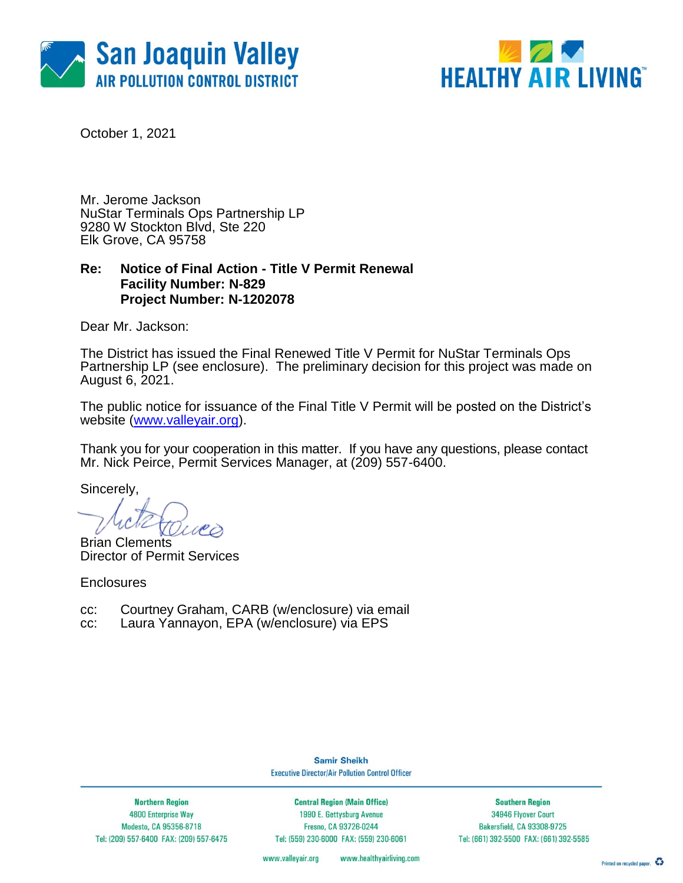



October 1, 2021

Mr. Jerome Jackson NuStar Terminals Ops Partnership LP 9280 W Stockton Blvd, Ste 220 Elk Grove, CA 95758

### **Re: Notice of Final Action - Title V Permit Renewal Facility Number: N-829 Project Number: N-1202078**

Dear Mr. Jackson:

The District has issued the Final Renewed Title V Permit for NuStar Terminals Ops Partnership LP (see enclosure). The preliminary decision for this project was made on August 6, 2021.

The public notice for issuance of the Final Title V Permit will be posted on the District's website [\(www.valleyair.org\)](http://www.valleyair.org/).

Thank you for your cooperation in this matter. If you have any questions, please contact Mr. Nick Peirce, Permit Services Manager, at (209) 557-6400.

Sincerely,

Brian Clements Director of Permit Services

**Enclosures** 

- cc: Courtney Graham, CARB (w/enclosure) via email
- cc: Laura Yannayon, EPA (w/enclosure) via EPS

**Samir Sheikh Executive Director/Air Pollution Control Officer** 

**Northern Region** 4800 Enterprise Way Modesto, CA 95356-8718 Tel: (209) 557-6400 FAX: (209) 557-6475

**Central Region (Main Office)** 1990 E. Gettysburg Avenue Fresno, CA 93726-0244 Tel: (559) 230-6000 FAX: (559) 230-6061

**Southern Region** 34946 Flyover Court Bakersfield, CA 93308-9725 Tel: (661) 392-5500 FAX: (661) 392-5585

www.valleyair.org www.healthyairliving.com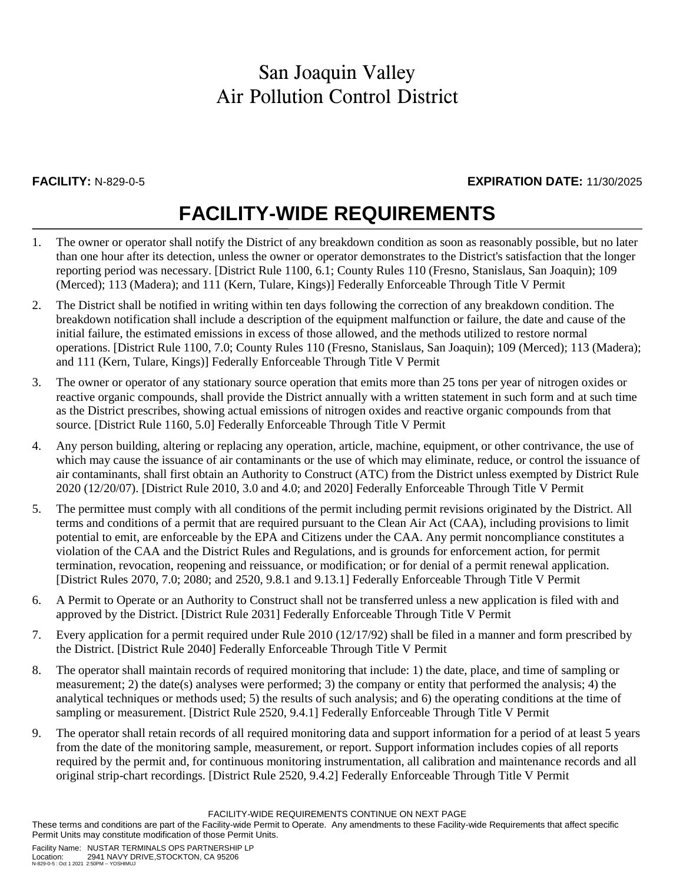### **FACILITY:** N-829-0-5 **EXPIRATION DATE:** 11/30/2025

# **FACILITY-WIDE REQUIREMENTS**

- 1. The owner or operator shall notify the District of any breakdown condition as soon as reasonably possible, but no later than one hour after its detection, unless the owner or operator demonstrates to the District's satisfaction that the longer reporting period was necessary. [District Rule 1100, 6.1; County Rules 110 (Fresno, Stanislaus, San Joaquin); 109 (Merced); 113 (Madera); and 111 (Kern, Tulare, Kings)] Federally Enforceable Through Title V Permit
- 2. The District shall be notified in writing within ten days following the correction of any breakdown condition. The breakdown notification shall include a description of the equipment malfunction or failure, the date and cause of the initial failure, the estimated emissions in excess of those allowed, and the methods utilized to restore normal operations. [District Rule 1100, 7.0; County Rules 110 (Fresno, Stanislaus, San Joaquin); 109 (Merced); 113 (Madera); and 111 (Kern, Tulare, Kings)] Federally Enforceable Through Title V Permit
- 3. The owner or operator of any stationary source operation that emits more than 25 tons per year of nitrogen oxides or reactive organic compounds, shall provide the District annually with a written statement in such form and at such time as the District prescribes, showing actual emissions of nitrogen oxides and reactive organic compounds from that source. [District Rule 1160, 5.0] Federally Enforceable Through Title V Permit
- 4. Any person building, altering or replacing any operation, article, machine, equipment, or other contrivance, the use of which may cause the issuance of air contaminants or the use of which may eliminate, reduce, or control the issuance of air contaminants, shall first obtain an Authority to Construct (ATC) from the District unless exempted by District Rule 2020 (12/20/07). [District Rule 2010, 3.0 and 4.0; and 2020] Federally Enforceable Through Title V Permit
- 5. The permittee must comply with all conditions of the permit including permit revisions originated by the District. All terms and conditions of a permit that are required pursuant to the Clean Air Act (CAA), including provisions to limit potential to emit, are enforceable by the EPA and Citizens under the CAA. Any permit noncompliance constitutes a violation of the CAA and the District Rules and Regulations, and is grounds for enforcement action, for permit termination, revocation, reopening and reissuance, or modification; or for denial of a permit renewal application. [District Rules 2070, 7.0; 2080; and 2520, 9.8.1 and 9.13.1] Federally Enforceable Through Title V Permit
- 6. A Permit to Operate or an Authority to Construct shall not be transferred unless a new application is filed with and approved by the District. [District Rule 2031] Federally Enforceable Through Title V Permit
- 7. Every application for a permit required under Rule 2010 (12/17/92) shall be filed in a manner and form prescribed by the District. [District Rule 2040] Federally Enforceable Through Title V Permit
- 8. The operator shall maintain records of required monitoring that include: 1) the date, place, and time of sampling or measurement; 2) the date(s) analyses were performed; 3) the company or entity that performed the analysis; 4) the analytical techniques or methods used; 5) the results of such analysis; and 6) the operating conditions at the time of sampling or measurement. [District Rule 2520, 9.4.1] Federally Enforceable Through Title V Permit
- 9. The operator shall retain records of all required monitoring data and support information for a period of at least 5 years from the date of the monitoring sample, measurement, or report. Support information includes copies of all reports required by the permit and, for continuous monitoring instrumentation, all calibration and maintenance records and all original strip-chart recordings. [District Rule 2520, 9.4.2] Federally Enforceable Through Title V Permit

FACILITY-WIDE REQUIREMENTS CONTINUE ON NEXT PAGE

These terms and conditions are part of the Facility-wide Permit to Operate. Any amendments to these Facility-wide Requirements that affect specific Permit Units may constitute modification of those Permit Units.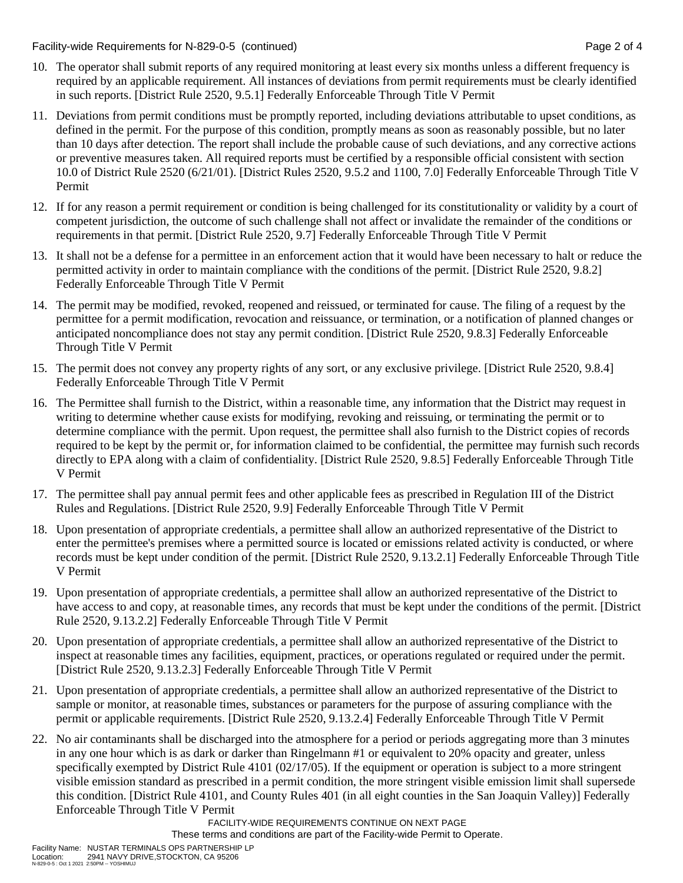Facility-wide Requirements for N-829-0-5 (continued) Page 2 of 4

- 10. The operator shall submit reports of any required monitoring at least every six months unless a different frequency is required by an applicable requirement. All instances of deviations from permit requirements must be clearly identified in such reports. [District Rule 2520, 9.5.1] Federally Enforceable Through Title V Permit
- 11. Deviations from permit conditions must be promptly reported, including deviations attributable to upset conditions, as defined in the permit. For the purpose of this condition, promptly means as soon as reasonably possible, but no later than 10 days after detection. The report shall include the probable cause of such deviations, and any corrective actions or preventive measures taken. All required reports must be certified by a responsible official consistent with section 10.0 of District Rule 2520 (6/21/01). [District Rules 2520, 9.5.2 and 1100, 7.0] Federally Enforceable Through Title V Permit
- 12. If for any reason a permit requirement or condition is being challenged for its constitutionality or validity by a court of competent jurisdiction, the outcome of such challenge shall not affect or invalidate the remainder of the conditions or requirements in that permit. [District Rule 2520, 9.7] Federally Enforceable Through Title V Permit
- 13. It shall not be a defense for a permittee in an enforcement action that it would have been necessary to halt or reduce the permitted activity in order to maintain compliance with the conditions of the permit. [District Rule 2520, 9.8.2] Federally Enforceable Through Title V Permit
- 14. The permit may be modified, revoked, reopened and reissued, or terminated for cause. The filing of a request by the permittee for a permit modification, revocation and reissuance, or termination, or a notification of planned changes or anticipated noncompliance does not stay any permit condition. [District Rule 2520, 9.8.3] Federally Enforceable Through Title V Permit
- 15. The permit does not convey any property rights of any sort, or any exclusive privilege. [District Rule 2520, 9.8.4] Federally Enforceable Through Title V Permit
- 16. The Permittee shall furnish to the District, within a reasonable time, any information that the District may request in writing to determine whether cause exists for modifying, revoking and reissuing, or terminating the permit or to determine compliance with the permit. Upon request, the permittee shall also furnish to the District copies of records required to be kept by the permit or, for information claimed to be confidential, the permittee may furnish such records directly to EPA along with a claim of confidentiality. [District Rule 2520, 9.8.5] Federally Enforceable Through Title V Permit
- 17. The permittee shall pay annual permit fees and other applicable fees as prescribed in Regulation III of the District Rules and Regulations. [District Rule 2520, 9.9] Federally Enforceable Through Title V Permit
- 18. Upon presentation of appropriate credentials, a permittee shall allow an authorized representative of the District to enter the permittee's premises where a permitted source is located or emissions related activity is conducted, or where records must be kept under condition of the permit. [District Rule 2520, 9.13.2.1] Federally Enforceable Through Title V Permit
- 19. Upon presentation of appropriate credentials, a permittee shall allow an authorized representative of the District to have access to and copy, at reasonable times, any records that must be kept under the conditions of the permit. [District Rule 2520, 9.13.2.2] Federally Enforceable Through Title V Permit
- 20. Upon presentation of appropriate credentials, a permittee shall allow an authorized representative of the District to inspect at reasonable times any facilities, equipment, practices, or operations regulated or required under the permit. [District Rule 2520, 9.13.2.3] Federally Enforceable Through Title V Permit
- 21. Upon presentation of appropriate credentials, a permittee shall allow an authorized representative of the District to sample or monitor, at reasonable times, substances or parameters for the purpose of assuring compliance with the permit or applicable requirements. [District Rule 2520, 9.13.2.4] Federally Enforceable Through Title V Permit
- 22. No air contaminants shall be discharged into the atmosphere for a period or periods aggregating more than 3 minutes in any one hour which is as dark or darker than Ringelmann #1 or equivalent to 20% opacity and greater, unless specifically exempted by District Rule 4101 (02/17/05). If the equipment or operation is subject to a more stringent visible emission standard as prescribed in a permit condition, the more stringent visible emission limit shall supersede this condition. [District Rule 4101, and County Rules 401 (in all eight counties in the San Joaquin Valley)] Federally Enforceable Through Title V Permit

FACILITY-WIDE REQUIREMENTS CONTINUE ON NEXT PAGE

These terms and conditions are part of the Facility-wide Permit to Operate.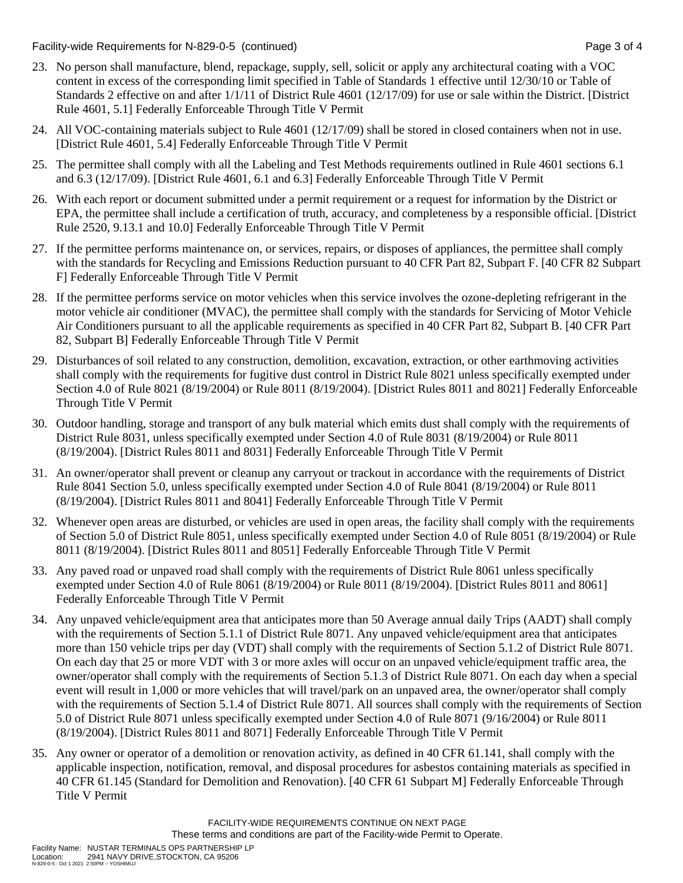Facility-wide Requirements for N-829-0-5 (continued) Page 3 of 4

- 23. No person shall manufacture, blend, repackage, supply, sell, solicit or apply any architectural coating with a VOC content in excess of the corresponding limit specified in Table of Standards 1 effective until 12/30/10 or Table of Standards 2 effective on and after 1/1/11 of District Rule 4601 (12/17/09) for use or sale within the District. [District Rule 4601, 5.1] Federally Enforceable Through Title V Permit
- 24. All VOC-containing materials subject to Rule 4601 (12/17/09) shall be stored in closed containers when not in use. [District Rule 4601, 5.4] Federally Enforceable Through Title V Permit
- 25. The permittee shall comply with all the Labeling and Test Methods requirements outlined in Rule 4601 sections 6.1 and 6.3 (12/17/09). [District Rule 4601, 6.1 and 6.3] Federally Enforceable Through Title V Permit
- 26. With each report or document submitted under a permit requirement or a request for information by the District or EPA, the permittee shall include a certification of truth, accuracy, and completeness by a responsible official. [District Rule 2520, 9.13.1 and 10.0] Federally Enforceable Through Title V Permit
- 27. If the permittee performs maintenance on, or services, repairs, or disposes of appliances, the permittee shall comply with the standards for Recycling and Emissions Reduction pursuant to 40 CFR Part 82, Subpart F. [40 CFR 82 Subpart F] Federally Enforceable Through Title V Permit
- 28. If the permittee performs service on motor vehicles when this service involves the ozone-depleting refrigerant in the motor vehicle air conditioner (MVAC), the permittee shall comply with the standards for Servicing of Motor Vehicle Air Conditioners pursuant to all the applicable requirements as specified in 40 CFR Part 82, Subpart B. [40 CFR Part 82, Subpart B] Federally Enforceable Through Title V Permit
- 29. Disturbances of soil related to any construction, demolition, excavation, extraction, or other earthmoving activities shall comply with the requirements for fugitive dust control in District Rule 8021 unless specifically exempted under Section 4.0 of Rule 8021 (8/19/2004) or Rule 8011 (8/19/2004). [District Rules 8011 and 8021] Federally Enforceable Through Title V Permit
- 30. Outdoor handling, storage and transport of any bulk material which emits dust shall comply with the requirements of District Rule 8031, unless specifically exempted under Section 4.0 of Rule 8031 (8/19/2004) or Rule 8011 (8/19/2004). [District Rules 8011 and 8031] Federally Enforceable Through Title V Permit
- 31. An owner/operator shall prevent or cleanup any carryout or trackout in accordance with the requirements of District Rule 8041 Section 5.0, unless specifically exempted under Section 4.0 of Rule 8041 (8/19/2004) or Rule 8011 (8/19/2004). [District Rules 8011 and 8041] Federally Enforceable Through Title V Permit
- 32. Whenever open areas are disturbed, or vehicles are used in open areas, the facility shall comply with the requirements of Section 5.0 of District Rule 8051, unless specifically exempted under Section 4.0 of Rule 8051 (8/19/2004) or Rule 8011 (8/19/2004). [District Rules 8011 and 8051] Federally Enforceable Through Title V Permit
- 33. Any paved road or unpaved road shall comply with the requirements of District Rule 8061 unless specifically exempted under Section 4.0 of Rule 8061 (8/19/2004) or Rule 8011 (8/19/2004). [District Rules 8011 and 8061] Federally Enforceable Through Title V Permit
- 34. Any unpaved vehicle/equipment area that anticipates more than 50 Average annual daily Trips (AADT) shall comply with the requirements of Section 5.1.1 of District Rule 8071. Any unpaved vehicle/equipment area that anticipates more than 150 vehicle trips per day (VDT) shall comply with the requirements of Section 5.1.2 of District Rule 8071. On each day that 25 or more VDT with 3 or more axles will occur on an unpaved vehicle/equipment traffic area, the owner/operator shall comply with the requirements of Section 5.1.3 of District Rule 8071. On each day when a special event will result in 1,000 or more vehicles that will travel/park on an unpaved area, the owner/operator shall comply with the requirements of Section 5.1.4 of District Rule 8071. All sources shall comply with the requirements of Section 5.0 of District Rule 8071 unless specifically exempted under Section 4.0 of Rule 8071 (9/16/2004) or Rule 8011 (8/19/2004). [District Rules 8011 and 8071] Federally Enforceable Through Title V Permit
- 35. Any owner or operator of a demolition or renovation activity, as defined in 40 CFR 61.141, shall comply with the applicable inspection, notification, removal, and disposal procedures for asbestos containing materials as specified in 40 CFR 61.145 (Standard for Demolition and Renovation). [40 CFR 61 Subpart M] Federally Enforceable Through Title V Permit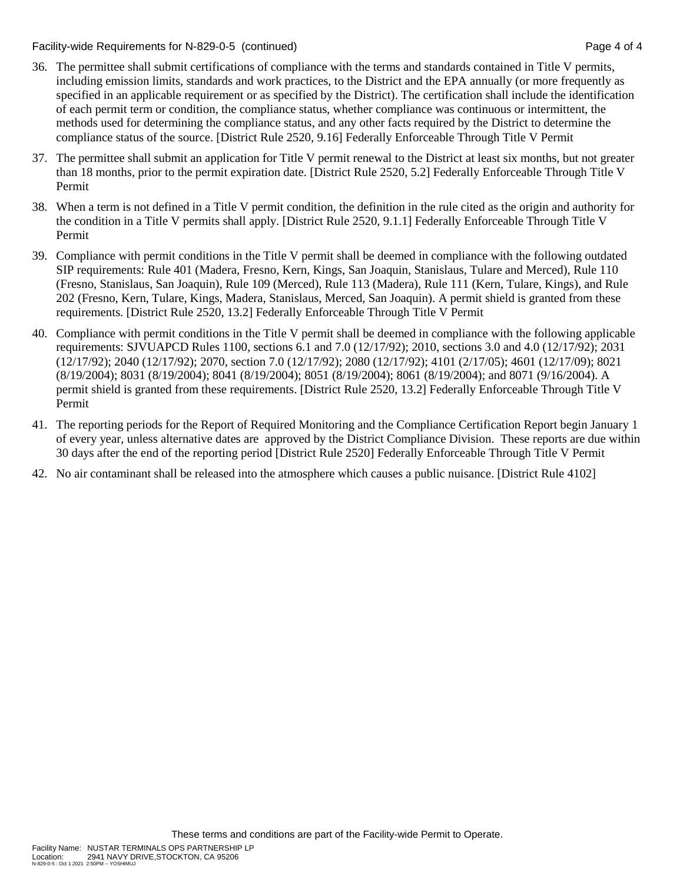Facility-wide Requirements for N-829-0-5 (continued) Page 4 of 4

- 36. The permittee shall submit certifications of compliance with the terms and standards contained in Title V permits, including emission limits, standards and work practices, to the District and the EPA annually (or more frequently as specified in an applicable requirement or as specified by the District). The certification shall include the identification of each permit term or condition, the compliance status, whether compliance was continuous or intermittent, the methods used for determining the compliance status, and any other facts required by the District to determine the compliance status of the source. [District Rule 2520, 9.16] Federally Enforceable Through Title V Permit
- 37. The permittee shall submit an application for Title V permit renewal to the District at least six months, but not greater than 18 months, prior to the permit expiration date. [District Rule 2520, 5.2] Federally Enforceable Through Title V Permit
- 38. When a term is not defined in a Title V permit condition, the definition in the rule cited as the origin and authority for the condition in a Title V permits shall apply. [District Rule 2520, 9.1.1] Federally Enforceable Through Title V Permit
- 39. Compliance with permit conditions in the Title V permit shall be deemed in compliance with the following outdated SIP requirements: Rule 401 (Madera, Fresno, Kern, Kings, San Joaquin, Stanislaus, Tulare and Merced), Rule 110 (Fresno, Stanislaus, San Joaquin), Rule 109 (Merced), Rule 113 (Madera), Rule 111 (Kern, Tulare, Kings), and Rule 202 (Fresno, Kern, Tulare, Kings, Madera, Stanislaus, Merced, San Joaquin). A permit shield is granted from these requirements. [District Rule 2520, 13.2] Federally Enforceable Through Title V Permit
- 40. Compliance with permit conditions in the Title V permit shall be deemed in compliance with the following applicable requirements: SJVUAPCD Rules 1100, sections 6.1 and 7.0 (12/17/92); 2010, sections 3.0 and 4.0 (12/17/92); 2031 (12/17/92); 2040 (12/17/92); 2070, section 7.0 (12/17/92); 2080 (12/17/92); 4101 (2/17/05); 4601 (12/17/09); 8021 (8/19/2004); 8031 (8/19/2004); 8041 (8/19/2004); 8051 (8/19/2004); 8061 (8/19/2004); and 8071 (9/16/2004). A permit shield is granted from these requirements. [District Rule 2520, 13.2] Federally Enforceable Through Title V Permit
- 41. The reporting periods for the Report of Required Monitoring and the Compliance Certification Report begin January 1 of every year, unless alternative dates are approved by the District Compliance Division. These reports are due within 30 days after the end of the reporting period [District Rule 2520] Federally Enforceable Through Title V Permit
- 42. No air contaminant shall be released into the atmosphere which causes a public nuisance. [District Rule 4102]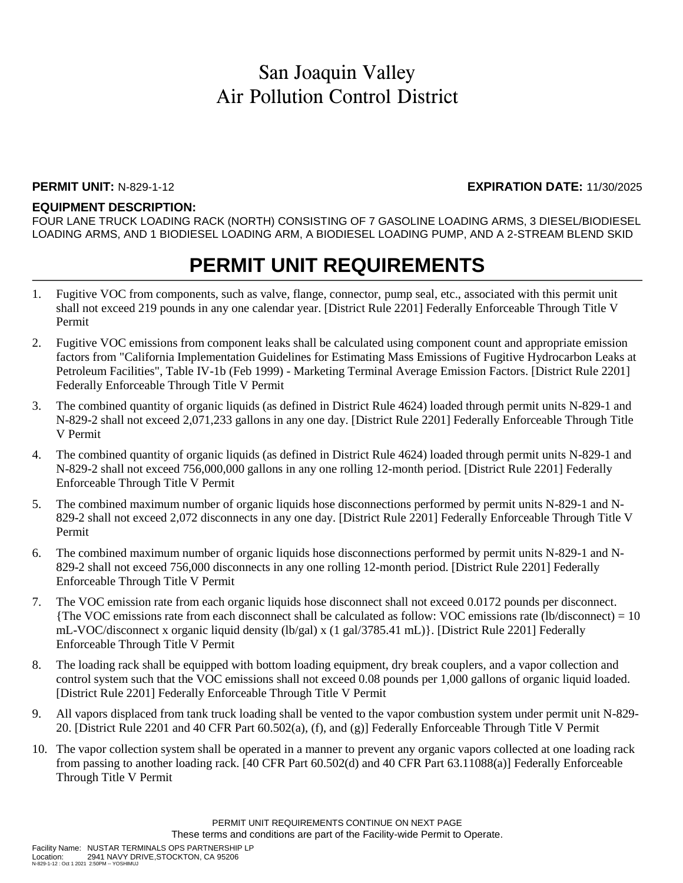N-829-1-12 : Oct 1 2021 2:50PM -- YOSHIMUJ

#### **PERMIT UNIT:** N-829-1-12 **EXPIRATION DATE:** 11/30/2025

#### **EQUIPMENT DESCRIPTION:**

FOUR LANE TRUCK LOADING RACK (NORTH) CONSISTING OF 7 GASOLINE LOADING ARMS, 3 DIESEL/BIODIESEL LOADING ARMS, AND 1 BIODIESEL LOADING ARM, A BIODIESEL LOADING PUMP, AND A 2-STREAM BLEND SKID

## **PERMIT UNIT REQUIREMENTS**

- 1. Fugitive VOC from components, such as valve, flange, connector, pump seal, etc., associated with this permit unit shall not exceed 219 pounds in any one calendar year. [District Rule 2201] Federally Enforceable Through Title V Permit
- 2. Fugitive VOC emissions from component leaks shall be calculated using component count and appropriate emission factors from "California Implementation Guidelines for Estimating Mass Emissions of Fugitive Hydrocarbon Leaks at Petroleum Facilities", Table IV-1b (Feb 1999) - Marketing Terminal Average Emission Factors. [District Rule 2201] Federally Enforceable Through Title V Permit
- 3. The combined quantity of organic liquids (as defined in District Rule 4624) loaded through permit units N-829-1 and N-829-2 shall not exceed 2,071,233 gallons in any one day. [District Rule 2201] Federally Enforceable Through Title V Permit
- 4. The combined quantity of organic liquids (as defined in District Rule 4624) loaded through permit units N-829-1 and N-829-2 shall not exceed 756,000,000 gallons in any one rolling 12-month period. [District Rule 2201] Federally Enforceable Through Title V Permit
- 5. The combined maximum number of organic liquids hose disconnections performed by permit units N-829-1 and N-829-2 shall not exceed 2,072 disconnects in any one day. [District Rule 2201] Federally Enforceable Through Title V Permit
- 6. The combined maximum number of organic liquids hose disconnections performed by permit units N-829-1 and N-829-2 shall not exceed 756,000 disconnects in any one rolling 12-month period. [District Rule 2201] Federally Enforceable Through Title V Permit
- 7. The VOC emission rate from each organic liquids hose disconnect shall not exceed 0.0172 pounds per disconnect. {The VOC emissions rate from each disconnect shall be calculated as follow: VOC emissions rate (lb/disconnect) = 10 mL-VOC/disconnect x organic liquid density (lb/gal) x (1 gal/3785.41 mL)}. [District Rule 2201] Federally Enforceable Through Title V Permit
- 8. The loading rack shall be equipped with bottom loading equipment, dry break couplers, and a vapor collection and control system such that the VOC emissions shall not exceed 0.08 pounds per 1,000 gallons of organic liquid loaded. [District Rule 2201] Federally Enforceable Through Title V Permit
- 9. All vapors displaced from tank truck loading shall be vented to the vapor combustion system under permit unit N-829- 20. [District Rule 2201 and 40 CFR Part 60.502(a), (f), and (g)] Federally Enforceable Through Title V Permit
- 10. The vapor collection system shall be operated in a manner to prevent any organic vapors collected at one loading rack from passing to another loading rack. [40 CFR Part 60.502(d) and 40 CFR Part 63.11088(a)] Federally Enforceable Through Title V Permit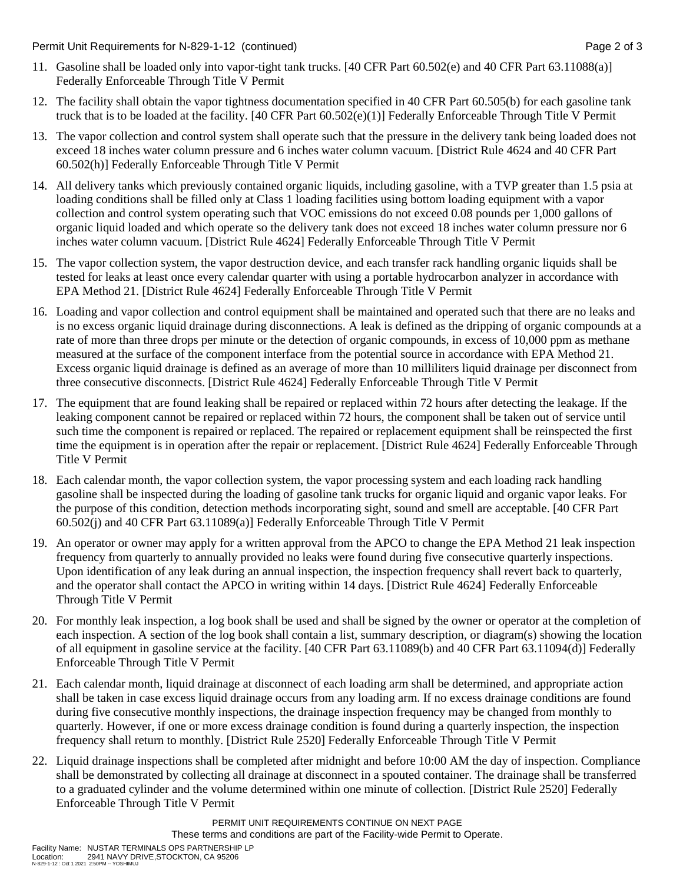Permit Unit Requirements for N-829-1-12 (continued) **Page 2** of 3

- 11. Gasoline shall be loaded only into vapor-tight tank trucks. [40 CFR Part 60.502(e) and 40 CFR Part 63.11088(a)] Federally Enforceable Through Title V Permit
- 12. The facility shall obtain the vapor tightness documentation specified in 40 CFR Part 60.505(b) for each gasoline tank truck that is to be loaded at the facility. [40 CFR Part 60.502(e)(1)] Federally Enforceable Through Title V Permit
- 13. The vapor collection and control system shall operate such that the pressure in the delivery tank being loaded does not exceed 18 inches water column pressure and 6 inches water column vacuum. [District Rule 4624 and 40 CFR Part 60.502(h)] Federally Enforceable Through Title V Permit
- 14. All delivery tanks which previously contained organic liquids, including gasoline, with a TVP greater than 1.5 psia at loading conditions shall be filled only at Class 1 loading facilities using bottom loading equipment with a vapor collection and control system operating such that VOC emissions do not exceed 0.08 pounds per 1,000 gallons of organic liquid loaded and which operate so the delivery tank does not exceed 18 inches water column pressure nor 6 inches water column vacuum. [District Rule 4624] Federally Enforceable Through Title V Permit
- 15. The vapor collection system, the vapor destruction device, and each transfer rack handling organic liquids shall be tested for leaks at least once every calendar quarter with using a portable hydrocarbon analyzer in accordance with EPA Method 21. [District Rule 4624] Federally Enforceable Through Title V Permit
- 16. Loading and vapor collection and control equipment shall be maintained and operated such that there are no leaks and is no excess organic liquid drainage during disconnections. A leak is defined as the dripping of organic compounds at a rate of more than three drops per minute or the detection of organic compounds, in excess of 10,000 ppm as methane measured at the surface of the component interface from the potential source in accordance with EPA Method 21. Excess organic liquid drainage is defined as an average of more than 10 milliliters liquid drainage per disconnect from three consecutive disconnects. [District Rule 4624] Federally Enforceable Through Title V Permit
- 17. The equipment that are found leaking shall be repaired or replaced within 72 hours after detecting the leakage. If the leaking component cannot be repaired or replaced within 72 hours, the component shall be taken out of service until such time the component is repaired or replaced. The repaired or replacement equipment shall be reinspected the first time the equipment is in operation after the repair or replacement. [District Rule 4624] Federally Enforceable Through Title V Permit
- 18. Each calendar month, the vapor collection system, the vapor processing system and each loading rack handling gasoline shall be inspected during the loading of gasoline tank trucks for organic liquid and organic vapor leaks. For the purpose of this condition, detection methods incorporating sight, sound and smell are acceptable. [40 CFR Part 60.502(j) and 40 CFR Part 63.11089(a)] Federally Enforceable Through Title V Permit
- 19. An operator or owner may apply for a written approval from the APCO to change the EPA Method 21 leak inspection frequency from quarterly to annually provided no leaks were found during five consecutive quarterly inspections. Upon identification of any leak during an annual inspection, the inspection frequency shall revert back to quarterly, and the operator shall contact the APCO in writing within 14 days. [District Rule 4624] Federally Enforceable Through Title V Permit
- 20. For monthly leak inspection, a log book shall be used and shall be signed by the owner or operator at the completion of each inspection. A section of the log book shall contain a list, summary description, or diagram(s) showing the location of all equipment in gasoline service at the facility. [40 CFR Part 63.11089(b) and 40 CFR Part 63.11094(d)] Federally Enforceable Through Title V Permit
- 21. Each calendar month, liquid drainage at disconnect of each loading arm shall be determined, and appropriate action shall be taken in case excess liquid drainage occurs from any loading arm. If no excess drainage conditions are found during five consecutive monthly inspections, the drainage inspection frequency may be changed from monthly to quarterly. However, if one or more excess drainage condition is found during a quarterly inspection, the inspection frequency shall return to monthly. [District Rule 2520] Federally Enforceable Through Title V Permit
- 22. Liquid drainage inspections shall be completed after midnight and before 10:00 AM the day of inspection. Compliance shall be demonstrated by collecting all drainage at disconnect in a spouted container. The drainage shall be transferred to a graduated cylinder and the volume determined within one minute of collection. [District Rule 2520] Federally Enforceable Through Title V Permit

PERMIT UNIT REQUIREMENTS CONTINUE ON NEXT PAGE These terms and conditions are part of the Facility-wide Permit to Operate.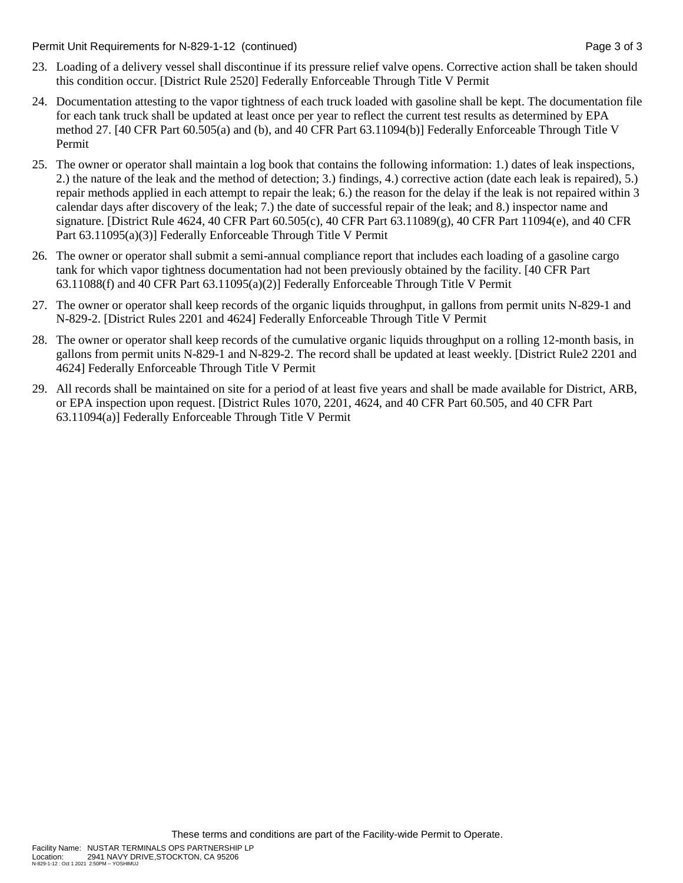Permit Unit Requirements for N-829-1-12 (continued) **Page 3 of 3** and 2 of 3 of 3

- 23. Loading of a delivery vessel shall discontinue if its pressure relief valve opens. Corrective action shall be taken should this condition occur. [District Rule 2520] Federally Enforceable Through Title V Permit
- 24. Documentation attesting to the vapor tightness of each truck loaded with gasoline shall be kept. The documentation file for each tank truck shall be updated at least once per year to reflect the current test results as determined by EPA method 27. [40 CFR Part 60.505(a) and (b), and 40 CFR Part 63.11094(b)] Federally Enforceable Through Title V Permit
- 25. The owner or operator shall maintain a log book that contains the following information: 1.) dates of leak inspections, 2.) the nature of the leak and the method of detection; 3.) findings, 4.) corrective action (date each leak is repaired), 5.) repair methods applied in each attempt to repair the leak; 6.) the reason for the delay if the leak is not repaired within 3 calendar days after discovery of the leak; 7.) the date of successful repair of the leak; and 8.) inspector name and signature. [District Rule 4624, 40 CFR Part 60.505(c), 40 CFR Part 63.11089(g), 40 CFR Part 11094(e), and 40 CFR Part 63.11095(a)(3)] Federally Enforceable Through Title V Permit
- 26. The owner or operator shall submit a semi-annual compliance report that includes each loading of a gasoline cargo tank for which vapor tightness documentation had not been previously obtained by the facility. [40 CFR Part 63.11088(f) and 40 CFR Part 63.11095(a)(2)] Federally Enforceable Through Title V Permit
- 27. The owner or operator shall keep records of the organic liquids throughput, in gallons from permit units N-829-1 and N-829-2. [District Rules 2201 and 4624] Federally Enforceable Through Title V Permit
- 28. The owner or operator shall keep records of the cumulative organic liquids throughput on a rolling 12-month basis, in gallons from permit units N-829-1 and N-829-2. The record shall be updated at least weekly. [District Rule2 2201 and 4624] Federally Enforceable Through Title V Permit
- 29. All records shall be maintained on site for a period of at least five years and shall be made available for District, ARB, or EPA inspection upon request. [District Rules 1070, 2201, 4624, and 40 CFR Part 60.505, and 40 CFR Part 63.11094(a)] Federally Enforceable Through Title V Permit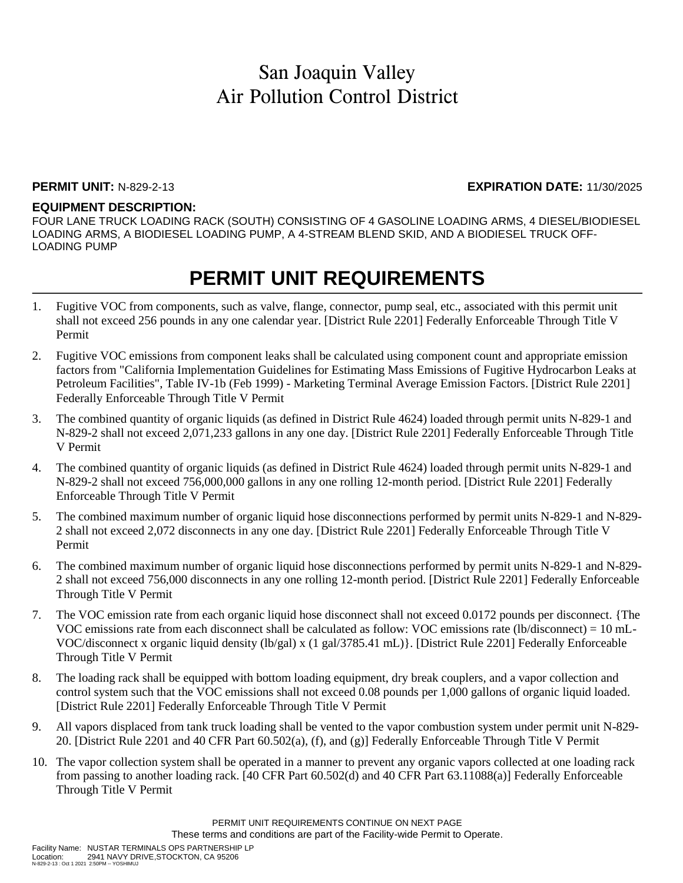#### **PERMIT UNIT:** N-829-2-13 **EXPIRATION DATE:** 11/30/2025

### **EQUIPMENT DESCRIPTION:**

FOUR LANE TRUCK LOADING RACK (SOUTH) CONSISTING OF 4 GASOLINE LOADING ARMS, 4 DIESEL/BIODIESEL LOADING ARMS, A BIODIESEL LOADING PUMP, A 4-STREAM BLEND SKID, AND A BIODIESEL TRUCK OFF-LOADING PUMP

## **PERMIT UNIT REQUIREMENTS**

- 1. Fugitive VOC from components, such as valve, flange, connector, pump seal, etc., associated with this permit unit shall not exceed 256 pounds in any one calendar year. [District Rule 2201] Federally Enforceable Through Title V Permit
- 2. Fugitive VOC emissions from component leaks shall be calculated using component count and appropriate emission factors from "California Implementation Guidelines for Estimating Mass Emissions of Fugitive Hydrocarbon Leaks at Petroleum Facilities", Table IV-1b (Feb 1999) - Marketing Terminal Average Emission Factors. [District Rule 2201] Federally Enforceable Through Title V Permit
- 3. The combined quantity of organic liquids (as defined in District Rule 4624) loaded through permit units N-829-1 and N-829-2 shall not exceed 2,071,233 gallons in any one day. [District Rule 2201] Federally Enforceable Through Title V Permit
- 4. The combined quantity of organic liquids (as defined in District Rule 4624) loaded through permit units N-829-1 and N-829-2 shall not exceed 756,000,000 gallons in any one rolling 12-month period. [District Rule 2201] Federally Enforceable Through Title V Permit
- 5. The combined maximum number of organic liquid hose disconnections performed by permit units N-829-1 and N-829- 2 shall not exceed 2,072 disconnects in any one day. [District Rule 2201] Federally Enforceable Through Title V Permit
- 6. The combined maximum number of organic liquid hose disconnections performed by permit units N-829-1 and N-829- 2 shall not exceed 756,000 disconnects in any one rolling 12-month period. [District Rule 2201] Federally Enforceable Through Title V Permit
- 7. The VOC emission rate from each organic liquid hose disconnect shall not exceed 0.0172 pounds per disconnect. {The VOC emissions rate from each disconnect shall be calculated as follow: VOC emissions rate (lb/disconnect) = 10 mL-VOC/disconnect x organic liquid density (lb/gal) x (1 gal/3785.41 mL)}. [District Rule 2201] Federally Enforceable Through Title V Permit
- 8. The loading rack shall be equipped with bottom loading equipment, dry break couplers, and a vapor collection and control system such that the VOC emissions shall not exceed 0.08 pounds per 1,000 gallons of organic liquid loaded. [District Rule 2201] Federally Enforceable Through Title V Permit
- 9. All vapors displaced from tank truck loading shall be vented to the vapor combustion system under permit unit N-829- 20. [District Rule 2201 and 40 CFR Part 60.502(a), (f), and (g)] Federally Enforceable Through Title V Permit
- 10. The vapor collection system shall be operated in a manner to prevent any organic vapors collected at one loading rack from passing to another loading rack. [40 CFR Part 60.502(d) and 40 CFR Part 63.11088(a)] Federally Enforceable Through Title V Permit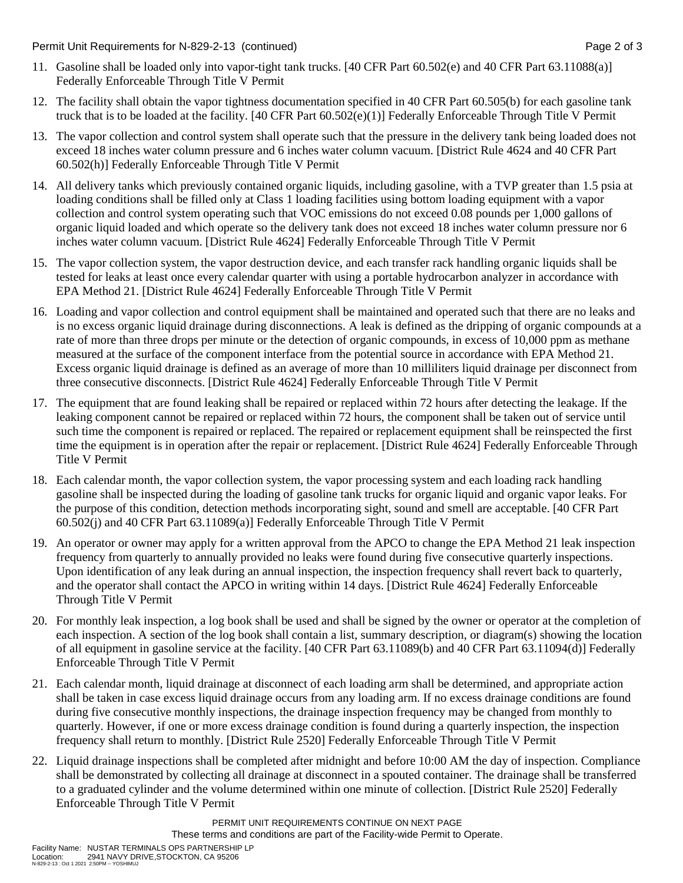Permit Unit Requirements for N-829-2-13 (continued) Page 2 of 3

- 11. Gasoline shall be loaded only into vapor-tight tank trucks. [40 CFR Part 60.502(e) and 40 CFR Part 63.11088(a)] Federally Enforceable Through Title V Permit
- 12. The facility shall obtain the vapor tightness documentation specified in 40 CFR Part 60.505(b) for each gasoline tank truck that is to be loaded at the facility. [40 CFR Part 60.502(e)(1)] Federally Enforceable Through Title V Permit
- 13. The vapor collection and control system shall operate such that the pressure in the delivery tank being loaded does not exceed 18 inches water column pressure and 6 inches water column vacuum. [District Rule 4624 and 40 CFR Part 60.502(h)] Federally Enforceable Through Title V Permit
- 14. All delivery tanks which previously contained organic liquids, including gasoline, with a TVP greater than 1.5 psia at loading conditions shall be filled only at Class 1 loading facilities using bottom loading equipment with a vapor collection and control system operating such that VOC emissions do not exceed 0.08 pounds per 1,000 gallons of organic liquid loaded and which operate so the delivery tank does not exceed 18 inches water column pressure nor 6 inches water column vacuum. [District Rule 4624] Federally Enforceable Through Title V Permit
- 15. The vapor collection system, the vapor destruction device, and each transfer rack handling organic liquids shall be tested for leaks at least once every calendar quarter with using a portable hydrocarbon analyzer in accordance with EPA Method 21. [District Rule 4624] Federally Enforceable Through Title V Permit
- 16. Loading and vapor collection and control equipment shall be maintained and operated such that there are no leaks and is no excess organic liquid drainage during disconnections. A leak is defined as the dripping of organic compounds at a rate of more than three drops per minute or the detection of organic compounds, in excess of 10,000 ppm as methane measured at the surface of the component interface from the potential source in accordance with EPA Method 21. Excess organic liquid drainage is defined as an average of more than 10 milliliters liquid drainage per disconnect from three consecutive disconnects. [District Rule 4624] Federally Enforceable Through Title V Permit
- 17. The equipment that are found leaking shall be repaired or replaced within 72 hours after detecting the leakage. If the leaking component cannot be repaired or replaced within 72 hours, the component shall be taken out of service until such time the component is repaired or replaced. The repaired or replacement equipment shall be reinspected the first time the equipment is in operation after the repair or replacement. [District Rule 4624] Federally Enforceable Through Title V Permit
- 18. Each calendar month, the vapor collection system, the vapor processing system and each loading rack handling gasoline shall be inspected during the loading of gasoline tank trucks for organic liquid and organic vapor leaks. For the purpose of this condition, detection methods incorporating sight, sound and smell are acceptable. [40 CFR Part 60.502(j) and 40 CFR Part 63.11089(a)] Federally Enforceable Through Title V Permit
- 19. An operator or owner may apply for a written approval from the APCO to change the EPA Method 21 leak inspection frequency from quarterly to annually provided no leaks were found during five consecutive quarterly inspections. Upon identification of any leak during an annual inspection, the inspection frequency shall revert back to quarterly, and the operator shall contact the APCO in writing within 14 days. [District Rule 4624] Federally Enforceable Through Title V Permit
- 20. For monthly leak inspection, a log book shall be used and shall be signed by the owner or operator at the completion of each inspection. A section of the log book shall contain a list, summary description, or diagram(s) showing the location of all equipment in gasoline service at the facility. [40 CFR Part 63.11089(b) and 40 CFR Part 63.11094(d)] Federally Enforceable Through Title V Permit
- 21. Each calendar month, liquid drainage at disconnect of each loading arm shall be determined, and appropriate action shall be taken in case excess liquid drainage occurs from any loading arm. If no excess drainage conditions are found during five consecutive monthly inspections, the drainage inspection frequency may be changed from monthly to quarterly. However, if one or more excess drainage condition is found during a quarterly inspection, the inspection frequency shall return to monthly. [District Rule 2520] Federally Enforceable Through Title V Permit
- 22. Liquid drainage inspections shall be completed after midnight and before 10:00 AM the day of inspection. Compliance shall be demonstrated by collecting all drainage at disconnect in a spouted container. The drainage shall be transferred to a graduated cylinder and the volume determined within one minute of collection. [District Rule 2520] Federally Enforceable Through Title V Permit

PERMIT UNIT REQUIREMENTS CONTINUE ON NEXT PAGE These terms and conditions are part of the Facility-wide Permit to Operate.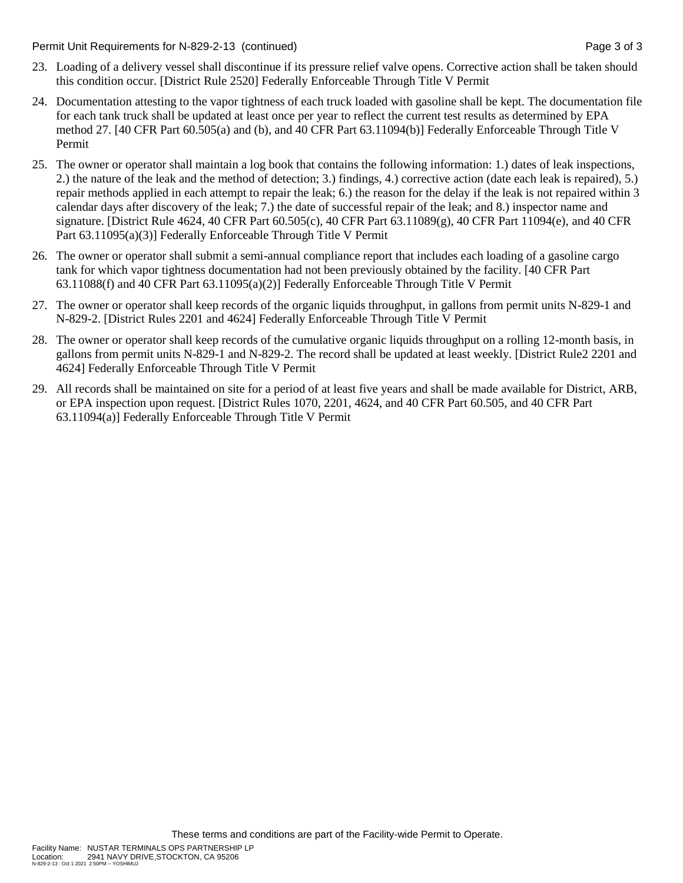Permit Unit Requirements for N-829-2-13 (continued) Page 3 of 3

- 23. Loading of a delivery vessel shall discontinue if its pressure relief valve opens. Corrective action shall be taken should this condition occur. [District Rule 2520] Federally Enforceable Through Title V Permit
- 24. Documentation attesting to the vapor tightness of each truck loaded with gasoline shall be kept. The documentation file for each tank truck shall be updated at least once per year to reflect the current test results as determined by EPA method 27. [40 CFR Part 60.505(a) and (b), and 40 CFR Part 63.11094(b)] Federally Enforceable Through Title V Permit
- 25. The owner or operator shall maintain a log book that contains the following information: 1.) dates of leak inspections, 2.) the nature of the leak and the method of detection; 3.) findings, 4.) corrective action (date each leak is repaired), 5.) repair methods applied in each attempt to repair the leak; 6.) the reason for the delay if the leak is not repaired within 3 calendar days after discovery of the leak; 7.) the date of successful repair of the leak; and 8.) inspector name and signature. [District Rule 4624, 40 CFR Part 60.505(c), 40 CFR Part 63.11089(g), 40 CFR Part 11094(e), and 40 CFR Part 63.11095(a)(3)] Federally Enforceable Through Title V Permit
- 26. The owner or operator shall submit a semi-annual compliance report that includes each loading of a gasoline cargo tank for which vapor tightness documentation had not been previously obtained by the facility. [40 CFR Part 63.11088(f) and 40 CFR Part 63.11095(a)(2)] Federally Enforceable Through Title V Permit
- 27. The owner or operator shall keep records of the organic liquids throughput, in gallons from permit units N-829-1 and N-829-2. [District Rules 2201 and 4624] Federally Enforceable Through Title V Permit
- 28. The owner or operator shall keep records of the cumulative organic liquids throughput on a rolling 12-month basis, in gallons from permit units N-829-1 and N-829-2. The record shall be updated at least weekly. [District Rule2 2201 and 4624] Federally Enforceable Through Title V Permit
- 29. All records shall be maintained on site for a period of at least five years and shall be made available for District, ARB, or EPA inspection upon request. [District Rules 1070, 2201, 4624, and 40 CFR Part 60.505, and 40 CFR Part 63.11094(a)] Federally Enforceable Through Title V Permit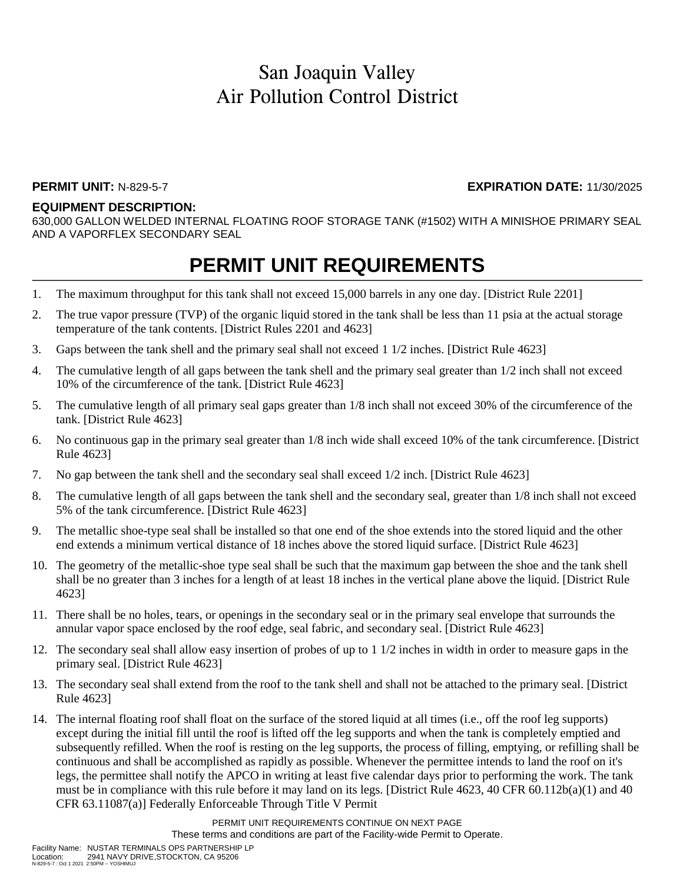### **PERMIT UNIT:** N-829-5-7 **EXPIRATION DATE:** 11/30/2025

#### **EQUIPMENT DESCRIPTION:**

630,000 GALLON WELDED INTERNAL FLOATING ROOF STORAGE TANK (#1502) WITH A MINISHOE PRIMARY SEAL AND A VAPORFLEX SECONDARY SEAL

### **PERMIT UNIT REQUIREMENTS**

- 1. The maximum throughput for this tank shall not exceed 15,000 barrels in any one day. [District Rule 2201]
- 2. The true vapor pressure (TVP) of the organic liquid stored in the tank shall be less than 11 psia at the actual storage temperature of the tank contents. [District Rules 2201 and 4623]
- 3. Gaps between the tank shell and the primary seal shall not exceed 1 1/2 inches. [District Rule 4623]
- 4. The cumulative length of all gaps between the tank shell and the primary seal greater than 1/2 inch shall not exceed 10% of the circumference of the tank. [District Rule 4623]
- 5. The cumulative length of all primary seal gaps greater than 1/8 inch shall not exceed 30% of the circumference of the tank. [District Rule 4623]
- 6. No continuous gap in the primary seal greater than 1/8 inch wide shall exceed 10% of the tank circumference. [District Rule 4623]
- 7. No gap between the tank shell and the secondary seal shall exceed 1/2 inch. [District Rule 4623]
- 8. The cumulative length of all gaps between the tank shell and the secondary seal, greater than 1/8 inch shall not exceed 5% of the tank circumference. [District Rule 4623]
- 9. The metallic shoe-type seal shall be installed so that one end of the shoe extends into the stored liquid and the other end extends a minimum vertical distance of 18 inches above the stored liquid surface. [District Rule 4623]
- 10. The geometry of the metallic-shoe type seal shall be such that the maximum gap between the shoe and the tank shell shall be no greater than 3 inches for a length of at least 18 inches in the vertical plane above the liquid. [District Rule 4623]
- 11. There shall be no holes, tears, or openings in the secondary seal or in the primary seal envelope that surrounds the annular vapor space enclosed by the roof edge, seal fabric, and secondary seal. [District Rule 4623]
- 12. The secondary seal shall allow easy insertion of probes of up to 1 1/2 inches in width in order to measure gaps in the primary seal. [District Rule 4623]
- 13. The secondary seal shall extend from the roof to the tank shell and shall not be attached to the primary seal. [District Rule 4623]
- 14. The internal floating roof shall float on the surface of the stored liquid at all times (i.e., off the roof leg supports) except during the initial fill until the roof is lifted off the leg supports and when the tank is completely emptied and subsequently refilled. When the roof is resting on the leg supports, the process of filling, emptying, or refilling shall be continuous and shall be accomplished as rapidly as possible. Whenever the permittee intends to land the roof on it's legs, the permittee shall notify the APCO in writing at least five calendar days prior to performing the work. The tank must be in compliance with this rule before it may land on its legs. [District Rule 4623, 40 CFR 60.112b(a)(1) and 40 CFR 63.11087(a)] Federally Enforceable Through Title V Permit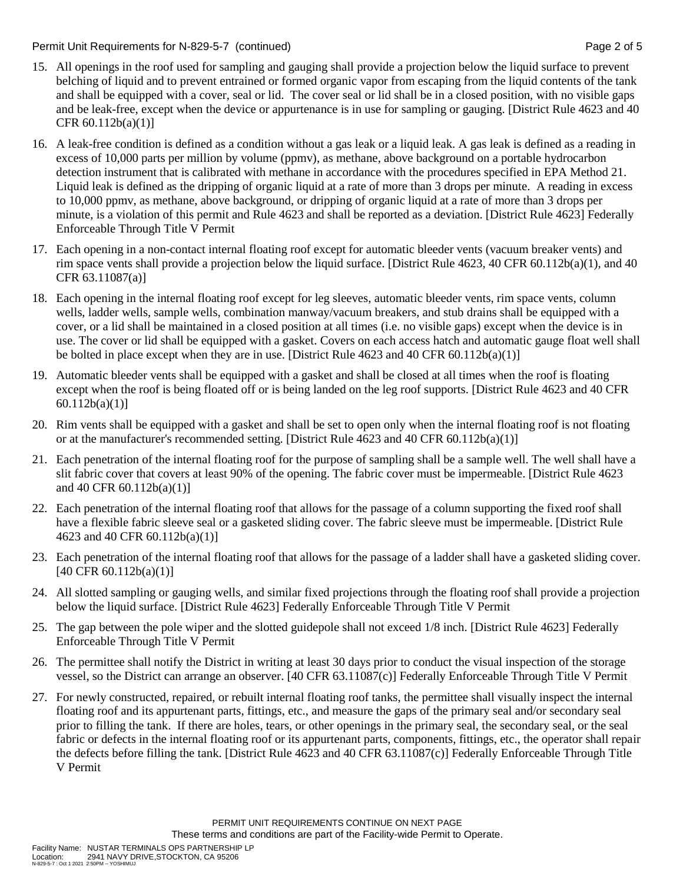Permit Unit Requirements for N-829-5-7 (continued) Page 2 of 5

- 15. All openings in the roof used for sampling and gauging shall provide a projection below the liquid surface to prevent belching of liquid and to prevent entrained or formed organic vapor from escaping from the liquid contents of the tank and shall be equipped with a cover, seal or lid. The cover seal or lid shall be in a closed position, with no visible gaps and be leak-free, except when the device or appurtenance is in use for sampling or gauging. [District Rule 4623 and 40 CFR 60.112b(a)(1)]
- 16. A leak-free condition is defined as a condition without a gas leak or a liquid leak. A gas leak is defined as a reading in excess of 10,000 parts per million by volume (ppmv), as methane, above background on a portable hydrocarbon detection instrument that is calibrated with methane in accordance with the procedures specified in EPA Method 21. Liquid leak is defined as the dripping of organic liquid at a rate of more than 3 drops per minute. A reading in excess to 10,000 ppmv, as methane, above background, or dripping of organic liquid at a rate of more than 3 drops per minute, is a violation of this permit and Rule 4623 and shall be reported as a deviation. [District Rule 4623] Federally Enforceable Through Title V Permit
- 17. Each opening in a non-contact internal floating roof except for automatic bleeder vents (vacuum breaker vents) and rim space vents shall provide a projection below the liquid surface. [District Rule 4623, 40 CFR 60.112b(a)(1), and 40 CFR 63.11087(a)]
- 18. Each opening in the internal floating roof except for leg sleeves, automatic bleeder vents, rim space vents, column wells, ladder wells, sample wells, combination manway/vacuum breakers, and stub drains shall be equipped with a cover, or a lid shall be maintained in a closed position at all times (i.e. no visible gaps) except when the device is in use. The cover or lid shall be equipped with a gasket. Covers on each access hatch and automatic gauge float well shall be bolted in place except when they are in use. [District Rule 4623 and 40 CFR 60.112b(a)(1)]
- 19. Automatic bleeder vents shall be equipped with a gasket and shall be closed at all times when the roof is floating except when the roof is being floated off or is being landed on the leg roof supports. [District Rule 4623 and 40 CFR 60.112b(a)(1)]
- 20. Rim vents shall be equipped with a gasket and shall be set to open only when the internal floating roof is not floating or at the manufacturer's recommended setting. [District Rule 4623 and 40 CFR 60.112b(a)(1)]
- 21. Each penetration of the internal floating roof for the purpose of sampling shall be a sample well. The well shall have a slit fabric cover that covers at least 90% of the opening. The fabric cover must be impermeable. [District Rule 4623 and 40 CFR 60.112b(a)(1)]
- 22. Each penetration of the internal floating roof that allows for the passage of a column supporting the fixed roof shall have a flexible fabric sleeve seal or a gasketed sliding cover. The fabric sleeve must be impermeable. [District Rule 4623 and 40 CFR 60.112b(a)(1)]
- 23. Each penetration of the internal floating roof that allows for the passage of a ladder shall have a gasketed sliding cover. [40 CFR 60.112b(a)(1)]
- 24. All slotted sampling or gauging wells, and similar fixed projections through the floating roof shall provide a projection below the liquid surface. [District Rule 4623] Federally Enforceable Through Title V Permit
- 25. The gap between the pole wiper and the slotted guidepole shall not exceed 1/8 inch. [District Rule 4623] Federally Enforceable Through Title V Permit
- 26. The permittee shall notify the District in writing at least 30 days prior to conduct the visual inspection of the storage vessel, so the District can arrange an observer. [40 CFR 63.11087(c)] Federally Enforceable Through Title V Permit
- 27. For newly constructed, repaired, or rebuilt internal floating roof tanks, the permittee shall visually inspect the internal floating roof and its appurtenant parts, fittings, etc., and measure the gaps of the primary seal and/or secondary seal prior to filling the tank. If there are holes, tears, or other openings in the primary seal, the secondary seal, or the seal fabric or defects in the internal floating roof or its appurtenant parts, components, fittings, etc., the operator shall repair the defects before filling the tank. [District Rule 4623 and 40 CFR 63.11087(c)] Federally Enforceable Through Title V Permit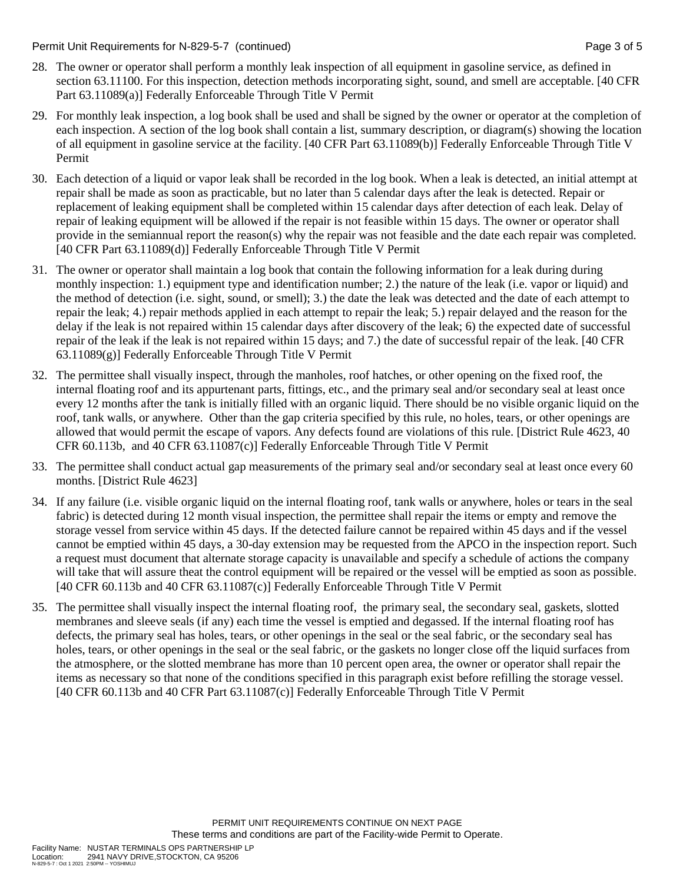Permit Unit Requirements for N-829-5-7 (continued) National Page 3 of 5

- 28. The owner or operator shall perform a monthly leak inspection of all equipment in gasoline service, as defined in section 63.11100. For this inspection, detection methods incorporating sight, sound, and smell are acceptable. [40 CFR Part 63.11089(a)] Federally Enforceable Through Title V Permit
- 29. For monthly leak inspection, a log book shall be used and shall be signed by the owner or operator at the completion of each inspection. A section of the log book shall contain a list, summary description, or diagram(s) showing the location of all equipment in gasoline service at the facility. [40 CFR Part 63.11089(b)] Federally Enforceable Through Title V Permit
- 30. Each detection of a liquid or vapor leak shall be recorded in the log book. When a leak is detected, an initial attempt at repair shall be made as soon as practicable, but no later than 5 calendar days after the leak is detected. Repair or replacement of leaking equipment shall be completed within 15 calendar days after detection of each leak. Delay of repair of leaking equipment will be allowed if the repair is not feasible within 15 days. The owner or operator shall provide in the semiannual report the reason(s) why the repair was not feasible and the date each repair was completed. [40 CFR Part 63.11089(d)] Federally Enforceable Through Title V Permit
- 31. The owner or operator shall maintain a log book that contain the following information for a leak during during monthly inspection: 1.) equipment type and identification number; 2.) the nature of the leak (i.e. vapor or liquid) and the method of detection (i.e. sight, sound, or smell); 3.) the date the leak was detected and the date of each attempt to repair the leak; 4.) repair methods applied in each attempt to repair the leak; 5.) repair delayed and the reason for the delay if the leak is not repaired within 15 calendar days after discovery of the leak; 6) the expected date of successful repair of the leak if the leak is not repaired within 15 days; and 7.) the date of successful repair of the leak. [40 CFR 63.11089(g)] Federally Enforceable Through Title V Permit
- 32. The permittee shall visually inspect, through the manholes, roof hatches, or other opening on the fixed roof, the internal floating roof and its appurtenant parts, fittings, etc., and the primary seal and/or secondary seal at least once every 12 months after the tank is initially filled with an organic liquid. There should be no visible organic liquid on the roof, tank walls, or anywhere. Other than the gap criteria specified by this rule, no holes, tears, or other openings are allowed that would permit the escape of vapors. Any defects found are violations of this rule. [District Rule 4623, 40 CFR 60.113b, and 40 CFR 63.11087(c)] Federally Enforceable Through Title V Permit
- 33. The permittee shall conduct actual gap measurements of the primary seal and/or secondary seal at least once every 60 months. [District Rule 4623]
- 34. If any failure (i.e. visible organic liquid on the internal floating roof, tank walls or anywhere, holes or tears in the seal fabric) is detected during 12 month visual inspection, the permittee shall repair the items or empty and remove the storage vessel from service within 45 days. If the detected failure cannot be repaired within 45 days and if the vessel cannot be emptied within 45 days, a 30-day extension may be requested from the APCO in the inspection report. Such a request must document that alternate storage capacity is unavailable and specify a schedule of actions the company will take that will assure theat the control equipment will be repaired or the vessel will be emptied as soon as possible. [40 CFR 60.113b and 40 CFR 63.11087(c)] Federally Enforceable Through Title V Permit
- 35. The permittee shall visually inspect the internal floating roof, the primary seal, the secondary seal, gaskets, slotted membranes and sleeve seals (if any) each time the vessel is emptied and degassed. If the internal floating roof has defects, the primary seal has holes, tears, or other openings in the seal or the seal fabric, or the secondary seal has holes, tears, or other openings in the seal or the seal fabric, or the gaskets no longer close off the liquid surfaces from the atmosphere, or the slotted membrane has more than 10 percent open area, the owner or operator shall repair the items as necessary so that none of the conditions specified in this paragraph exist before refilling the storage vessel. [40 CFR 60.113b and 40 CFR Part 63.11087(c)] Federally Enforceable Through Title V Permit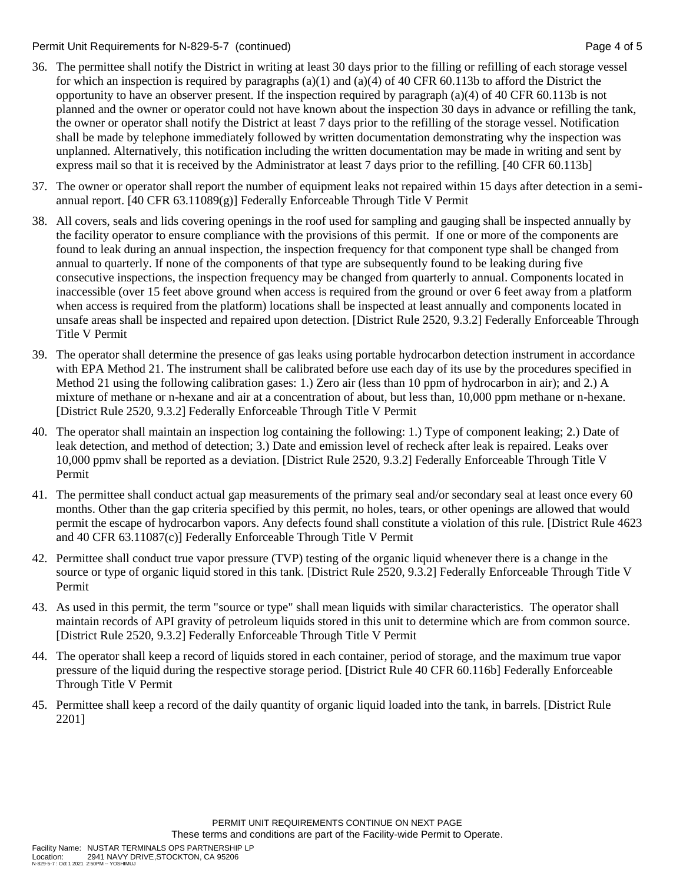Permit Unit Requirements for N-829-5-7 (continued) **Page 4 of 5** and 2011 12:30 Page 4 of 5

- 36. The permittee shall notify the District in writing at least 30 days prior to the filling or refilling of each storage vessel for which an inspection is required by paragraphs (a)(1) and (a)(4) of 40 CFR 60.113b to afford the District the opportunity to have an observer present. If the inspection required by paragraph (a)(4) of 40 CFR 60.113b is not planned and the owner or operator could not have known about the inspection 30 days in advance or refilling the tank, the owner or operator shall notify the District at least 7 days prior to the refilling of the storage vessel. Notification shall be made by telephone immediately followed by written documentation demonstrating why the inspection was unplanned. Alternatively, this notification including the written documentation may be made in writing and sent by express mail so that it is received by the Administrator at least 7 days prior to the refilling. [40 CFR 60.113b]
- 37. The owner or operator shall report the number of equipment leaks not repaired within 15 days after detection in a semiannual report. [40 CFR  $63.11089(g)$ ] Federally Enforceable Through Title V Permit
- 38. All covers, seals and lids covering openings in the roof used for sampling and gauging shall be inspected annually by the facility operator to ensure compliance with the provisions of this permit. If one or more of the components are found to leak during an annual inspection, the inspection frequency for that component type shall be changed from annual to quarterly. If none of the components of that type are subsequently found to be leaking during five consecutive inspections, the inspection frequency may be changed from quarterly to annual. Components located in inaccessible (over 15 feet above ground when access is required from the ground or over 6 feet away from a platform when access is required from the platform) locations shall be inspected at least annually and components located in unsafe areas shall be inspected and repaired upon detection. [District Rule 2520, 9.3.2] Federally Enforceable Through Title V Permit
- 39. The operator shall determine the presence of gas leaks using portable hydrocarbon detection instrument in accordance with EPA Method 21. The instrument shall be calibrated before use each day of its use by the procedures specified in Method 21 using the following calibration gases: 1.) Zero air (less than 10 ppm of hydrocarbon in air); and 2.) A mixture of methane or n-hexane and air at a concentration of about, but less than, 10,000 ppm methane or n-hexane. [District Rule 2520, 9.3.2] Federally Enforceable Through Title V Permit
- 40. The operator shall maintain an inspection log containing the following: 1.) Type of component leaking; 2.) Date of leak detection, and method of detection; 3.) Date and emission level of recheck after leak is repaired. Leaks over 10,000 ppmv shall be reported as a deviation. [District Rule 2520, 9.3.2] Federally Enforceable Through Title V Permit
- 41. The permittee shall conduct actual gap measurements of the primary seal and/or secondary seal at least once every 60 months. Other than the gap criteria specified by this permit, no holes, tears, or other openings are allowed that would permit the escape of hydrocarbon vapors. Any defects found shall constitute a violation of this rule. [District Rule 4623 and 40 CFR 63.11087(c)] Federally Enforceable Through Title V Permit
- 42. Permittee shall conduct true vapor pressure (TVP) testing of the organic liquid whenever there is a change in the source or type of organic liquid stored in this tank. [District Rule 2520, 9.3.2] Federally Enforceable Through Title V Permit
- 43. As used in this permit, the term "source or type" shall mean liquids with similar characteristics. The operator shall maintain records of API gravity of petroleum liquids stored in this unit to determine which are from common source. [District Rule 2520, 9.3.2] Federally Enforceable Through Title V Permit
- 44. The operator shall keep a record of liquids stored in each container, period of storage, and the maximum true vapor pressure of the liquid during the respective storage period. [District Rule 40 CFR 60.116b] Federally Enforceable Through Title V Permit
- 45. Permittee shall keep a record of the daily quantity of organic liquid loaded into the tank, in barrels. [District Rule 2201]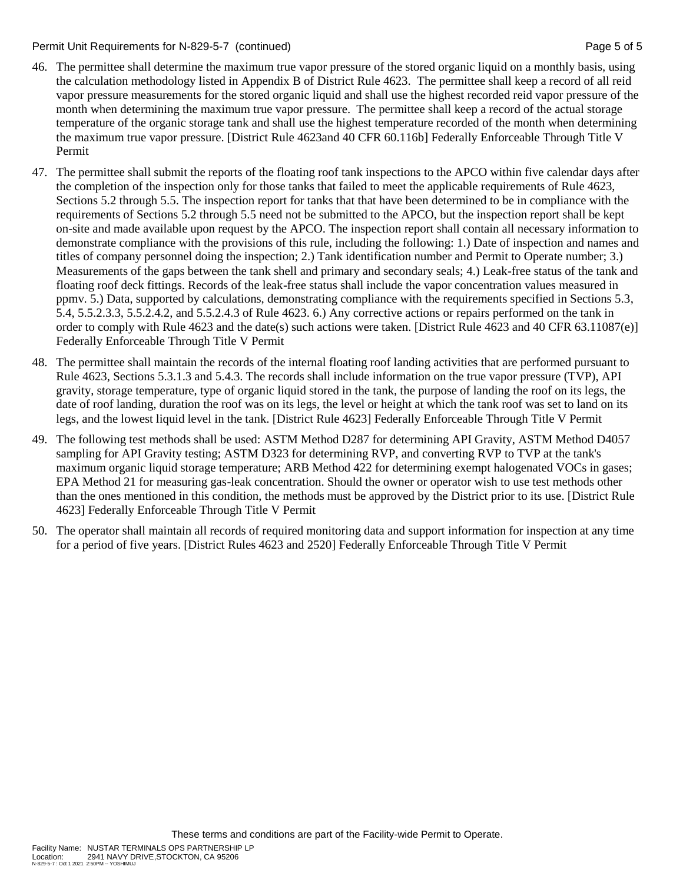#### Permit Unit Requirements for N-829-5-7 (continued) Page 5 of 5

- 46. The permittee shall determine the maximum true vapor pressure of the stored organic liquid on a monthly basis, using the calculation methodology listed in Appendix B of District Rule 4623. The permittee shall keep a record of all reid vapor pressure measurements for the stored organic liquid and shall use the highest recorded reid vapor pressure of the month when determining the maximum true vapor pressure. The permittee shall keep a record of the actual storage temperature of the organic storage tank and shall use the highest temperature recorded of the month when determining the maximum true vapor pressure. [District Rule 4623and 40 CFR 60.116b] Federally Enforceable Through Title V Permit
- 47. The permittee shall submit the reports of the floating roof tank inspections to the APCO within five calendar days after the completion of the inspection only for those tanks that failed to meet the applicable requirements of Rule 4623, Sections 5.2 through 5.5. The inspection report for tanks that that have been determined to be in compliance with the requirements of Sections 5.2 through 5.5 need not be submitted to the APCO, but the inspection report shall be kept on-site and made available upon request by the APCO. The inspection report shall contain all necessary information to demonstrate compliance with the provisions of this rule, including the following: 1.) Date of inspection and names and titles of company personnel doing the inspection; 2.) Tank identification number and Permit to Operate number; 3.) Measurements of the gaps between the tank shell and primary and secondary seals; 4.) Leak-free status of the tank and floating roof deck fittings. Records of the leak-free status shall include the vapor concentration values measured in ppmv. 5.) Data, supported by calculations, demonstrating compliance with the requirements specified in Sections 5.3, 5.4, 5.5.2.3.3, 5.5.2.4.2, and 5.5.2.4.3 of Rule 4623. 6.) Any corrective actions or repairs performed on the tank in order to comply with Rule 4623 and the date(s) such actions were taken. [District Rule 4623 and 40 CFR 63.11087(e)] Federally Enforceable Through Title V Permit
- 48. The permittee shall maintain the records of the internal floating roof landing activities that are performed pursuant to Rule 4623, Sections 5.3.1.3 and 5.4.3. The records shall include information on the true vapor pressure (TVP), API gravity, storage temperature, type of organic liquid stored in the tank, the purpose of landing the roof on its legs, the date of roof landing, duration the roof was on its legs, the level or height at which the tank roof was set to land on its legs, and the lowest liquid level in the tank. [District Rule 4623] Federally Enforceable Through Title V Permit
- 49. The following test methods shall be used: ASTM Method D287 for determining API Gravity, ASTM Method D4057 sampling for API Gravity testing; ASTM D323 for determining RVP, and converting RVP to TVP at the tank's maximum organic liquid storage temperature; ARB Method 422 for determining exempt halogenated VOCs in gases; EPA Method 21 for measuring gas-leak concentration. Should the owner or operator wish to use test methods other than the ones mentioned in this condition, the methods must be approved by the District prior to its use. [District Rule 4623] Federally Enforceable Through Title V Permit
- 50. The operator shall maintain all records of required monitoring data and support information for inspection at any time for a period of five years. [District Rules 4623 and 2520] Federally Enforceable Through Title V Permit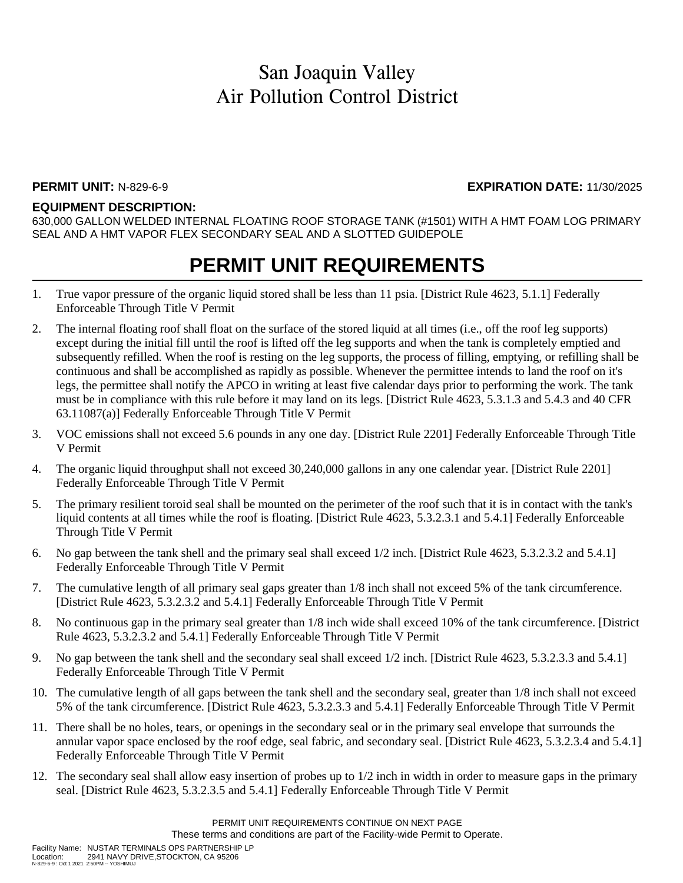### **PERMIT UNIT:** N-829-6-9 **EXPIRATION DATE:** 11/30/2025

#### **EQUIPMENT DESCRIPTION:**

630,000 GALLON WELDED INTERNAL FLOATING ROOF STORAGE TANK (#1501) WITH A HMT FOAM LOG PRIMARY SEAL AND A HMT VAPOR FLEX SECONDARY SEAL AND A SLOTTED GUIDEPOLE

## **PERMIT UNIT REQUIREMENTS**

- 1. True vapor pressure of the organic liquid stored shall be less than 11 psia. [District Rule 4623, 5.1.1] Federally Enforceable Through Title V Permit
- 2. The internal floating roof shall float on the surface of the stored liquid at all times (i.e., off the roof leg supports) except during the initial fill until the roof is lifted off the leg supports and when the tank is completely emptied and subsequently refilled. When the roof is resting on the leg supports, the process of filling, emptying, or refilling shall be continuous and shall be accomplished as rapidly as possible. Whenever the permittee intends to land the roof on it's legs, the permittee shall notify the APCO in writing at least five calendar days prior to performing the work. The tank must be in compliance with this rule before it may land on its legs. [District Rule 4623, 5.3.1.3 and 5.4.3 and 40 CFR 63.11087(a)] Federally Enforceable Through Title V Permit
- 3. VOC emissions shall not exceed 5.6 pounds in any one day. [District Rule 2201] Federally Enforceable Through Title V Permit
- 4. The organic liquid throughput shall not exceed 30,240,000 gallons in any one calendar year. [District Rule 2201] Federally Enforceable Through Title V Permit
- 5. The primary resilient toroid seal shall be mounted on the perimeter of the roof such that it is in contact with the tank's liquid contents at all times while the roof is floating. [District Rule 4623, 5.3.2.3.1 and 5.4.1] Federally Enforceable Through Title V Permit
- 6. No gap between the tank shell and the primary seal shall exceed 1/2 inch. [District Rule 4623, 5.3.2.3.2 and 5.4.1] Federally Enforceable Through Title V Permit
- 7. The cumulative length of all primary seal gaps greater than 1/8 inch shall not exceed 5% of the tank circumference. [District Rule 4623, 5.3.2.3.2 and 5.4.1] Federally Enforceable Through Title V Permit
- 8. No continuous gap in the primary seal greater than 1/8 inch wide shall exceed 10% of the tank circumference. [District Rule 4623, 5.3.2.3.2 and 5.4.1] Federally Enforceable Through Title V Permit
- 9. No gap between the tank shell and the secondary seal shall exceed 1/2 inch. [District Rule 4623, 5.3.2.3.3 and 5.4.1] Federally Enforceable Through Title V Permit
- 10. The cumulative length of all gaps between the tank shell and the secondary seal, greater than 1/8 inch shall not exceed 5% of the tank circumference. [District Rule 4623, 5.3.2.3.3 and 5.4.1] Federally Enforceable Through Title V Permit
- 11. There shall be no holes, tears, or openings in the secondary seal or in the primary seal envelope that surrounds the annular vapor space enclosed by the roof edge, seal fabric, and secondary seal. [District Rule 4623, 5.3.2.3.4 and 5.4.1] Federally Enforceable Through Title V Permit
- 12. The secondary seal shall allow easy insertion of probes up to 1/2 inch in width in order to measure gaps in the primary seal. [District Rule 4623, 5.3.2.3.5 and 5.4.1] Federally Enforceable Through Title V Permit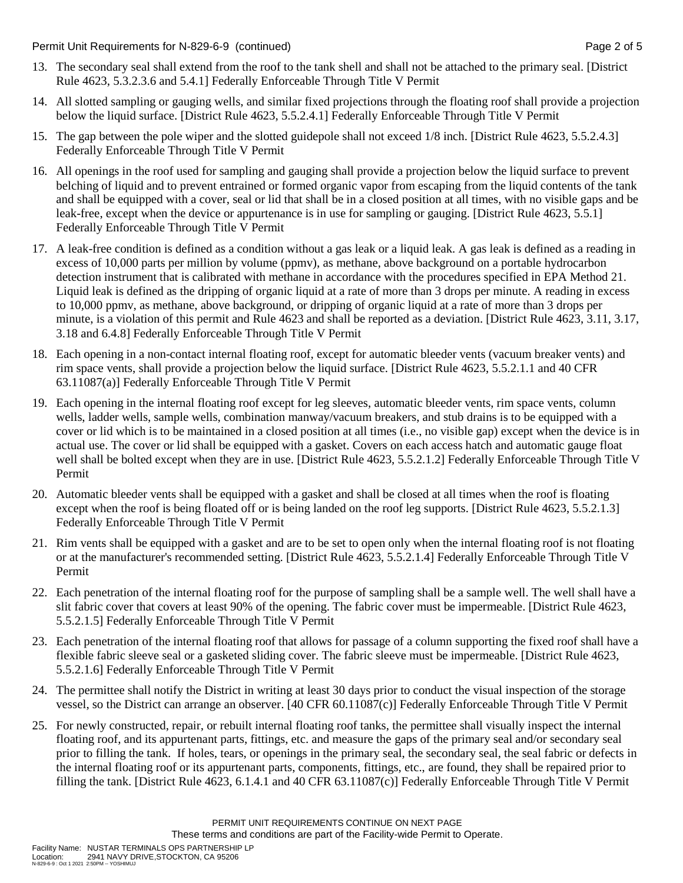Permit Unit Requirements for N-829-6-9 (continued) **Page 2** of 5

- 13. The secondary seal shall extend from the roof to the tank shell and shall not be attached to the primary seal. [District Rule 4623, 5.3.2.3.6 and 5.4.1] Federally Enforceable Through Title V Permit
- 14. All slotted sampling or gauging wells, and similar fixed projections through the floating roof shall provide a projection below the liquid surface. [District Rule 4623, 5.5.2.4.1] Federally Enforceable Through Title V Permit
- 15. The gap between the pole wiper and the slotted guidepole shall not exceed 1/8 inch. [District Rule 4623, 5.5.2.4.3] Federally Enforceable Through Title V Permit
- 16. All openings in the roof used for sampling and gauging shall provide a projection below the liquid surface to prevent belching of liquid and to prevent entrained or formed organic vapor from escaping from the liquid contents of the tank and shall be equipped with a cover, seal or lid that shall be in a closed position at all times, with no visible gaps and be leak-free, except when the device or appurtenance is in use for sampling or gauging. [District Rule 4623, 5.5.1] Federally Enforceable Through Title V Permit
- 17. A leak-free condition is defined as a condition without a gas leak or a liquid leak. A gas leak is defined as a reading in excess of 10,000 parts per million by volume (ppmv), as methane, above background on a portable hydrocarbon detection instrument that is calibrated with methane in accordance with the procedures specified in EPA Method 21. Liquid leak is defined as the dripping of organic liquid at a rate of more than 3 drops per minute. A reading in excess to 10,000 ppmv, as methane, above background, or dripping of organic liquid at a rate of more than 3 drops per minute, is a violation of this permit and Rule 4623 and shall be reported as a deviation. [District Rule 4623, 3.11, 3.17, 3.18 and 6.4.8] Federally Enforceable Through Title V Permit
- 18. Each opening in a non-contact internal floating roof, except for automatic bleeder vents (vacuum breaker vents) and rim space vents, shall provide a projection below the liquid surface. [District Rule 4623, 5.5.2.1.1 and 40 CFR 63.11087(a)] Federally Enforceable Through Title V Permit
- 19. Each opening in the internal floating roof except for leg sleeves, automatic bleeder vents, rim space vents, column wells, ladder wells, sample wells, combination manway/vacuum breakers, and stub drains is to be equipped with a cover or lid which is to be maintained in a closed position at all times (i.e., no visible gap) except when the device is in actual use. The cover or lid shall be equipped with a gasket. Covers on each access hatch and automatic gauge float well shall be bolted except when they are in use. [District Rule 4623, 5.5.2.1.2] Federally Enforceable Through Title V Permit
- 20. Automatic bleeder vents shall be equipped with a gasket and shall be closed at all times when the roof is floating except when the roof is being floated off or is being landed on the roof leg supports. [District Rule 4623, 5.5.2.1.3] Federally Enforceable Through Title V Permit
- 21. Rim vents shall be equipped with a gasket and are to be set to open only when the internal floating roof is not floating or at the manufacturer's recommended setting. [District Rule 4623, 5.5.2.1.4] Federally Enforceable Through Title V Permit
- 22. Each penetration of the internal floating roof for the purpose of sampling shall be a sample well. The well shall have a slit fabric cover that covers at least 90% of the opening. The fabric cover must be impermeable. [District Rule 4623, 5.5.2.1.5] Federally Enforceable Through Title V Permit
- 23. Each penetration of the internal floating roof that allows for passage of a column supporting the fixed roof shall have a flexible fabric sleeve seal or a gasketed sliding cover. The fabric sleeve must be impermeable. [District Rule 4623, 5.5.2.1.6] Federally Enforceable Through Title V Permit
- 24. The permittee shall notify the District in writing at least 30 days prior to conduct the visual inspection of the storage vessel, so the District can arrange an observer. [40 CFR 60.11087(c)] Federally Enforceable Through Title V Permit
- 25. For newly constructed, repair, or rebuilt internal floating roof tanks, the permittee shall visually inspect the internal floating roof, and its appurtenant parts, fittings, etc. and measure the gaps of the primary seal and/or secondary seal prior to filling the tank. If holes, tears, or openings in the primary seal, the secondary seal, the seal fabric or defects in the internal floating roof or its appurtenant parts, components, fittings, etc., are found, they shall be repaired prior to filling the tank. [District Rule 4623, 6.1.4.1 and 40 CFR 63.11087(c)] Federally Enforceable Through Title V Permit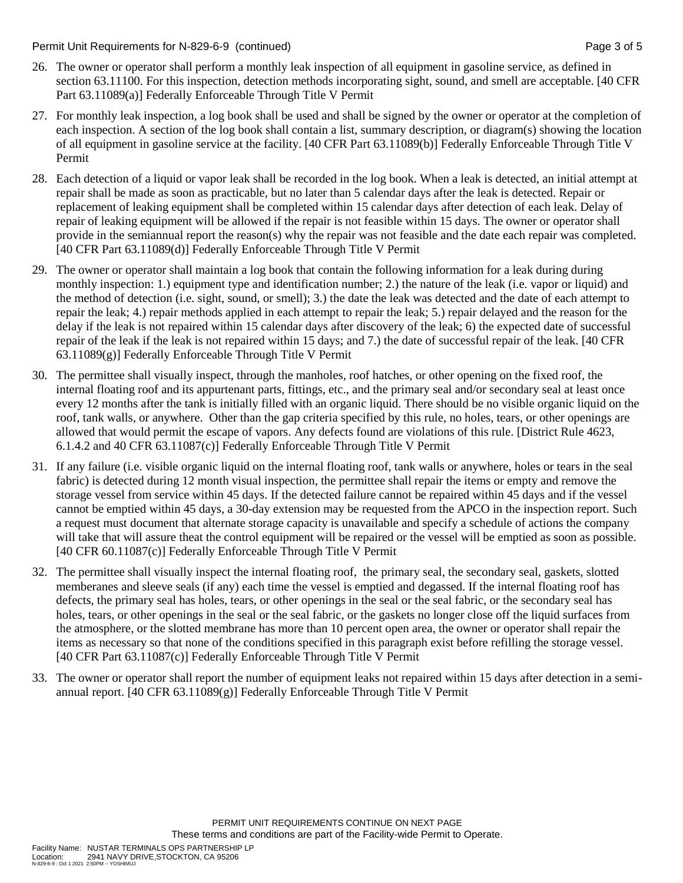Permit Unit Requirements for N-829-6-9 (continued) **Page 3** of 5

- 26. The owner or operator shall perform a monthly leak inspection of all equipment in gasoline service, as defined in section 63.11100. For this inspection, detection methods incorporating sight, sound, and smell are acceptable. [40 CFR Part 63.11089(a)] Federally Enforceable Through Title V Permit
- 27. For monthly leak inspection, a log book shall be used and shall be signed by the owner or operator at the completion of each inspection. A section of the log book shall contain a list, summary description, or diagram(s) showing the location of all equipment in gasoline service at the facility. [40 CFR Part 63.11089(b)] Federally Enforceable Through Title V Permit
- 28. Each detection of a liquid or vapor leak shall be recorded in the log book. When a leak is detected, an initial attempt at repair shall be made as soon as practicable, but no later than 5 calendar days after the leak is detected. Repair or replacement of leaking equipment shall be completed within 15 calendar days after detection of each leak. Delay of repair of leaking equipment will be allowed if the repair is not feasible within 15 days. The owner or operator shall provide in the semiannual report the reason(s) why the repair was not feasible and the date each repair was completed. [40 CFR Part 63.11089(d)] Federally Enforceable Through Title V Permit
- 29. The owner or operator shall maintain a log book that contain the following information for a leak during during monthly inspection: 1.) equipment type and identification number; 2.) the nature of the leak (i.e. vapor or liquid) and the method of detection (i.e. sight, sound, or smell); 3.) the date the leak was detected and the date of each attempt to repair the leak; 4.) repair methods applied in each attempt to repair the leak; 5.) repair delayed and the reason for the delay if the leak is not repaired within 15 calendar days after discovery of the leak; 6) the expected date of successful repair of the leak if the leak is not repaired within 15 days; and 7.) the date of successful repair of the leak. [40 CFR 63.11089(g)] Federally Enforceable Through Title V Permit
- 30. The permittee shall visually inspect, through the manholes, roof hatches, or other opening on the fixed roof, the internal floating roof and its appurtenant parts, fittings, etc., and the primary seal and/or secondary seal at least once every 12 months after the tank is initially filled with an organic liquid. There should be no visible organic liquid on the roof, tank walls, or anywhere. Other than the gap criteria specified by this rule, no holes, tears, or other openings are allowed that would permit the escape of vapors. Any defects found are violations of this rule. [District Rule 4623, 6.1.4.2 and 40 CFR 63.11087(c)] Federally Enforceable Through Title V Permit
- 31. If any failure (i.e. visible organic liquid on the internal floating roof, tank walls or anywhere, holes or tears in the seal fabric) is detected during 12 month visual inspection, the permittee shall repair the items or empty and remove the storage vessel from service within 45 days. If the detected failure cannot be repaired within 45 days and if the vessel cannot be emptied within 45 days, a 30-day extension may be requested from the APCO in the inspection report. Such a request must document that alternate storage capacity is unavailable and specify a schedule of actions the company will take that will assure theat the control equipment will be repaired or the vessel will be emptied as soon as possible. [40 CFR 60.11087(c)] Federally Enforceable Through Title V Permit
- 32. The permittee shall visually inspect the internal floating roof, the primary seal, the secondary seal, gaskets, slotted memberanes and sleeve seals (if any) each time the vessel is emptied and degassed. If the internal floating roof has defects, the primary seal has holes, tears, or other openings in the seal or the seal fabric, or the secondary seal has holes, tears, or other openings in the seal or the seal fabric, or the gaskets no longer close off the liquid surfaces from the atmosphere, or the slotted membrane has more than 10 percent open area, the owner or operator shall repair the items as necessary so that none of the conditions specified in this paragraph exist before refilling the storage vessel. [40 CFR Part 63.11087(c)] Federally Enforceable Through Title V Permit
- 33. The owner or operator shall report the number of equipment leaks not repaired within 15 days after detection in a semiannual report. [40 CFR 63.11089(g)] Federally Enforceable Through Title V Permit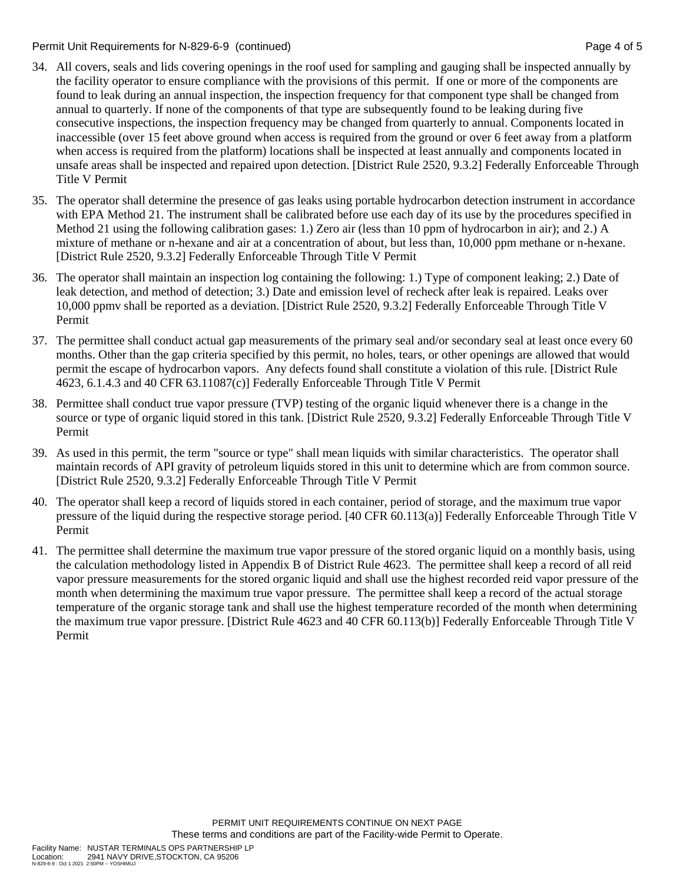Permit Unit Requirements for N-829-6-9 (continued) Page 4 of 5

- 34. All covers, seals and lids covering openings in the roof used for sampling and gauging shall be inspected annually by the facility operator to ensure compliance with the provisions of this permit. If one or more of the components are found to leak during an annual inspection, the inspection frequency for that component type shall be changed from annual to quarterly. If none of the components of that type are subsequently found to be leaking during five consecutive inspections, the inspection frequency may be changed from quarterly to annual. Components located in inaccessible (over 15 feet above ground when access is required from the ground or over 6 feet away from a platform when access is required from the platform) locations shall be inspected at least annually and components located in unsafe areas shall be inspected and repaired upon detection. [District Rule 2520, 9.3.2] Federally Enforceable Through Title V Permit
- 35. The operator shall determine the presence of gas leaks using portable hydrocarbon detection instrument in accordance with EPA Method 21. The instrument shall be calibrated before use each day of its use by the procedures specified in Method 21 using the following calibration gases: 1.) Zero air (less than 10 ppm of hydrocarbon in air); and 2.) A mixture of methane or n-hexane and air at a concentration of about, but less than, 10,000 ppm methane or n-hexane. [District Rule 2520, 9.3.2] Federally Enforceable Through Title V Permit
- 36. The operator shall maintain an inspection log containing the following: 1.) Type of component leaking; 2.) Date of leak detection, and method of detection; 3.) Date and emission level of recheck after leak is repaired. Leaks over 10,000 ppmv shall be reported as a deviation. [District Rule 2520, 9.3.2] Federally Enforceable Through Title V Permit
- 37. The permittee shall conduct actual gap measurements of the primary seal and/or secondary seal at least once every 60 months. Other than the gap criteria specified by this permit, no holes, tears, or other openings are allowed that would permit the escape of hydrocarbon vapors. Any defects found shall constitute a violation of this rule. [District Rule 4623, 6.1.4.3 and 40 CFR 63.11087(c)] Federally Enforceable Through Title V Permit
- 38. Permittee shall conduct true vapor pressure (TVP) testing of the organic liquid whenever there is a change in the source or type of organic liquid stored in this tank. [District Rule 2520, 9.3.2] Federally Enforceable Through Title V Permit
- 39. As used in this permit, the term "source or type" shall mean liquids with similar characteristics. The operator shall maintain records of API gravity of petroleum liquids stored in this unit to determine which are from common source. [District Rule 2520, 9.3.2] Federally Enforceable Through Title V Permit
- 40. The operator shall keep a record of liquids stored in each container, period of storage, and the maximum true vapor pressure of the liquid during the respective storage period. [40 CFR 60.113(a)] Federally Enforceable Through Title V Permit
- 41. The permittee shall determine the maximum true vapor pressure of the stored organic liquid on a monthly basis, using the calculation methodology listed in Appendix B of District Rule 4623. The permittee shall keep a record of all reid vapor pressure measurements for the stored organic liquid and shall use the highest recorded reid vapor pressure of the month when determining the maximum true vapor pressure. The permittee shall keep a record of the actual storage temperature of the organic storage tank and shall use the highest temperature recorded of the month when determining the maximum true vapor pressure. [District Rule 4623 and 40 CFR 60.113(b)] Federally Enforceable Through Title V Permit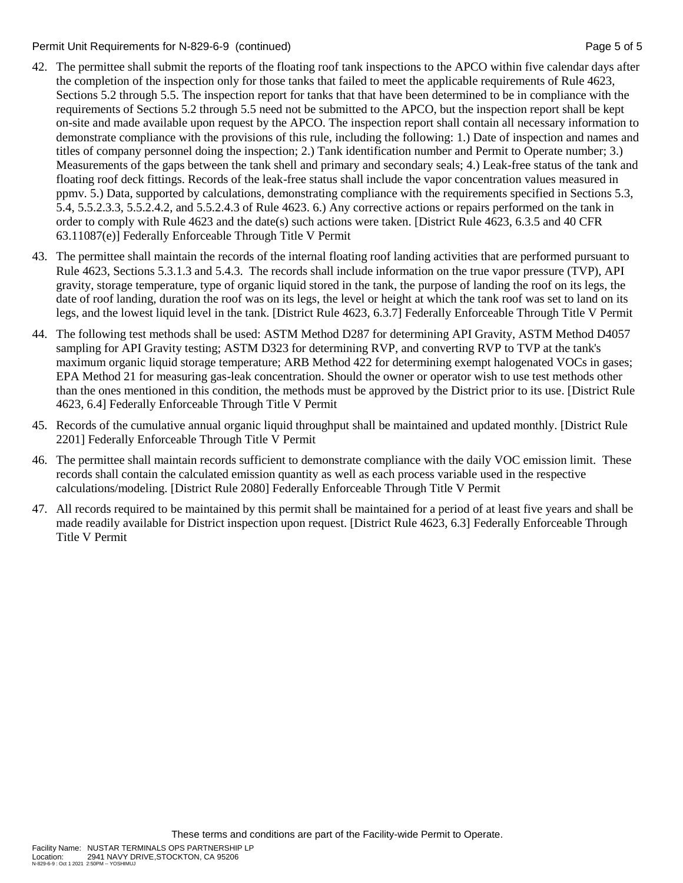Permit Unit Requirements for N-829-6-9 (continued) Page 5 of 5

- 42. The permittee shall submit the reports of the floating roof tank inspections to the APCO within five calendar days after the completion of the inspection only for those tanks that failed to meet the applicable requirements of Rule 4623, Sections 5.2 through 5.5. The inspection report for tanks that that have been determined to be in compliance with the requirements of Sections 5.2 through 5.5 need not be submitted to the APCO, but the inspection report shall be kept on-site and made available upon request by the APCO. The inspection report shall contain all necessary information to demonstrate compliance with the provisions of this rule, including the following: 1.) Date of inspection and names and titles of company personnel doing the inspection; 2.) Tank identification number and Permit to Operate number; 3.) Measurements of the gaps between the tank shell and primary and secondary seals; 4.) Leak-free status of the tank and floating roof deck fittings. Records of the leak-free status shall include the vapor concentration values measured in ppmv. 5.) Data, supported by calculations, demonstrating compliance with the requirements specified in Sections 5.3, 5.4, 5.5.2.3.3, 5.5.2.4.2, and 5.5.2.4.3 of Rule 4623. 6.) Any corrective actions or repairs performed on the tank in order to comply with Rule 4623 and the date(s) such actions were taken. [District Rule 4623, 6.3.5 and 40 CFR 63.11087(e)] Federally Enforceable Through Title V Permit
- 43. The permittee shall maintain the records of the internal floating roof landing activities that are performed pursuant to Rule 4623, Sections 5.3.1.3 and 5.4.3. The records shall include information on the true vapor pressure (TVP), API gravity, storage temperature, type of organic liquid stored in the tank, the purpose of landing the roof on its legs, the date of roof landing, duration the roof was on its legs, the level or height at which the tank roof was set to land on its legs, and the lowest liquid level in the tank. [District Rule 4623, 6.3.7] Federally Enforceable Through Title V Permit
- 44. The following test methods shall be used: ASTM Method D287 for determining API Gravity, ASTM Method D4057 sampling for API Gravity testing; ASTM D323 for determining RVP, and converting RVP to TVP at the tank's maximum organic liquid storage temperature; ARB Method 422 for determining exempt halogenated VOCs in gases; EPA Method 21 for measuring gas-leak concentration. Should the owner or operator wish to use test methods other than the ones mentioned in this condition, the methods must be approved by the District prior to its use. [District Rule 4623, 6.4] Federally Enforceable Through Title V Permit
- 45. Records of the cumulative annual organic liquid throughput shall be maintained and updated monthly. [District Rule 2201] Federally Enforceable Through Title V Permit
- 46. The permittee shall maintain records sufficient to demonstrate compliance with the daily VOC emission limit. These records shall contain the calculated emission quantity as well as each process variable used in the respective calculations/modeling. [District Rule 2080] Federally Enforceable Through Title V Permit
- 47. All records required to be maintained by this permit shall be maintained for a period of at least five years and shall be made readily available for District inspection upon request. [District Rule 4623, 6.3] Federally Enforceable Through Title V Permit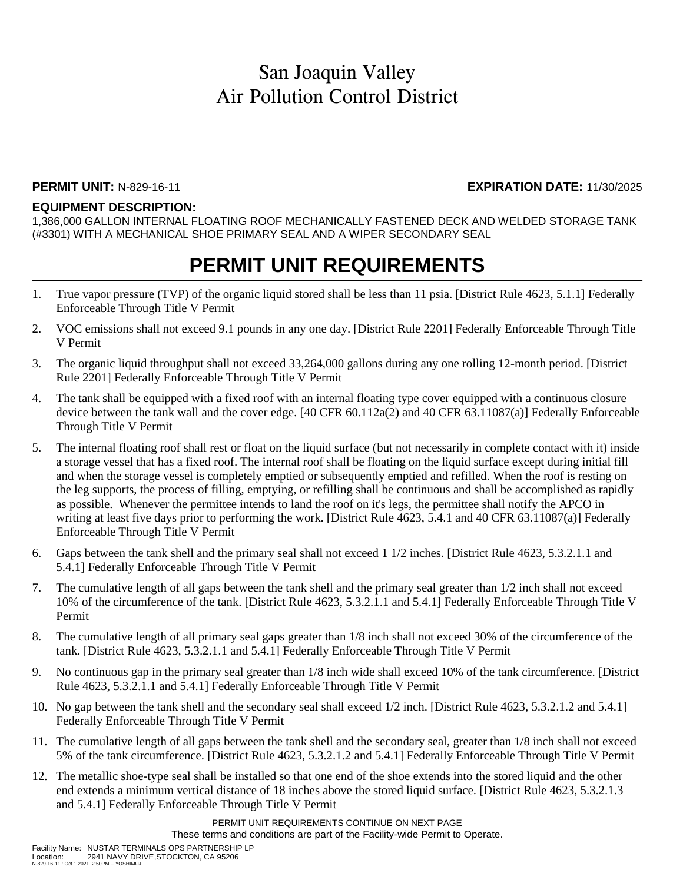#### **PERMIT UNIT:** N-829-16-11 **EXPIRATION DATE:** 11/30/2025

#### **EQUIPMENT DESCRIPTION:**

1,386,000 GALLON INTERNAL FLOATING ROOF MECHANICALLY FASTENED DECK AND WELDED STORAGE TANK (#3301) WITH A MECHANICAL SHOE PRIMARY SEAL AND A WIPER SECONDARY SEAL

### **PERMIT UNIT REQUIREMENTS**

- 1. True vapor pressure (TVP) of the organic liquid stored shall be less than 11 psia. [District Rule 4623, 5.1.1] Federally Enforceable Through Title V Permit
- 2. VOC emissions shall not exceed 9.1 pounds in any one day. [District Rule 2201] Federally Enforceable Through Title V Permit
- 3. The organic liquid throughput shall not exceed 33,264,000 gallons during any one rolling 12-month period. [District Rule 2201] Federally Enforceable Through Title V Permit
- 4. The tank shall be equipped with a fixed roof with an internal floating type cover equipped with a continuous closure device between the tank wall and the cover edge. [40 CFR 60.112a(2) and 40 CFR 63.11087(a)] Federally Enforceable Through Title V Permit
- 5. The internal floating roof shall rest or float on the liquid surface (but not necessarily in complete contact with it) inside a storage vessel that has a fixed roof. The internal roof shall be floating on the liquid surface except during initial fill and when the storage vessel is completely emptied or subsequently emptied and refilled. When the roof is resting on the leg supports, the process of filling, emptying, or refilling shall be continuous and shall be accomplished as rapidly as possible. Whenever the permittee intends to land the roof on it's legs, the permittee shall notify the APCO in writing at least five days prior to performing the work. [District Rule 4623, 5.4.1 and 40 CFR 63.11087(a)] Federally Enforceable Through Title V Permit
- 6. Gaps between the tank shell and the primary seal shall not exceed 1 1/2 inches. [District Rule 4623, 5.3.2.1.1 and 5.4.1] Federally Enforceable Through Title V Permit
- 7. The cumulative length of all gaps between the tank shell and the primary seal greater than 1/2 inch shall not exceed 10% of the circumference of the tank. [District Rule 4623, 5.3.2.1.1 and 5.4.1] Federally Enforceable Through Title V Permit
- 8. The cumulative length of all primary seal gaps greater than 1/8 inch shall not exceed 30% of the circumference of the tank. [District Rule 4623, 5.3.2.1.1 and 5.4.1] Federally Enforceable Through Title V Permit
- 9. No continuous gap in the primary seal greater than 1/8 inch wide shall exceed 10% of the tank circumference. [District Rule 4623, 5.3.2.1.1 and 5.4.1] Federally Enforceable Through Title V Permit
- 10. No gap between the tank shell and the secondary seal shall exceed 1/2 inch. [District Rule 4623, 5.3.2.1.2 and 5.4.1] Federally Enforceable Through Title V Permit
- 11. The cumulative length of all gaps between the tank shell and the secondary seal, greater than 1/8 inch shall not exceed 5% of the tank circumference. [District Rule 4623, 5.3.2.1.2 and 5.4.1] Federally Enforceable Through Title V Permit
- 12. The metallic shoe-type seal shall be installed so that one end of the shoe extends into the stored liquid and the other end extends a minimum vertical distance of 18 inches above the stored liquid surface. [District Rule 4623, 5.3.2.1.3 and 5.4.1] Federally Enforceable Through Title V Permit

PERMIT UNIT REQUIREMENTS CONTINUE ON NEXT PAGE

These terms and conditions are part of the Facility-wide Permit to Operate.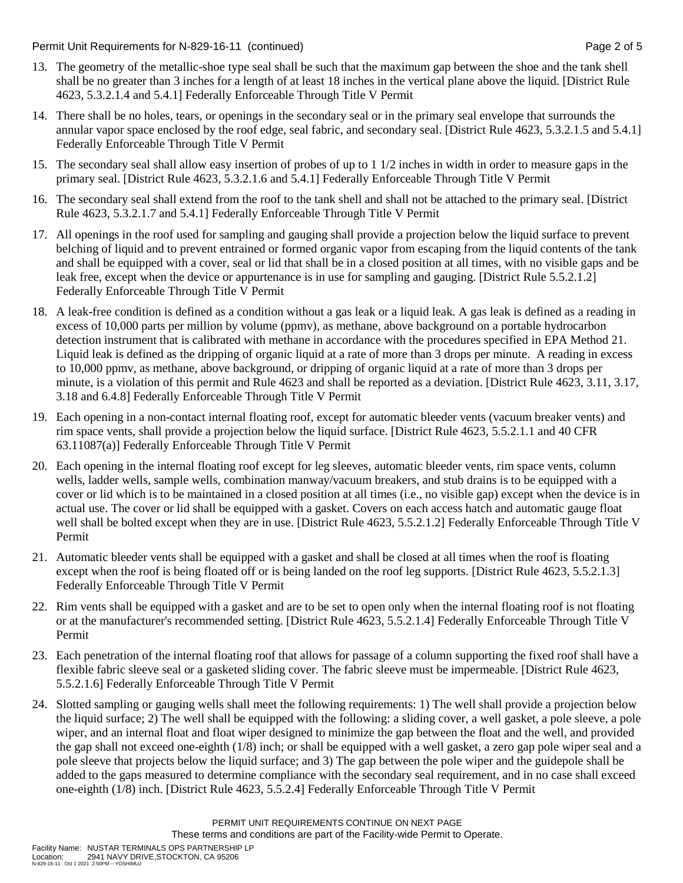Permit Unit Requirements for N-829-16-11 (continued) **Page 2** of 5

- 13. The geometry of the metallic-shoe type seal shall be such that the maximum gap between the shoe and the tank shell shall be no greater than 3 inches for a length of at least 18 inches in the vertical plane above the liquid. [District Rule 4623, 5.3.2.1.4 and 5.4.1] Federally Enforceable Through Title V Permit
- 14. There shall be no holes, tears, or openings in the secondary seal or in the primary seal envelope that surrounds the annular vapor space enclosed by the roof edge, seal fabric, and secondary seal. [District Rule 4623, 5.3.2.1.5 and 5.4.1] Federally Enforceable Through Title V Permit
- 15. The secondary seal shall allow easy insertion of probes of up to 1 1/2 inches in width in order to measure gaps in the primary seal. [District Rule 4623, 5.3.2.1.6 and 5.4.1] Federally Enforceable Through Title V Permit
- 16. The secondary seal shall extend from the roof to the tank shell and shall not be attached to the primary seal. [District Rule 4623, 5.3.2.1.7 and 5.4.1] Federally Enforceable Through Title V Permit
- 17. All openings in the roof used for sampling and gauging shall provide a projection below the liquid surface to prevent belching of liquid and to prevent entrained or formed organic vapor from escaping from the liquid contents of the tank and shall be equipped with a cover, seal or lid that shall be in a closed position at all times, with no visible gaps and be leak free, except when the device or appurtenance is in use for sampling and gauging. [District Rule 5.5.2.1.2] Federally Enforceable Through Title V Permit
- 18. A leak-free condition is defined as a condition without a gas leak or a liquid leak. A gas leak is defined as a reading in excess of 10,000 parts per million by volume (ppmv), as methane, above background on a portable hydrocarbon detection instrument that is calibrated with methane in accordance with the procedures specified in EPA Method 21. Liquid leak is defined as the dripping of organic liquid at a rate of more than 3 drops per minute. A reading in excess to 10,000 ppmv, as methane, above background, or dripping of organic liquid at a rate of more than 3 drops per minute, is a violation of this permit and Rule 4623 and shall be reported as a deviation. [District Rule 4623, 3.11, 3.17, 3.18 and 6.4.8] Federally Enforceable Through Title V Permit
- 19. Each opening in a non-contact internal floating roof, except for automatic bleeder vents (vacuum breaker vents) and rim space vents, shall provide a projection below the liquid surface. [District Rule 4623, 5.5.2.1.1 and 40 CFR 63.11087(a)] Federally Enforceable Through Title V Permit
- 20. Each opening in the internal floating roof except for leg sleeves, automatic bleeder vents, rim space vents, column wells, ladder wells, sample wells, combination manway/vacuum breakers, and stub drains is to be equipped with a cover or lid which is to be maintained in a closed position at all times (i.e., no visible gap) except when the device is in actual use. The cover or lid shall be equipped with a gasket. Covers on each access hatch and automatic gauge float well shall be bolted except when they are in use. [District Rule 4623, 5.5.2.1.2] Federally Enforceable Through Title V Permit
- 21. Automatic bleeder vents shall be equipped with a gasket and shall be closed at all times when the roof is floating except when the roof is being floated off or is being landed on the roof leg supports. [District Rule 4623, 5.5.2.1.3] Federally Enforceable Through Title V Permit
- 22. Rim vents shall be equipped with a gasket and are to be set to open only when the internal floating roof is not floating or at the manufacturer's recommended setting. [District Rule 4623, 5.5.2.1.4] Federally Enforceable Through Title V Permit
- 23. Each penetration of the internal floating roof that allows for passage of a column supporting the fixed roof shall have a flexible fabric sleeve seal or a gasketed sliding cover. The fabric sleeve must be impermeable. [District Rule 4623, 5.5.2.1.6] Federally Enforceable Through Title V Permit
- 24. Slotted sampling or gauging wells shall meet the following requirements: 1) The well shall provide a projection below the liquid surface; 2) The well shall be equipped with the following: a sliding cover, a well gasket, a pole sleeve, a pole wiper, and an internal float and float wiper designed to minimize the gap between the float and the well, and provided the gap shall not exceed one-eighth (1/8) inch; or shall be equipped with a well gasket, a zero gap pole wiper seal and a pole sleeve that projects below the liquid surface; and 3) The gap between the pole wiper and the guidepole shall be added to the gaps measured to determine compliance with the secondary seal requirement, and in no case shall exceed one-eighth (1/8) inch. [District Rule 4623, 5.5.2.4] Federally Enforceable Through Title V Permit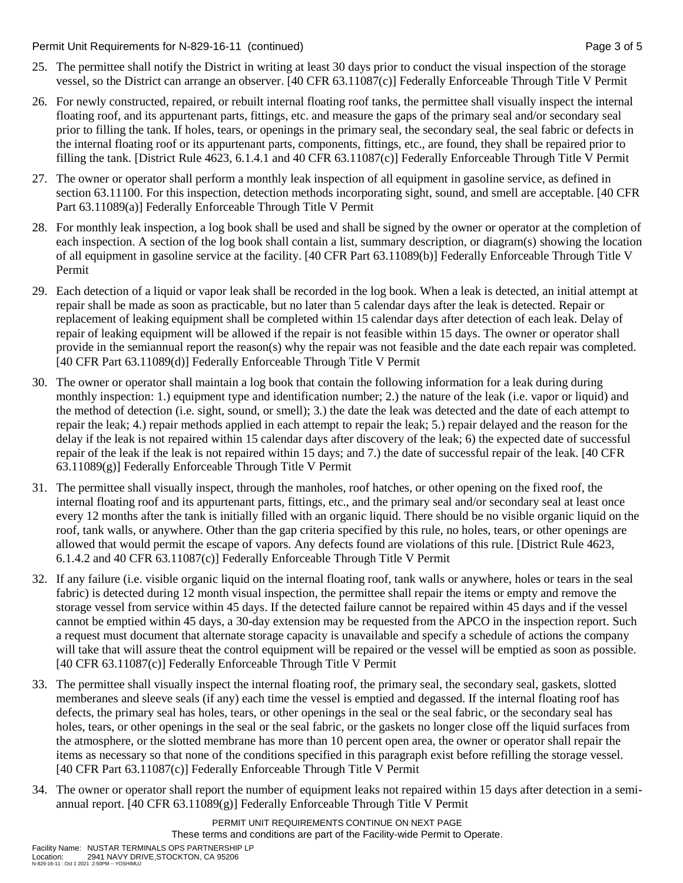Permit Unit Requirements for N-829-16-11 (continued) **Page 3** of 5

- 25. The permittee shall notify the District in writing at least 30 days prior to conduct the visual inspection of the storage vessel, so the District can arrange an observer. [40 CFR 63.11087(c)] Federally Enforceable Through Title V Permit
- 26. For newly constructed, repaired, or rebuilt internal floating roof tanks, the permittee shall visually inspect the internal floating roof, and its appurtenant parts, fittings, etc. and measure the gaps of the primary seal and/or secondary seal prior to filling the tank. If holes, tears, or openings in the primary seal, the secondary seal, the seal fabric or defects in the internal floating roof or its appurtenant parts, components, fittings, etc., are found, they shall be repaired prior to filling the tank. [District Rule 4623, 6.1.4.1 and 40 CFR 63.11087(c)] Federally Enforceable Through Title V Permit
- 27. The owner or operator shall perform a monthly leak inspection of all equipment in gasoline service, as defined in section 63.11100. For this inspection, detection methods incorporating sight, sound, and smell are acceptable. [40 CFR Part 63.11089(a)] Federally Enforceable Through Title V Permit
- 28. For monthly leak inspection, a log book shall be used and shall be signed by the owner or operator at the completion of each inspection. A section of the log book shall contain a list, summary description, or diagram(s) showing the location of all equipment in gasoline service at the facility. [40 CFR Part 63.11089(b)] Federally Enforceable Through Title V Permit
- 29. Each detection of a liquid or vapor leak shall be recorded in the log book. When a leak is detected, an initial attempt at repair shall be made as soon as practicable, but no later than 5 calendar days after the leak is detected. Repair or replacement of leaking equipment shall be completed within 15 calendar days after detection of each leak. Delay of repair of leaking equipment will be allowed if the repair is not feasible within 15 days. The owner or operator shall provide in the semiannual report the reason(s) why the repair was not feasible and the date each repair was completed. [40 CFR Part 63.11089(d)] Federally Enforceable Through Title V Permit
- 30. The owner or operator shall maintain a log book that contain the following information for a leak during during monthly inspection: 1.) equipment type and identification number; 2.) the nature of the leak (i.e. vapor or liquid) and the method of detection (i.e. sight, sound, or smell); 3.) the date the leak was detected and the date of each attempt to repair the leak; 4.) repair methods applied in each attempt to repair the leak; 5.) repair delayed and the reason for the delay if the leak is not repaired within 15 calendar days after discovery of the leak; 6) the expected date of successful repair of the leak if the leak is not repaired within 15 days; and 7.) the date of successful repair of the leak. [40 CFR 63.11089(g)] Federally Enforceable Through Title V Permit
- 31. The permittee shall visually inspect, through the manholes, roof hatches, or other opening on the fixed roof, the internal floating roof and its appurtenant parts, fittings, etc., and the primary seal and/or secondary seal at least once every 12 months after the tank is initially filled with an organic liquid. There should be no visible organic liquid on the roof, tank walls, or anywhere. Other than the gap criteria specified by this rule, no holes, tears, or other openings are allowed that would permit the escape of vapors. Any defects found are violations of this rule. [District Rule 4623, 6.1.4.2 and 40 CFR 63.11087(c)] Federally Enforceable Through Title V Permit
- 32. If any failure (i.e. visible organic liquid on the internal floating roof, tank walls or anywhere, holes or tears in the seal fabric) is detected during 12 month visual inspection, the permittee shall repair the items or empty and remove the storage vessel from service within 45 days. If the detected failure cannot be repaired within 45 days and if the vessel cannot be emptied within 45 days, a 30-day extension may be requested from the APCO in the inspection report. Such a request must document that alternate storage capacity is unavailable and specify a schedule of actions the company will take that will assure theat the control equipment will be repaired or the vessel will be emptied as soon as possible. [40 CFR 63.11087(c)] Federally Enforceable Through Title V Permit
- 33. The permittee shall visually inspect the internal floating roof, the primary seal, the secondary seal, gaskets, slotted memberanes and sleeve seals (if any) each time the vessel is emptied and degassed. If the internal floating roof has defects, the primary seal has holes, tears, or other openings in the seal or the seal fabric, or the secondary seal has holes, tears, or other openings in the seal or the seal fabric, or the gaskets no longer close off the liquid surfaces from the atmosphere, or the slotted membrane has more than 10 percent open area, the owner or operator shall repair the items as necessary so that none of the conditions specified in this paragraph exist before refilling the storage vessel. [40 CFR Part 63.11087(c)] Federally Enforceable Through Title V Permit
- 34. The owner or operator shall report the number of equipment leaks not repaired within 15 days after detection in a semiannual report. [40 CFR 63.11089(g)] Federally Enforceable Through Title V Permit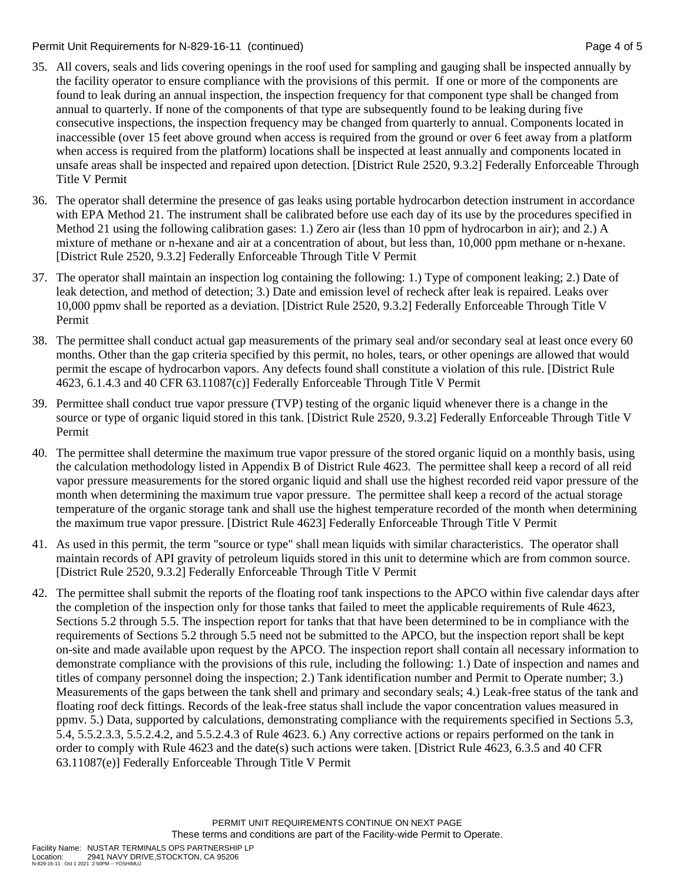#### Permit Unit Requirements for N-829-16-11 (continued) example 2 and the state of the Page 4 of 5

- 35. All covers, seals and lids covering openings in the roof used for sampling and gauging shall be inspected annually by the facility operator to ensure compliance with the provisions of this permit. If one or more of the components are found to leak during an annual inspection, the inspection frequency for that component type shall be changed from annual to quarterly. If none of the components of that type are subsequently found to be leaking during five consecutive inspections, the inspection frequency may be changed from quarterly to annual. Components located in inaccessible (over 15 feet above ground when access is required from the ground or over 6 feet away from a platform when access is required from the platform) locations shall be inspected at least annually and components located in unsafe areas shall be inspected and repaired upon detection. [District Rule 2520, 9.3.2] Federally Enforceable Through Title V Permit
- 36. The operator shall determine the presence of gas leaks using portable hydrocarbon detection instrument in accordance with EPA Method 21. The instrument shall be calibrated before use each day of its use by the procedures specified in Method 21 using the following calibration gases: 1.) Zero air (less than 10 ppm of hydrocarbon in air); and 2.) A mixture of methane or n-hexane and air at a concentration of about, but less than, 10,000 ppm methane or n-hexane. [District Rule 2520, 9.3.2] Federally Enforceable Through Title V Permit
- 37. The operator shall maintain an inspection log containing the following: 1.) Type of component leaking; 2.) Date of leak detection, and method of detection; 3.) Date and emission level of recheck after leak is repaired. Leaks over 10,000 ppmv shall be reported as a deviation. [District Rule 2520, 9.3.2] Federally Enforceable Through Title V Permit
- 38. The permittee shall conduct actual gap measurements of the primary seal and/or secondary seal at least once every 60 months. Other than the gap criteria specified by this permit, no holes, tears, or other openings are allowed that would permit the escape of hydrocarbon vapors. Any defects found shall constitute a violation of this rule. [District Rule 4623, 6.1.4.3 and 40 CFR 63.11087(c)] Federally Enforceable Through Title V Permit
- 39. Permittee shall conduct true vapor pressure (TVP) testing of the organic liquid whenever there is a change in the source or type of organic liquid stored in this tank. [District Rule 2520, 9.3.2] Federally Enforceable Through Title V Permit
- 40. The permittee shall determine the maximum true vapor pressure of the stored organic liquid on a monthly basis, using the calculation methodology listed in Appendix B of District Rule 4623. The permittee shall keep a record of all reid vapor pressure measurements for the stored organic liquid and shall use the highest recorded reid vapor pressure of the month when determining the maximum true vapor pressure. The permittee shall keep a record of the actual storage temperature of the organic storage tank and shall use the highest temperature recorded of the month when determining the maximum true vapor pressure. [District Rule 4623] Federally Enforceable Through Title V Permit
- 41. As used in this permit, the term "source or type" shall mean liquids with similar characteristics. The operator shall maintain records of API gravity of petroleum liquids stored in this unit to determine which are from common source. [District Rule 2520, 9.3.2] Federally Enforceable Through Title V Permit
- 42. The permittee shall submit the reports of the floating roof tank inspections to the APCO within five calendar days after the completion of the inspection only for those tanks that failed to meet the applicable requirements of Rule 4623, Sections 5.2 through 5.5. The inspection report for tanks that that have been determined to be in compliance with the requirements of Sections 5.2 through 5.5 need not be submitted to the APCO, but the inspection report shall be kept on-site and made available upon request by the APCO. The inspection report shall contain all necessary information to demonstrate compliance with the provisions of this rule, including the following: 1.) Date of inspection and names and titles of company personnel doing the inspection; 2.) Tank identification number and Permit to Operate number; 3.) Measurements of the gaps between the tank shell and primary and secondary seals; 4.) Leak-free status of the tank and floating roof deck fittings. Records of the leak-free status shall include the vapor concentration values measured in ppmv. 5.) Data, supported by calculations, demonstrating compliance with the requirements specified in Sections 5.3, 5.4, 5.5.2.3.3, 5.5.2.4.2, and 5.5.2.4.3 of Rule 4623. 6.) Any corrective actions or repairs performed on the tank in order to comply with Rule 4623 and the date(s) such actions were taken. [District Rule 4623, 6.3.5 and 40 CFR 63.11087(e)] Federally Enforceable Through Title V Permit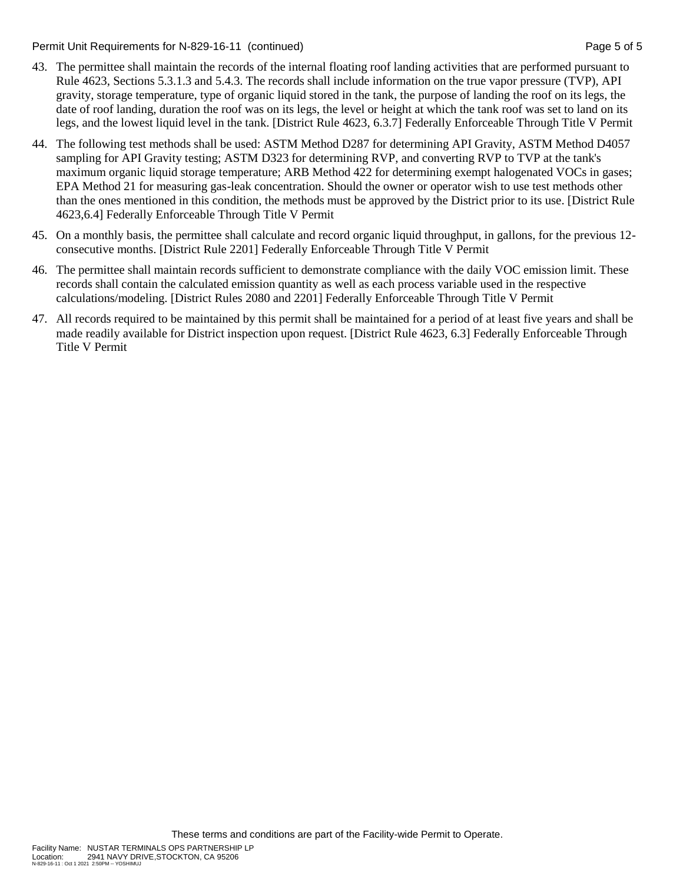Permit Unit Requirements for N-829-16-11 (continued) **Page 5 of 5** and 2011 **Page 5 of 5** and 2011 **Page 5 of 5** 

- 43. The permittee shall maintain the records of the internal floating roof landing activities that are performed pursuant to Rule 4623, Sections 5.3.1.3 and 5.4.3. The records shall include information on the true vapor pressure (TVP), API gravity, storage temperature, type of organic liquid stored in the tank, the purpose of landing the roof on its legs, the date of roof landing, duration the roof was on its legs, the level or height at which the tank roof was set to land on its legs, and the lowest liquid level in the tank. [District Rule 4623, 6.3.7] Federally Enforceable Through Title V Permit
- 44. The following test methods shall be used: ASTM Method D287 for determining API Gravity, ASTM Method D4057 sampling for API Gravity testing; ASTM D323 for determining RVP, and converting RVP to TVP at the tank's maximum organic liquid storage temperature; ARB Method 422 for determining exempt halogenated VOCs in gases; EPA Method 21 for measuring gas-leak concentration. Should the owner or operator wish to use test methods other than the ones mentioned in this condition, the methods must be approved by the District prior to its use. [District Rule 4623,6.4] Federally Enforceable Through Title V Permit
- 45. On a monthly basis, the permittee shall calculate and record organic liquid throughput, in gallons, for the previous 12 consecutive months. [District Rule 2201] Federally Enforceable Through Title V Permit
- 46. The permittee shall maintain records sufficient to demonstrate compliance with the daily VOC emission limit. These records shall contain the calculated emission quantity as well as each process variable used in the respective calculations/modeling. [District Rules 2080 and 2201] Federally Enforceable Through Title V Permit
- 47. All records required to be maintained by this permit shall be maintained for a period of at least five years and shall be made readily available for District inspection upon request. [District Rule 4623, 6.3] Federally Enforceable Through Title V Permit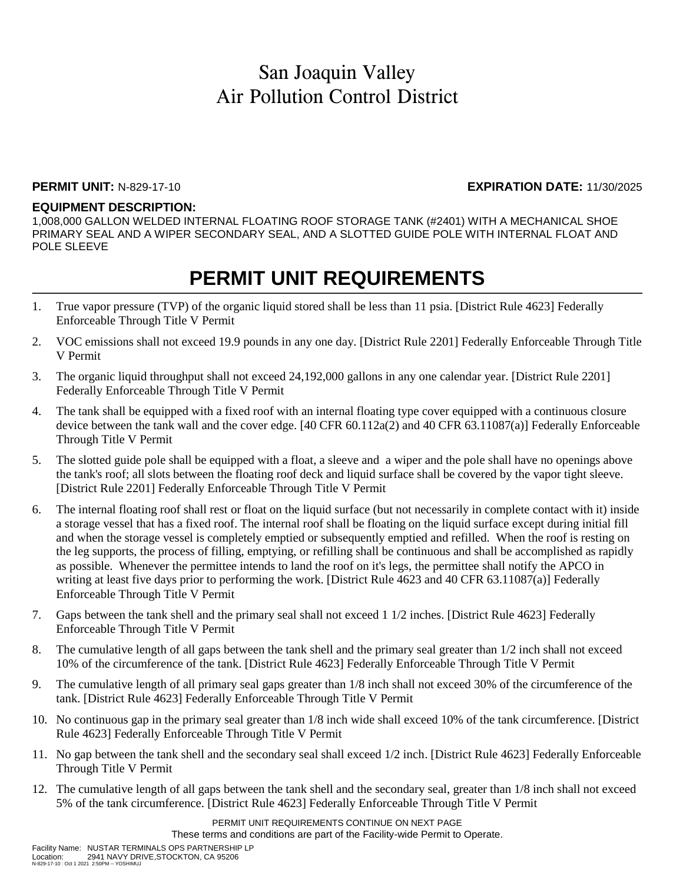#### **PERMIT UNIT:** N-829-17-10 **EXPIRATION DATE:** 11/30/2025

### **EQUIPMENT DESCRIPTION:**

1,008,000 GALLON WELDED INTERNAL FLOATING ROOF STORAGE TANK (#2401) WITH A MECHANICAL SHOE PRIMARY SEAL AND A WIPER SECONDARY SEAL, AND A SLOTTED GUIDE POLE WITH INTERNAL FLOAT AND POLE SLEEVE

## **PERMIT UNIT REQUIREMENTS**

- 1. True vapor pressure (TVP) of the organic liquid stored shall be less than 11 psia. [District Rule 4623] Federally Enforceable Through Title V Permit
- 2. VOC emissions shall not exceed 19.9 pounds in any one day. [District Rule 2201] Federally Enforceable Through Title V Permit
- 3. The organic liquid throughput shall not exceed 24,192,000 gallons in any one calendar year. [District Rule 2201] Federally Enforceable Through Title V Permit
- 4. The tank shall be equipped with a fixed roof with an internal floating type cover equipped with a continuous closure device between the tank wall and the cover edge. [40 CFR 60.112a(2) and 40 CFR 63.11087(a)] Federally Enforceable Through Title V Permit
- 5. The slotted guide pole shall be equipped with a float, a sleeve and a wiper and the pole shall have no openings above the tank's roof; all slots between the floating roof deck and liquid surface shall be covered by the vapor tight sleeve. [District Rule 2201] Federally Enforceable Through Title V Permit
- 6. The internal floating roof shall rest or float on the liquid surface (but not necessarily in complete contact with it) inside a storage vessel that has a fixed roof. The internal roof shall be floating on the liquid surface except during initial fill and when the storage vessel is completely emptied or subsequently emptied and refilled. When the roof is resting on the leg supports, the process of filling, emptying, or refilling shall be continuous and shall be accomplished as rapidly as possible. Whenever the permittee intends to land the roof on it's legs, the permittee shall notify the APCO in writing at least five days prior to performing the work. [District Rule 4623 and 40 CFR 63.11087(a)] Federally Enforceable Through Title V Permit
- 7. Gaps between the tank shell and the primary seal shall not exceed 1 1/2 inches. [District Rule 4623] Federally Enforceable Through Title V Permit
- 8. The cumulative length of all gaps between the tank shell and the primary seal greater than 1/2 inch shall not exceed 10% of the circumference of the tank. [District Rule 4623] Federally Enforceable Through Title V Permit
- 9. The cumulative length of all primary seal gaps greater than 1/8 inch shall not exceed 30% of the circumference of the tank. [District Rule 4623] Federally Enforceable Through Title V Permit
- 10. No continuous gap in the primary seal greater than 1/8 inch wide shall exceed 10% of the tank circumference. [District Rule 4623] Federally Enforceable Through Title V Permit
- 11. No gap between the tank shell and the secondary seal shall exceed 1/2 inch. [District Rule 4623] Federally Enforceable Through Title V Permit
- 12. The cumulative length of all gaps between the tank shell and the secondary seal, greater than 1/8 inch shall not exceed 5% of the tank circumference. [District Rule 4623] Federally Enforceable Through Title V Permit

PERMIT UNIT REQUIREMENTS CONTINUE ON NEXT PAGE These terms and conditions are part of the Facility-wide Permit to Operate.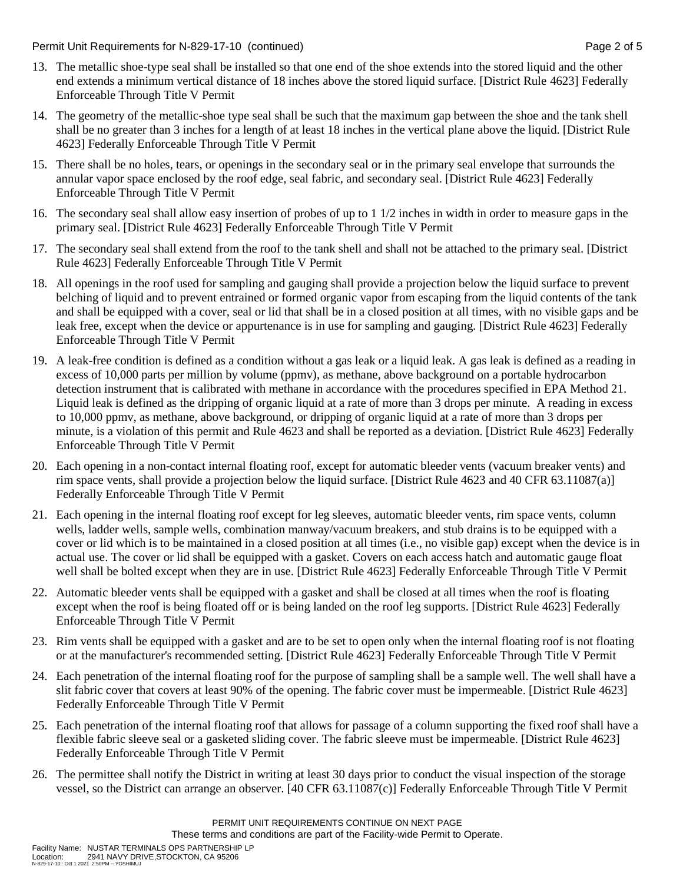Permit Unit Requirements for N-829-17-10 (continued) example 2 and 2 of 5

- 13. The metallic shoe-type seal shall be installed so that one end of the shoe extends into the stored liquid and the other end extends a minimum vertical distance of 18 inches above the stored liquid surface. [District Rule 4623] Federally Enforceable Through Title V Permit
- 14. The geometry of the metallic-shoe type seal shall be such that the maximum gap between the shoe and the tank shell shall be no greater than 3 inches for a length of at least 18 inches in the vertical plane above the liquid. [District Rule 4623] Federally Enforceable Through Title V Permit
- 15. There shall be no holes, tears, or openings in the secondary seal or in the primary seal envelope that surrounds the annular vapor space enclosed by the roof edge, seal fabric, and secondary seal. [District Rule 4623] Federally Enforceable Through Title V Permit
- 16. The secondary seal shall allow easy insertion of probes of up to 1 1/2 inches in width in order to measure gaps in the primary seal. [District Rule 4623] Federally Enforceable Through Title V Permit
- 17. The secondary seal shall extend from the roof to the tank shell and shall not be attached to the primary seal. [District Rule 4623] Federally Enforceable Through Title V Permit
- 18. All openings in the roof used for sampling and gauging shall provide a projection below the liquid surface to prevent belching of liquid and to prevent entrained or formed organic vapor from escaping from the liquid contents of the tank and shall be equipped with a cover, seal or lid that shall be in a closed position at all times, with no visible gaps and be leak free, except when the device or appurtenance is in use for sampling and gauging. [District Rule 4623] Federally Enforceable Through Title V Permit
- 19. A leak-free condition is defined as a condition without a gas leak or a liquid leak. A gas leak is defined as a reading in excess of 10,000 parts per million by volume (ppmv), as methane, above background on a portable hydrocarbon detection instrument that is calibrated with methane in accordance with the procedures specified in EPA Method 21. Liquid leak is defined as the dripping of organic liquid at a rate of more than 3 drops per minute. A reading in excess to 10,000 ppmv, as methane, above background, or dripping of organic liquid at a rate of more than 3 drops per minute, is a violation of this permit and Rule 4623 and shall be reported as a deviation. [District Rule 4623] Federally Enforceable Through Title V Permit
- 20. Each opening in a non-contact internal floating roof, except for automatic bleeder vents (vacuum breaker vents) and rim space vents, shall provide a projection below the liquid surface. [District Rule 4623 and 40 CFR 63.11087(a)] Federally Enforceable Through Title V Permit
- 21. Each opening in the internal floating roof except for leg sleeves, automatic bleeder vents, rim space vents, column wells, ladder wells, sample wells, combination manway/vacuum breakers, and stub drains is to be equipped with a cover or lid which is to be maintained in a closed position at all times (i.e., no visible gap) except when the device is in actual use. The cover or lid shall be equipped with a gasket. Covers on each access hatch and automatic gauge float well shall be bolted except when they are in use. [District Rule 4623] Federally Enforceable Through Title V Permit
- 22. Automatic bleeder vents shall be equipped with a gasket and shall be closed at all times when the roof is floating except when the roof is being floated off or is being landed on the roof leg supports. [District Rule 4623] Federally Enforceable Through Title V Permit
- 23. Rim vents shall be equipped with a gasket and are to be set to open only when the internal floating roof is not floating or at the manufacturer's recommended setting. [District Rule 4623] Federally Enforceable Through Title V Permit
- 24. Each penetration of the internal floating roof for the purpose of sampling shall be a sample well. The well shall have a slit fabric cover that covers at least 90% of the opening. The fabric cover must be impermeable. [District Rule 4623] Federally Enforceable Through Title V Permit
- 25. Each penetration of the internal floating roof that allows for passage of a column supporting the fixed roof shall have a flexible fabric sleeve seal or a gasketed sliding cover. The fabric sleeve must be impermeable. [District Rule 4623] Federally Enforceable Through Title V Permit
- 26. The permittee shall notify the District in writing at least 30 days prior to conduct the visual inspection of the storage vessel, so the District can arrange an observer. [40 CFR 63.11087(c)] Federally Enforceable Through Title V Permit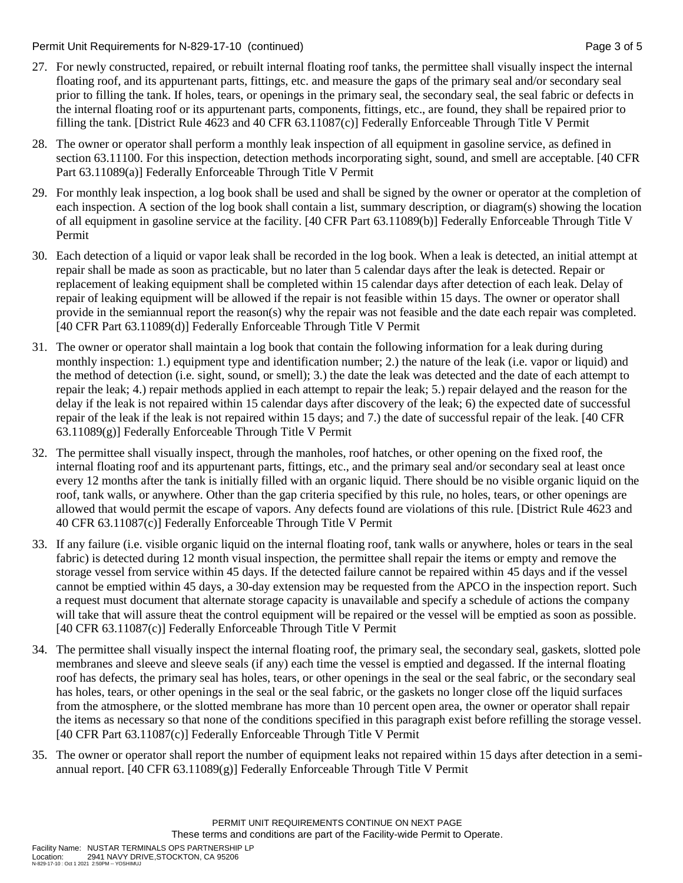Permit Unit Requirements for N-829-17-10 (continued) example 3 of 5

- 27. For newly constructed, repaired, or rebuilt internal floating roof tanks, the permittee shall visually inspect the internal floating roof, and its appurtenant parts, fittings, etc. and measure the gaps of the primary seal and/or secondary seal prior to filling the tank. If holes, tears, or openings in the primary seal, the secondary seal, the seal fabric or defects in the internal floating roof or its appurtenant parts, components, fittings, etc., are found, they shall be repaired prior to filling the tank. [District Rule 4623 and 40 CFR 63.11087(c)] Federally Enforceable Through Title V Permit
- 28. The owner or operator shall perform a monthly leak inspection of all equipment in gasoline service, as defined in section 63.11100. For this inspection, detection methods incorporating sight, sound, and smell are acceptable. [40 CFR Part 63.11089(a)] Federally Enforceable Through Title V Permit
- 29. For monthly leak inspection, a log book shall be used and shall be signed by the owner or operator at the completion of each inspection. A section of the log book shall contain a list, summary description, or diagram(s) showing the location of all equipment in gasoline service at the facility. [40 CFR Part 63.11089(b)] Federally Enforceable Through Title V Permit
- 30. Each detection of a liquid or vapor leak shall be recorded in the log book. When a leak is detected, an initial attempt at repair shall be made as soon as practicable, but no later than 5 calendar days after the leak is detected. Repair or replacement of leaking equipment shall be completed within 15 calendar days after detection of each leak. Delay of repair of leaking equipment will be allowed if the repair is not feasible within 15 days. The owner or operator shall provide in the semiannual report the reason(s) why the repair was not feasible and the date each repair was completed. [40 CFR Part 63.11089(d)] Federally Enforceable Through Title V Permit
- 31. The owner or operator shall maintain a log book that contain the following information for a leak during during monthly inspection: 1.) equipment type and identification number; 2.) the nature of the leak (i.e. vapor or liquid) and the method of detection (i.e. sight, sound, or smell); 3.) the date the leak was detected and the date of each attempt to repair the leak; 4.) repair methods applied in each attempt to repair the leak; 5.) repair delayed and the reason for the delay if the leak is not repaired within 15 calendar days after discovery of the leak; 6) the expected date of successful repair of the leak if the leak is not repaired within 15 days; and 7.) the date of successful repair of the leak. [40 CFR 63.11089(g)] Federally Enforceable Through Title V Permit
- 32. The permittee shall visually inspect, through the manholes, roof hatches, or other opening on the fixed roof, the internal floating roof and its appurtenant parts, fittings, etc., and the primary seal and/or secondary seal at least once every 12 months after the tank is initially filled with an organic liquid. There should be no visible organic liquid on the roof, tank walls, or anywhere. Other than the gap criteria specified by this rule, no holes, tears, or other openings are allowed that would permit the escape of vapors. Any defects found are violations of this rule. [District Rule 4623 and 40 CFR 63.11087(c)] Federally Enforceable Through Title V Permit
- 33. If any failure (i.e. visible organic liquid on the internal floating roof, tank walls or anywhere, holes or tears in the seal fabric) is detected during 12 month visual inspection, the permittee shall repair the items or empty and remove the storage vessel from service within 45 days. If the detected failure cannot be repaired within 45 days and if the vessel cannot be emptied within 45 days, a 30-day extension may be requested from the APCO in the inspection report. Such a request must document that alternate storage capacity is unavailable and specify a schedule of actions the company will take that will assure theat the control equipment will be repaired or the vessel will be emptied as soon as possible. [40 CFR 63.11087(c)] Federally Enforceable Through Title V Permit
- 34. The permittee shall visually inspect the internal floating roof, the primary seal, the secondary seal, gaskets, slotted pole membranes and sleeve and sleeve seals (if any) each time the vessel is emptied and degassed. If the internal floating roof has defects, the primary seal has holes, tears, or other openings in the seal or the seal fabric, or the secondary seal has holes, tears, or other openings in the seal or the seal fabric, or the gaskets no longer close off the liquid surfaces from the atmosphere, or the slotted membrane has more than 10 percent open area, the owner or operator shall repair the items as necessary so that none of the conditions specified in this paragraph exist before refilling the storage vessel. [40 CFR Part 63.11087(c)] Federally Enforceable Through Title V Permit
- 35. The owner or operator shall report the number of equipment leaks not repaired within 15 days after detection in a semiannual report. [40 CFR  $63.11089(g)$ ] Federally Enforceable Through Title V Permit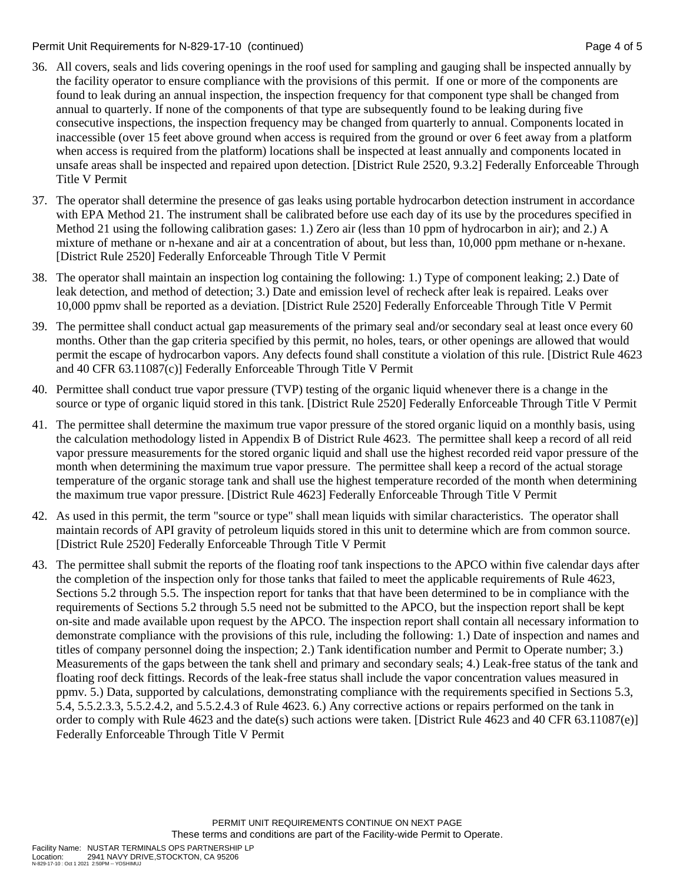#### Permit Unit Requirements for N-829-17-10 (continued) example 2 and the state of the Page 4 of 5

- 36. All covers, seals and lids covering openings in the roof used for sampling and gauging shall be inspected annually by the facility operator to ensure compliance with the provisions of this permit. If one or more of the components are found to leak during an annual inspection, the inspection frequency for that component type shall be changed from annual to quarterly. If none of the components of that type are subsequently found to be leaking during five consecutive inspections, the inspection frequency may be changed from quarterly to annual. Components located in inaccessible (over 15 feet above ground when access is required from the ground or over 6 feet away from a platform when access is required from the platform) locations shall be inspected at least annually and components located in unsafe areas shall be inspected and repaired upon detection. [District Rule 2520, 9.3.2] Federally Enforceable Through Title V Permit
- 37. The operator shall determine the presence of gas leaks using portable hydrocarbon detection instrument in accordance with EPA Method 21. The instrument shall be calibrated before use each day of its use by the procedures specified in Method 21 using the following calibration gases: 1.) Zero air (less than 10 ppm of hydrocarbon in air); and 2.) A mixture of methane or n-hexane and air at a concentration of about, but less than, 10,000 ppm methane or n-hexane. [District Rule 2520] Federally Enforceable Through Title V Permit
- 38. The operator shall maintain an inspection log containing the following: 1.) Type of component leaking; 2.) Date of leak detection, and method of detection; 3.) Date and emission level of recheck after leak is repaired. Leaks over 10,000 ppmv shall be reported as a deviation. [District Rule 2520] Federally Enforceable Through Title V Permit
- 39. The permittee shall conduct actual gap measurements of the primary seal and/or secondary seal at least once every 60 months. Other than the gap criteria specified by this permit, no holes, tears, or other openings are allowed that would permit the escape of hydrocarbon vapors. Any defects found shall constitute a violation of this rule. [District Rule 4623 and 40 CFR 63.11087(c)] Federally Enforceable Through Title V Permit
- 40. Permittee shall conduct true vapor pressure (TVP) testing of the organic liquid whenever there is a change in the source or type of organic liquid stored in this tank. [District Rule 2520] Federally Enforceable Through Title V Permit
- 41. The permittee shall determine the maximum true vapor pressure of the stored organic liquid on a monthly basis, using the calculation methodology listed in Appendix B of District Rule 4623. The permittee shall keep a record of all reid vapor pressure measurements for the stored organic liquid and shall use the highest recorded reid vapor pressure of the month when determining the maximum true vapor pressure. The permittee shall keep a record of the actual storage temperature of the organic storage tank and shall use the highest temperature recorded of the month when determining the maximum true vapor pressure. [District Rule 4623] Federally Enforceable Through Title V Permit
- 42. As used in this permit, the term "source or type" shall mean liquids with similar characteristics. The operator shall maintain records of API gravity of petroleum liquids stored in this unit to determine which are from common source. [District Rule 2520] Federally Enforceable Through Title V Permit
- 43. The permittee shall submit the reports of the floating roof tank inspections to the APCO within five calendar days after the completion of the inspection only for those tanks that failed to meet the applicable requirements of Rule 4623, Sections 5.2 through 5.5. The inspection report for tanks that that have been determined to be in compliance with the requirements of Sections 5.2 through 5.5 need not be submitted to the APCO, but the inspection report shall be kept on-site and made available upon request by the APCO. The inspection report shall contain all necessary information to demonstrate compliance with the provisions of this rule, including the following: 1.) Date of inspection and names and titles of company personnel doing the inspection; 2.) Tank identification number and Permit to Operate number; 3.) Measurements of the gaps between the tank shell and primary and secondary seals; 4.) Leak-free status of the tank and floating roof deck fittings. Records of the leak-free status shall include the vapor concentration values measured in ppmv. 5.) Data, supported by calculations, demonstrating compliance with the requirements specified in Sections 5.3, 5.4, 5.5.2.3.3, 5.5.2.4.2, and 5.5.2.4.3 of Rule 4623. 6.) Any corrective actions or repairs performed on the tank in order to comply with Rule 4623 and the date(s) such actions were taken. [District Rule 4623 and 40 CFR 63.11087(e)] Federally Enforceable Through Title V Permit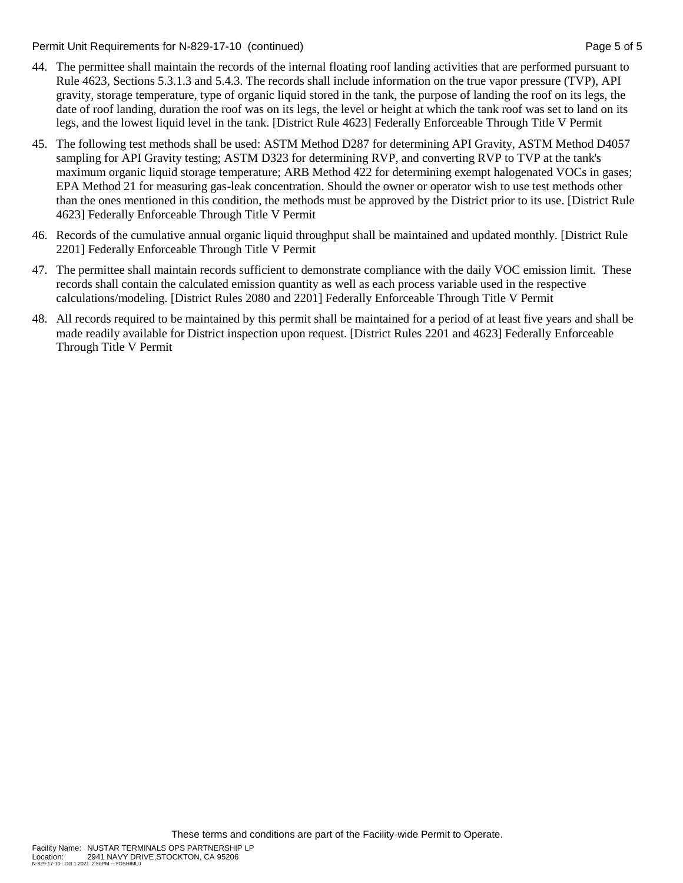Permit Unit Requirements for N-829-17-10 (continued) example 3 and the state of the Page 5 of 5

- 44. The permittee shall maintain the records of the internal floating roof landing activities that are performed pursuant to Rule 4623, Sections 5.3.1.3 and 5.4.3. The records shall include information on the true vapor pressure (TVP), API gravity, storage temperature, type of organic liquid stored in the tank, the purpose of landing the roof on its legs, the date of roof landing, duration the roof was on its legs, the level or height at which the tank roof was set to land on its legs, and the lowest liquid level in the tank. [District Rule 4623] Federally Enforceable Through Title V Permit
- 45. The following test methods shall be used: ASTM Method D287 for determining API Gravity, ASTM Method D4057 sampling for API Gravity testing; ASTM D323 for determining RVP, and converting RVP to TVP at the tank's maximum organic liquid storage temperature; ARB Method 422 for determining exempt halogenated VOCs in gases; EPA Method 21 for measuring gas-leak concentration. Should the owner or operator wish to use test methods other than the ones mentioned in this condition, the methods must be approved by the District prior to its use. [District Rule 4623] Federally Enforceable Through Title V Permit
- 46. Records of the cumulative annual organic liquid throughput shall be maintained and updated monthly. [District Rule 2201] Federally Enforceable Through Title V Permit
- 47. The permittee shall maintain records sufficient to demonstrate compliance with the daily VOC emission limit. These records shall contain the calculated emission quantity as well as each process variable used in the respective calculations/modeling. [District Rules 2080 and 2201] Federally Enforceable Through Title V Permit
- 48. All records required to be maintained by this permit shall be maintained for a period of at least five years and shall be made readily available for District inspection upon request. [District Rules 2201 and 4623] Federally Enforceable Through Title V Permit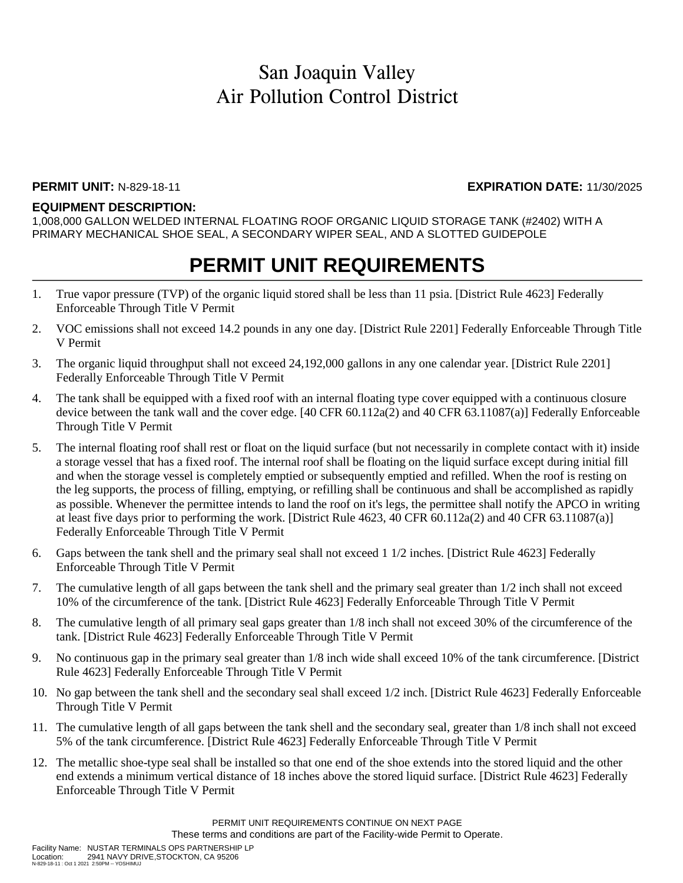### **PERMIT UNIT:** N-829-18-11 **EXPIRATION DATE:** 11/30/2025

#### **EQUIPMENT DESCRIPTION:**

1,008,000 GALLON WELDED INTERNAL FLOATING ROOF ORGANIC LIQUID STORAGE TANK (#2402) WITH A PRIMARY MECHANICAL SHOE SEAL, A SECONDARY WIPER SEAL, AND A SLOTTED GUIDEPOLE

### **PERMIT UNIT REQUIREMENTS**

- 1. True vapor pressure (TVP) of the organic liquid stored shall be less than 11 psia. [District Rule 4623] Federally Enforceable Through Title V Permit
- 2. VOC emissions shall not exceed 14.2 pounds in any one day. [District Rule 2201] Federally Enforceable Through Title V Permit
- 3. The organic liquid throughput shall not exceed 24,192,000 gallons in any one calendar year. [District Rule 2201] Federally Enforceable Through Title V Permit
- 4. The tank shall be equipped with a fixed roof with an internal floating type cover equipped with a continuous closure device between the tank wall and the cover edge. [40 CFR 60.112a(2) and 40 CFR 63.11087(a)] Federally Enforceable Through Title V Permit
- 5. The internal floating roof shall rest or float on the liquid surface (but not necessarily in complete contact with it) inside a storage vessel that has a fixed roof. The internal roof shall be floating on the liquid surface except during initial fill and when the storage vessel is completely emptied or subsequently emptied and refilled. When the roof is resting on the leg supports, the process of filling, emptying, or refilling shall be continuous and shall be accomplished as rapidly as possible. Whenever the permittee intends to land the roof on it's legs, the permittee shall notify the APCO in writing at least five days prior to performing the work. [District Rule 4623, 40 CFR 60.112a(2) and 40 CFR 63.11087(a)] Federally Enforceable Through Title V Permit
- 6. Gaps between the tank shell and the primary seal shall not exceed 1 1/2 inches. [District Rule 4623] Federally Enforceable Through Title V Permit
- 7. The cumulative length of all gaps between the tank shell and the primary seal greater than 1/2 inch shall not exceed 10% of the circumference of the tank. [District Rule 4623] Federally Enforceable Through Title V Permit
- 8. The cumulative length of all primary seal gaps greater than 1/8 inch shall not exceed 30% of the circumference of the tank. [District Rule 4623] Federally Enforceable Through Title V Permit
- 9. No continuous gap in the primary seal greater than 1/8 inch wide shall exceed 10% of the tank circumference. [District Rule 4623] Federally Enforceable Through Title V Permit
- 10. No gap between the tank shell and the secondary seal shall exceed 1/2 inch. [District Rule 4623] Federally Enforceable Through Title V Permit
- 11. The cumulative length of all gaps between the tank shell and the secondary seal, greater than 1/8 inch shall not exceed 5% of the tank circumference. [District Rule 4623] Federally Enforceable Through Title V Permit
- 12. The metallic shoe-type seal shall be installed so that one end of the shoe extends into the stored liquid and the other end extends a minimum vertical distance of 18 inches above the stored liquid surface. [District Rule 4623] Federally Enforceable Through Title V Permit

PERMIT UNIT REQUIREMENTS CONTINUE ON NEXT PAGE These terms and conditions are part of the Facility-wide Permit to Operate.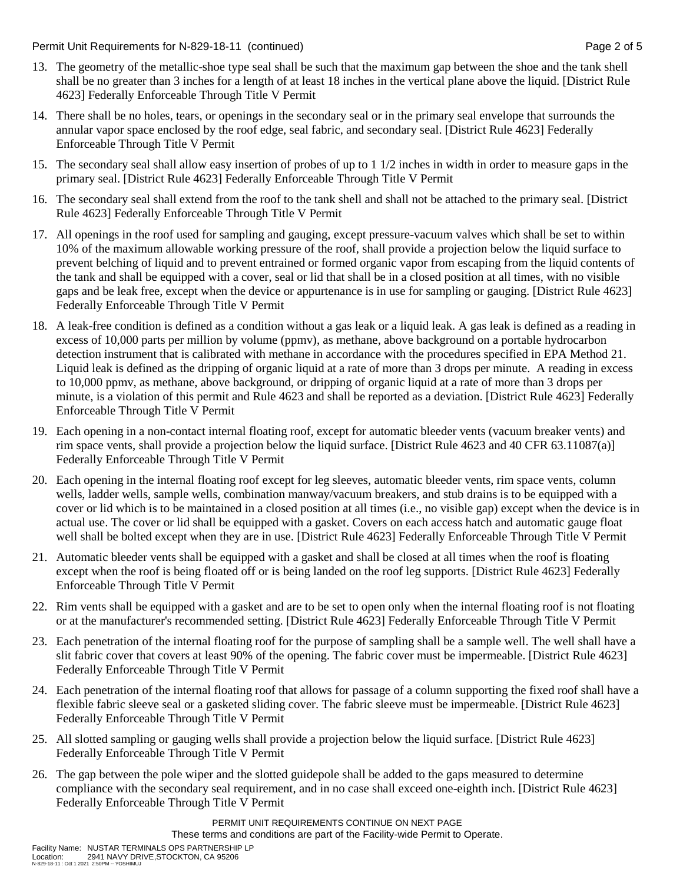Permit Unit Requirements for N-829-18-11 (continued) **Page 2** of 5

- 13. The geometry of the metallic-shoe type seal shall be such that the maximum gap between the shoe and the tank shell shall be no greater than 3 inches for a length of at least 18 inches in the vertical plane above the liquid. [District Rule 4623] Federally Enforceable Through Title V Permit
- 14. There shall be no holes, tears, or openings in the secondary seal or in the primary seal envelope that surrounds the annular vapor space enclosed by the roof edge, seal fabric, and secondary seal. [District Rule 4623] Federally Enforceable Through Title V Permit
- 15. The secondary seal shall allow easy insertion of probes of up to 1 1/2 inches in width in order to measure gaps in the primary seal. [District Rule 4623] Federally Enforceable Through Title V Permit
- 16. The secondary seal shall extend from the roof to the tank shell and shall not be attached to the primary seal. [District Rule 4623] Federally Enforceable Through Title V Permit
- 17. All openings in the roof used for sampling and gauging, except pressure-vacuum valves which shall be set to within 10% of the maximum allowable working pressure of the roof, shall provide a projection below the liquid surface to prevent belching of liquid and to prevent entrained or formed organic vapor from escaping from the liquid contents of the tank and shall be equipped with a cover, seal or lid that shall be in a closed position at all times, with no visible gaps and be leak free, except when the device or appurtenance is in use for sampling or gauging. [District Rule 4623] Federally Enforceable Through Title V Permit
- 18. A leak-free condition is defined as a condition without a gas leak or a liquid leak. A gas leak is defined as a reading in excess of 10,000 parts per million by volume (ppmv), as methane, above background on a portable hydrocarbon detection instrument that is calibrated with methane in accordance with the procedures specified in EPA Method 21. Liquid leak is defined as the dripping of organic liquid at a rate of more than 3 drops per minute. A reading in excess to 10,000 ppmv, as methane, above background, or dripping of organic liquid at a rate of more than 3 drops per minute, is a violation of this permit and Rule 4623 and shall be reported as a deviation. [District Rule 4623] Federally Enforceable Through Title V Permit
- 19. Each opening in a non-contact internal floating roof, except for automatic bleeder vents (vacuum breaker vents) and rim space vents, shall provide a projection below the liquid surface. [District Rule 4623 and 40 CFR 63.11087(a)] Federally Enforceable Through Title V Permit
- 20. Each opening in the internal floating roof except for leg sleeves, automatic bleeder vents, rim space vents, column wells, ladder wells, sample wells, combination manway/vacuum breakers, and stub drains is to be equipped with a cover or lid which is to be maintained in a closed position at all times (i.e., no visible gap) except when the device is in actual use. The cover or lid shall be equipped with a gasket. Covers on each access hatch and automatic gauge float well shall be bolted except when they are in use. [District Rule 4623] Federally Enforceable Through Title V Permit
- 21. Automatic bleeder vents shall be equipped with a gasket and shall be closed at all times when the roof is floating except when the roof is being floated off or is being landed on the roof leg supports. [District Rule 4623] Federally Enforceable Through Title V Permit
- 22. Rim vents shall be equipped with a gasket and are to be set to open only when the internal floating roof is not floating or at the manufacturer's recommended setting. [District Rule 4623] Federally Enforceable Through Title V Permit
- 23. Each penetration of the internal floating roof for the purpose of sampling shall be a sample well. The well shall have a slit fabric cover that covers at least 90% of the opening. The fabric cover must be impermeable. [District Rule 4623] Federally Enforceable Through Title V Permit
- 24. Each penetration of the internal floating roof that allows for passage of a column supporting the fixed roof shall have a flexible fabric sleeve seal or a gasketed sliding cover. The fabric sleeve must be impermeable. [District Rule 4623] Federally Enforceable Through Title V Permit
- 25. All slotted sampling or gauging wells shall provide a projection below the liquid surface. [District Rule 4623] Federally Enforceable Through Title V Permit
- 26. The gap between the pole wiper and the slotted guidepole shall be added to the gaps measured to determine compliance with the secondary seal requirement, and in no case shall exceed one-eighth inch. [District Rule 4623] Federally Enforceable Through Title V Permit

PERMIT UNIT REQUIREMENTS CONTINUE ON NEXT PAGE

These terms and conditions are part of the Facility-wide Permit to Operate.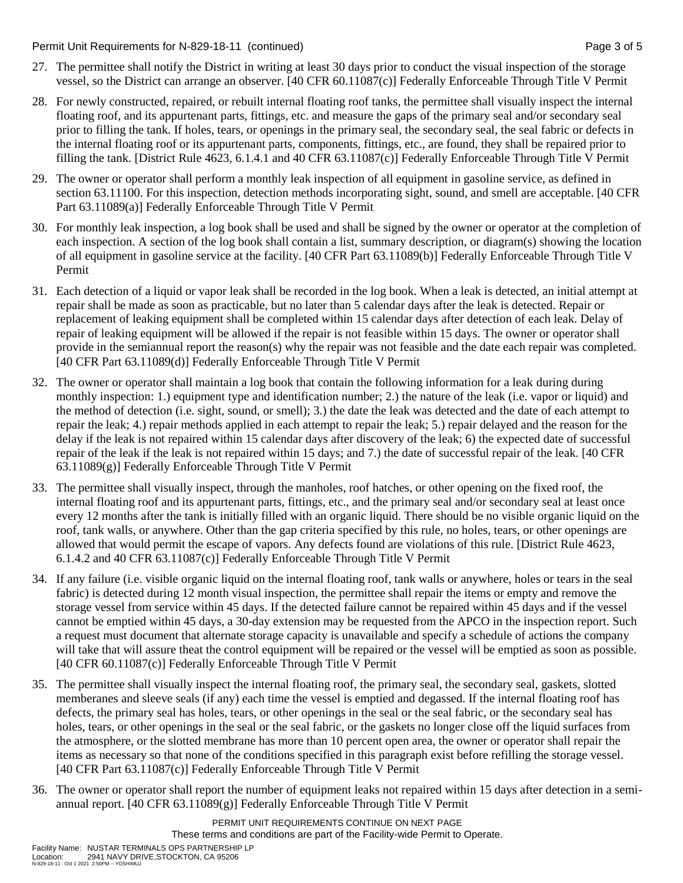Permit Unit Requirements for N-829-18-11 (continued) **Page 3** of 5

- 27. The permittee shall notify the District in writing at least 30 days prior to conduct the visual inspection of the storage vessel, so the District can arrange an observer. [40 CFR 60.11087(c)] Federally Enforceable Through Title V Permit
- 28. For newly constructed, repaired, or rebuilt internal floating roof tanks, the permittee shall visually inspect the internal floating roof, and its appurtenant parts, fittings, etc. and measure the gaps of the primary seal and/or secondary seal prior to filling the tank. If holes, tears, or openings in the primary seal, the secondary seal, the seal fabric or defects in the internal floating roof or its appurtenant parts, components, fittings, etc., are found, they shall be repaired prior to filling the tank. [District Rule 4623, 6.1.4.1 and 40 CFR 63.11087(c)] Federally Enforceable Through Title V Permit
- 29. The owner or operator shall perform a monthly leak inspection of all equipment in gasoline service, as defined in section 63.11100. For this inspection, detection methods incorporating sight, sound, and smell are acceptable. [40 CFR Part 63.11089(a)] Federally Enforceable Through Title V Permit
- 30. For monthly leak inspection, a log book shall be used and shall be signed by the owner or operator at the completion of each inspection. A section of the log book shall contain a list, summary description, or diagram(s) showing the location of all equipment in gasoline service at the facility. [40 CFR Part 63.11089(b)] Federally Enforceable Through Title V Permit
- 31. Each detection of a liquid or vapor leak shall be recorded in the log book. When a leak is detected, an initial attempt at repair shall be made as soon as practicable, but no later than 5 calendar days after the leak is detected. Repair or replacement of leaking equipment shall be completed within 15 calendar days after detection of each leak. Delay of repair of leaking equipment will be allowed if the repair is not feasible within 15 days. The owner or operator shall provide in the semiannual report the reason(s) why the repair was not feasible and the date each repair was completed. [40 CFR Part 63.11089(d)] Federally Enforceable Through Title V Permit
- 32. The owner or operator shall maintain a log book that contain the following information for a leak during during monthly inspection: 1.) equipment type and identification number; 2.) the nature of the leak (i.e. vapor or liquid) and the method of detection (i.e. sight, sound, or smell); 3.) the date the leak was detected and the date of each attempt to repair the leak; 4.) repair methods applied in each attempt to repair the leak; 5.) repair delayed and the reason for the delay if the leak is not repaired within 15 calendar days after discovery of the leak; 6) the expected date of successful repair of the leak if the leak is not repaired within 15 days; and 7.) the date of successful repair of the leak. [40 CFR 63.11089(g)] Federally Enforceable Through Title V Permit
- 33. The permittee shall visually inspect, through the manholes, roof hatches, or other opening on the fixed roof, the internal floating roof and its appurtenant parts, fittings, etc., and the primary seal and/or secondary seal at least once every 12 months after the tank is initially filled with an organic liquid. There should be no visible organic liquid on the roof, tank walls, or anywhere. Other than the gap criteria specified by this rule, no holes, tears, or other openings are allowed that would permit the escape of vapors. Any defects found are violations of this rule. [District Rule 4623, 6.1.4.2 and 40 CFR 63.11087(c)] Federally Enforceable Through Title V Permit
- 34. If any failure (i.e. visible organic liquid on the internal floating roof, tank walls or anywhere, holes or tears in the seal fabric) is detected during 12 month visual inspection, the permittee shall repair the items or empty and remove the storage vessel from service within 45 days. If the detected failure cannot be repaired within 45 days and if the vessel cannot be emptied within 45 days, a 30-day extension may be requested from the APCO in the inspection report. Such a request must document that alternate storage capacity is unavailable and specify a schedule of actions the company will take that will assure theat the control equipment will be repaired or the vessel will be emptied as soon as possible. [40 CFR 60.11087(c)] Federally Enforceable Through Title V Permit
- 35. The permittee shall visually inspect the internal floating roof, the primary seal, the secondary seal, gaskets, slotted memberanes and sleeve seals (if any) each time the vessel is emptied and degassed. If the internal floating roof has defects, the primary seal has holes, tears, or other openings in the seal or the seal fabric, or the secondary seal has holes, tears, or other openings in the seal or the seal fabric, or the gaskets no longer close off the liquid surfaces from the atmosphere, or the slotted membrane has more than 10 percent open area, the owner or operator shall repair the items as necessary so that none of the conditions specified in this paragraph exist before refilling the storage vessel. [40 CFR Part 63.11087(c)] Federally Enforceable Through Title V Permit
- 36. The owner or operator shall report the number of equipment leaks not repaired within 15 days after detection in a semiannual report. [40 CFR 63.11089(g)] Federally Enforceable Through Title V Permit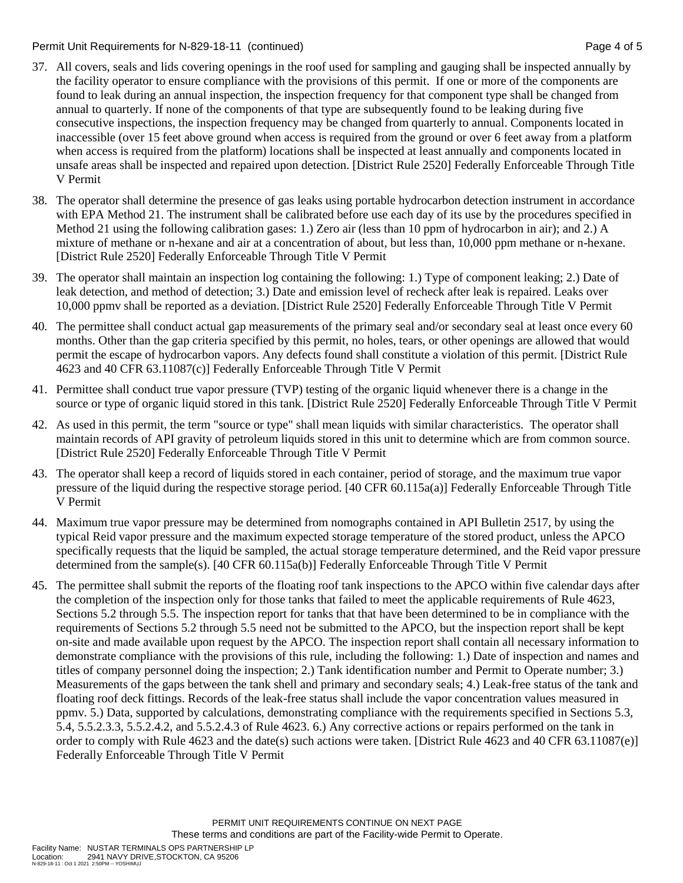#### Permit Unit Requirements for N-829-18-11 (continued) example 2 and the state of the Page 4 of 5

- 37. All covers, seals and lids covering openings in the roof used for sampling and gauging shall be inspected annually by the facility operator to ensure compliance with the provisions of this permit. If one or more of the components are found to leak during an annual inspection, the inspection frequency for that component type shall be changed from annual to quarterly. If none of the components of that type are subsequently found to be leaking during five consecutive inspections, the inspection frequency may be changed from quarterly to annual. Components located in inaccessible (over 15 feet above ground when access is required from the ground or over 6 feet away from a platform when access is required from the platform) locations shall be inspected at least annually and components located in unsafe areas shall be inspected and repaired upon detection. [District Rule 2520] Federally Enforceable Through Title V Permit
- 38. The operator shall determine the presence of gas leaks using portable hydrocarbon detection instrument in accordance with EPA Method 21. The instrument shall be calibrated before use each day of its use by the procedures specified in Method 21 using the following calibration gases: 1.) Zero air (less than 10 ppm of hydrocarbon in air); and 2.) A mixture of methane or n-hexane and air at a concentration of about, but less than, 10,000 ppm methane or n-hexane. [District Rule 2520] Federally Enforceable Through Title V Permit
- 39. The operator shall maintain an inspection log containing the following: 1.) Type of component leaking; 2.) Date of leak detection, and method of detection; 3.) Date and emission level of recheck after leak is repaired. Leaks over 10,000 ppmv shall be reported as a deviation. [District Rule 2520] Federally Enforceable Through Title V Permit
- 40. The permittee shall conduct actual gap measurements of the primary seal and/or secondary seal at least once every 60 months. Other than the gap criteria specified by this permit, no holes, tears, or other openings are allowed that would permit the escape of hydrocarbon vapors. Any defects found shall constitute a violation of this permit. [District Rule 4623 and 40 CFR 63.11087(c)] Federally Enforceable Through Title V Permit
- 41. Permittee shall conduct true vapor pressure (TVP) testing of the organic liquid whenever there is a change in the source or type of organic liquid stored in this tank. [District Rule 2520] Federally Enforceable Through Title V Permit
- 42. As used in this permit, the term "source or type" shall mean liquids with similar characteristics. The operator shall maintain records of API gravity of petroleum liquids stored in this unit to determine which are from common source. [District Rule 2520] Federally Enforceable Through Title V Permit
- 43. The operator shall keep a record of liquids stored in each container, period of storage, and the maximum true vapor pressure of the liquid during the respective storage period. [40 CFR 60.115a(a)] Federally Enforceable Through Title V Permit
- 44. Maximum true vapor pressure may be determined from nomographs contained in API Bulletin 2517, by using the typical Reid vapor pressure and the maximum expected storage temperature of the stored product, unless the APCO specifically requests that the liquid be sampled, the actual storage temperature determined, and the Reid vapor pressure determined from the sample(s). [40 CFR 60.115a(b)] Federally Enforceable Through Title V Permit
- 45. The permittee shall submit the reports of the floating roof tank inspections to the APCO within five calendar days after the completion of the inspection only for those tanks that failed to meet the applicable requirements of Rule 4623, Sections 5.2 through 5.5. The inspection report for tanks that that have been determined to be in compliance with the requirements of Sections 5.2 through 5.5 need not be submitted to the APCO, but the inspection report shall be kept on-site and made available upon request by the APCO. The inspection report shall contain all necessary information to demonstrate compliance with the provisions of this rule, including the following: 1.) Date of inspection and names and titles of company personnel doing the inspection; 2.) Tank identification number and Permit to Operate number; 3.) Measurements of the gaps between the tank shell and primary and secondary seals; 4.) Leak-free status of the tank and floating roof deck fittings. Records of the leak-free status shall include the vapor concentration values measured in ppmv. 5.) Data, supported by calculations, demonstrating compliance with the requirements specified in Sections 5.3, 5.4, 5.5.2.3.3, 5.5.2.4.2, and 5.5.2.4.3 of Rule 4623. 6.) Any corrective actions or repairs performed on the tank in order to comply with Rule 4623 and the date(s) such actions were taken. [District Rule 4623 and 40 CFR 63.11087(e)] Federally Enforceable Through Title V Permit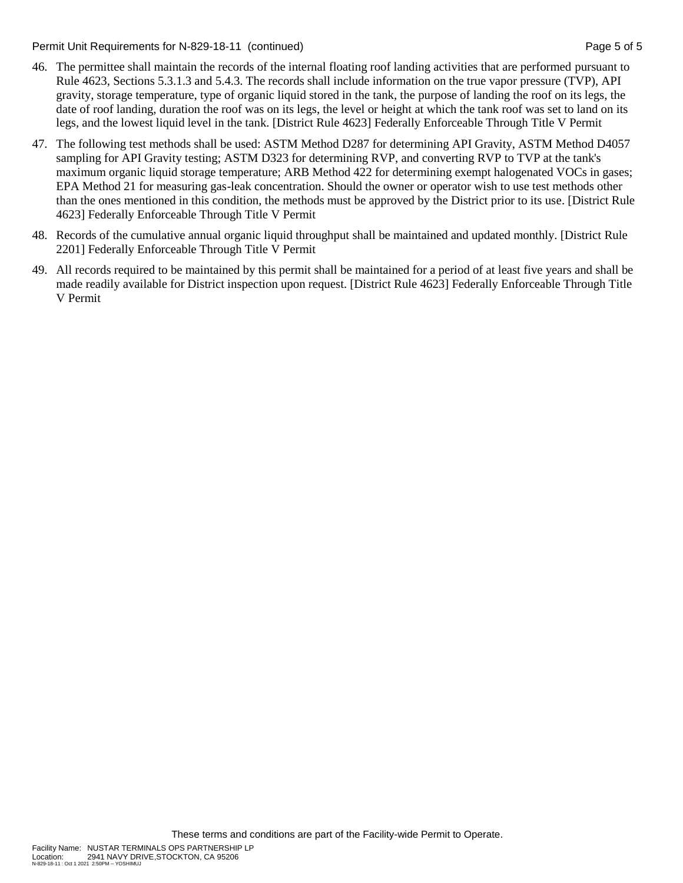Permit Unit Requirements for N-829-18-11 (continued) **Page 5 of 5** and 2011 **Page 5 of 5** and 2011 **Page 5 of 5** 

- 46. The permittee shall maintain the records of the internal floating roof landing activities that are performed pursuant to Rule 4623, Sections 5.3.1.3 and 5.4.3. The records shall include information on the true vapor pressure (TVP), API gravity, storage temperature, type of organic liquid stored in the tank, the purpose of landing the roof on its legs, the date of roof landing, duration the roof was on its legs, the level or height at which the tank roof was set to land on its legs, and the lowest liquid level in the tank. [District Rule 4623] Federally Enforceable Through Title V Permit
- 47. The following test methods shall be used: ASTM Method D287 for determining API Gravity, ASTM Method D4057 sampling for API Gravity testing; ASTM D323 for determining RVP, and converting RVP to TVP at the tank's maximum organic liquid storage temperature; ARB Method 422 for determining exempt halogenated VOCs in gases; EPA Method 21 for measuring gas-leak concentration. Should the owner or operator wish to use test methods other than the ones mentioned in this condition, the methods must be approved by the District prior to its use. [District Rule 4623] Federally Enforceable Through Title V Permit
- 48. Records of the cumulative annual organic liquid throughput shall be maintained and updated monthly. [District Rule 2201] Federally Enforceable Through Title V Permit
- 49. All records required to be maintained by this permit shall be maintained for a period of at least five years and shall be made readily available for District inspection upon request. [District Rule 4623] Federally Enforceable Through Title V Permit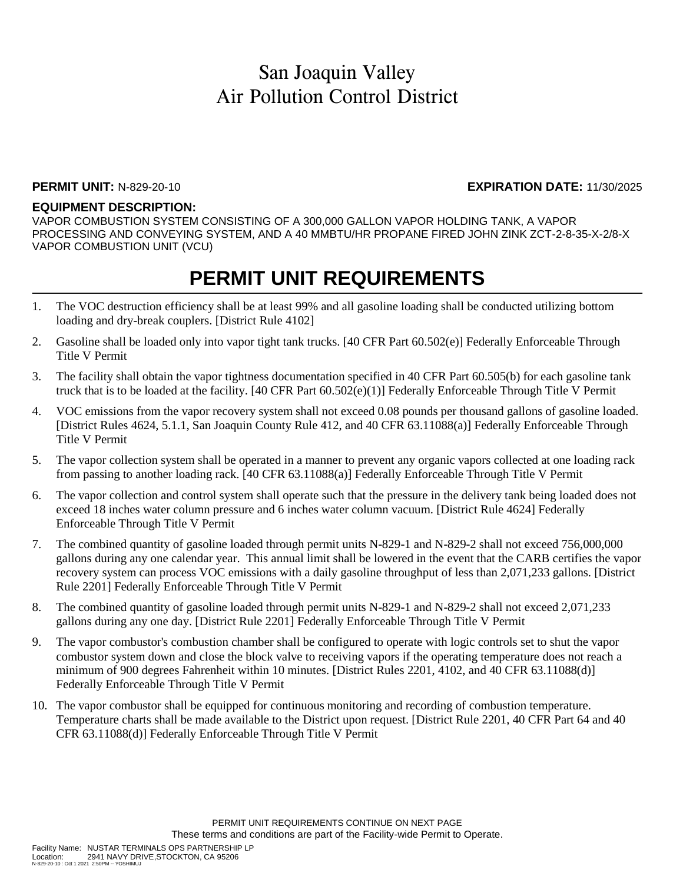### **PERMIT UNIT:** N-829-20-10 **EXPIRATION DATE:** 11/30/2025

### **EQUIPMENT DESCRIPTION:**

VAPOR COMBUSTION SYSTEM CONSISTING OF A 300,000 GALLON VAPOR HOLDING TANK, A VAPOR PROCESSING AND CONVEYING SYSTEM, AND A 40 MMBTU/HR PROPANE FIRED JOHN ZINK ZCT-2-8-35-X-2/8-X VAPOR COMBUSTION UNIT (VCU)

## **PERMIT UNIT REQUIREMENTS**

- 1. The VOC destruction efficiency shall be at least 99% and all gasoline loading shall be conducted utilizing bottom loading and dry-break couplers. [District Rule 4102]
- 2. Gasoline shall be loaded only into vapor tight tank trucks. [40 CFR Part 60.502(e)] Federally Enforceable Through Title V Permit
- 3. The facility shall obtain the vapor tightness documentation specified in 40 CFR Part 60.505(b) for each gasoline tank truck that is to be loaded at the facility. [40 CFR Part 60.502(e)(1)] Federally Enforceable Through Title V Permit
- 4. VOC emissions from the vapor recovery system shall not exceed 0.08 pounds per thousand gallons of gasoline loaded. [District Rules 4624, 5.1.1, San Joaquin County Rule 412, and 40 CFR 63.11088(a)] Federally Enforceable Through Title V Permit
- 5. The vapor collection system shall be operated in a manner to prevent any organic vapors collected at one loading rack from passing to another loading rack. [40 CFR 63.11088(a)] Federally Enforceable Through Title V Permit
- 6. The vapor collection and control system shall operate such that the pressure in the delivery tank being loaded does not exceed 18 inches water column pressure and 6 inches water column vacuum. [District Rule 4624] Federally Enforceable Through Title V Permit
- 7. The combined quantity of gasoline loaded through permit units N-829-1 and N-829-2 shall not exceed 756,000,000 gallons during any one calendar year. This annual limit shall be lowered in the event that the CARB certifies the vapor recovery system can process VOC emissions with a daily gasoline throughput of less than 2,071,233 gallons. [District Rule 2201] Federally Enforceable Through Title V Permit
- 8. The combined quantity of gasoline loaded through permit units N-829-1 and N-829-2 shall not exceed 2,071,233 gallons during any one day. [District Rule 2201] Federally Enforceable Through Title V Permit
- 9. The vapor combustor's combustion chamber shall be configured to operate with logic controls set to shut the vapor combustor system down and close the block valve to receiving vapors if the operating temperature does not reach a minimum of 900 degrees Fahrenheit within 10 minutes. [District Rules 2201, 4102, and 40 CFR 63.11088(d)] Federally Enforceable Through Title V Permit
- 10. The vapor combustor shall be equipped for continuous monitoring and recording of combustion temperature. Temperature charts shall be made available to the District upon request. [District Rule 2201, 40 CFR Part 64 and 40 CFR 63.11088(d)] Federally Enforceable Through Title V Permit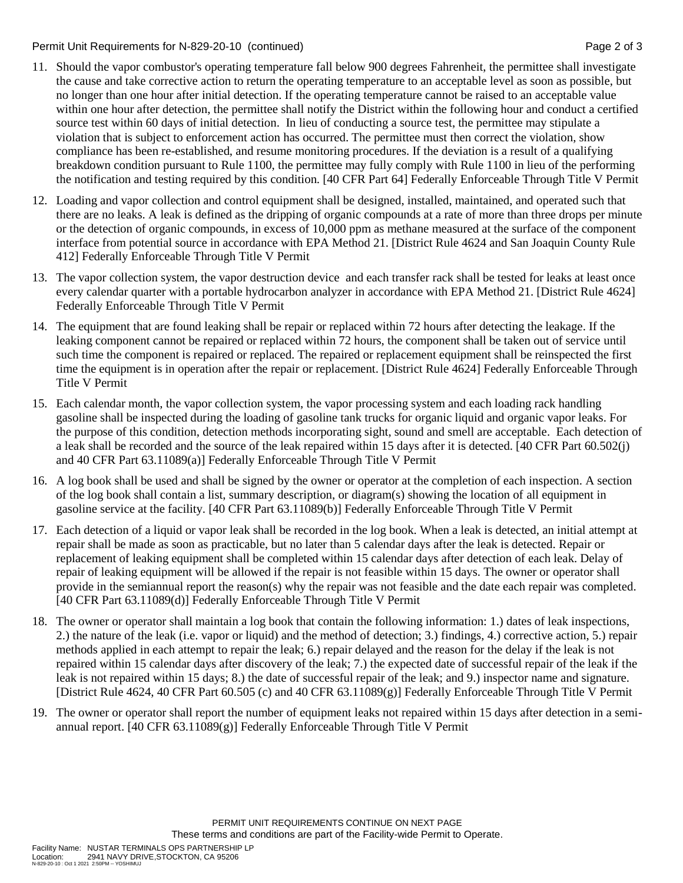Permit Unit Requirements for N-829-20-10 (continued) **Page 2** of 3

- 11. Should the vapor combustor's operating temperature fall below 900 degrees Fahrenheit, the permittee shall investigate the cause and take corrective action to return the operating temperature to an acceptable level as soon as possible, but no longer than one hour after initial detection. If the operating temperature cannot be raised to an acceptable value within one hour after detection, the permittee shall notify the District within the following hour and conduct a certified source test within 60 days of initial detection. In lieu of conducting a source test, the permittee may stipulate a violation that is subject to enforcement action has occurred. The permittee must then correct the violation, show compliance has been re-established, and resume monitoring procedures. If the deviation is a result of a qualifying breakdown condition pursuant to Rule 1100, the permittee may fully comply with Rule 1100 in lieu of the performing the notification and testing required by this condition. [40 CFR Part 64] Federally Enforceable Through Title V Permit
- 12. Loading and vapor collection and control equipment shall be designed, installed, maintained, and operated such that there are no leaks. A leak is defined as the dripping of organic compounds at a rate of more than three drops per minute or the detection of organic compounds, in excess of 10,000 ppm as methane measured at the surface of the component interface from potential source in accordance with EPA Method 21. [District Rule 4624 and San Joaquin County Rule 412] Federally Enforceable Through Title V Permit
- 13. The vapor collection system, the vapor destruction device and each transfer rack shall be tested for leaks at least once every calendar quarter with a portable hydrocarbon analyzer in accordance with EPA Method 21. [District Rule 4624] Federally Enforceable Through Title V Permit
- 14. The equipment that are found leaking shall be repair or replaced within 72 hours after detecting the leakage. If the leaking component cannot be repaired or replaced within 72 hours, the component shall be taken out of service until such time the component is repaired or replaced. The repaired or replacement equipment shall be reinspected the first time the equipment is in operation after the repair or replacement. [District Rule 4624] Federally Enforceable Through Title V Permit
- 15. Each calendar month, the vapor collection system, the vapor processing system and each loading rack handling gasoline shall be inspected during the loading of gasoline tank trucks for organic liquid and organic vapor leaks. For the purpose of this condition, detection methods incorporating sight, sound and smell are acceptable. Each detection of a leak shall be recorded and the source of the leak repaired within 15 days after it is detected. [40 CFR Part 60.502(j) and 40 CFR Part 63.11089(a)] Federally Enforceable Through Title V Permit
- 16. A log book shall be used and shall be signed by the owner or operator at the completion of each inspection. A section of the log book shall contain a list, summary description, or diagram(s) showing the location of all equipment in gasoline service at the facility. [40 CFR Part 63.11089(b)] Federally Enforceable Through Title V Permit
- 17. Each detection of a liquid or vapor leak shall be recorded in the log book. When a leak is detected, an initial attempt at repair shall be made as soon as practicable, but no later than 5 calendar days after the leak is detected. Repair or replacement of leaking equipment shall be completed within 15 calendar days after detection of each leak. Delay of repair of leaking equipment will be allowed if the repair is not feasible within 15 days. The owner or operator shall provide in the semiannual report the reason(s) why the repair was not feasible and the date each repair was completed. [40 CFR Part 63.11089(d)] Federally Enforceable Through Title V Permit
- 18. The owner or operator shall maintain a log book that contain the following information: 1.) dates of leak inspections, 2.) the nature of the leak (i.e. vapor or liquid) and the method of detection; 3.) findings, 4.) corrective action, 5.) repair methods applied in each attempt to repair the leak; 6.) repair delayed and the reason for the delay if the leak is not repaired within 15 calendar days after discovery of the leak; 7.) the expected date of successful repair of the leak if the leak is not repaired within 15 days; 8.) the date of successful repair of the leak; and 9.) inspector name and signature. [District Rule 4624, 40 CFR Part 60.505 (c) and 40 CFR 63.11089(g)] Federally Enforceable Through Title V Permit
- 19. The owner or operator shall report the number of equipment leaks not repaired within 15 days after detection in a semiannual report. [40 CFR  $63.11089(g)$ ] Federally Enforceable Through Title V Permit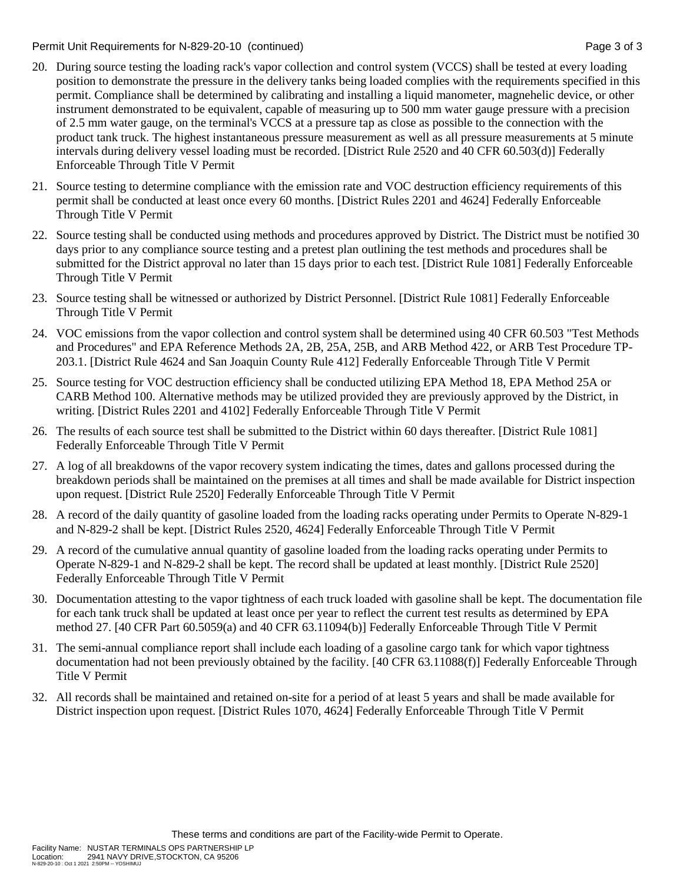Permit Unit Requirements for N-829-20-10 (continued) example 3 of 3 set 3 of 3

- 20. During source testing the loading rack's vapor collection and control system (VCCS) shall be tested at every loading position to demonstrate the pressure in the delivery tanks being loaded complies with the requirements specified in this permit. Compliance shall be determined by calibrating and installing a liquid manometer, magnehelic device, or other instrument demonstrated to be equivalent, capable of measuring up to 500 mm water gauge pressure with a precision of 2.5 mm water gauge, on the terminal's VCCS at a pressure tap as close as possible to the connection with the product tank truck. The highest instantaneous pressure measurement as well as all pressure measurements at 5 minute intervals during delivery vessel loading must be recorded. [District Rule 2520 and 40 CFR 60.503(d)] Federally Enforceable Through Title V Permit
- 21. Source testing to determine compliance with the emission rate and VOC destruction efficiency requirements of this permit shall be conducted at least once every 60 months. [District Rules 2201 and 4624] Federally Enforceable Through Title V Permit
- 22. Source testing shall be conducted using methods and procedures approved by District. The District must be notified 30 days prior to any compliance source testing and a pretest plan outlining the test methods and procedures shall be submitted for the District approval no later than 15 days prior to each test. [District Rule 1081] Federally Enforceable Through Title V Permit
- 23. Source testing shall be witnessed or authorized by District Personnel. [District Rule 1081] Federally Enforceable Through Title V Permit
- 24. VOC emissions from the vapor collection and control system shall be determined using 40 CFR 60.503 "Test Methods and Procedures" and EPA Reference Methods 2A, 2B, 25A, 25B, and ARB Method 422, or ARB Test Procedure TP-203.1. [District Rule 4624 and San Joaquin County Rule 412] Federally Enforceable Through Title V Permit
- 25. Source testing for VOC destruction efficiency shall be conducted utilizing EPA Method 18, EPA Method 25A or CARB Method 100. Alternative methods may be utilized provided they are previously approved by the District, in writing. [District Rules 2201 and 4102] Federally Enforceable Through Title V Permit
- 26. The results of each source test shall be submitted to the District within 60 days thereafter. [District Rule 1081] Federally Enforceable Through Title V Permit
- 27. A log of all breakdowns of the vapor recovery system indicating the times, dates and gallons processed during the breakdown periods shall be maintained on the premises at all times and shall be made available for District inspection upon request. [District Rule 2520] Federally Enforceable Through Title V Permit
- 28. A record of the daily quantity of gasoline loaded from the loading racks operating under Permits to Operate N-829-1 and N-829-2 shall be kept. [District Rules 2520, 4624] Federally Enforceable Through Title V Permit
- 29. A record of the cumulative annual quantity of gasoline loaded from the loading racks operating under Permits to Operate N-829-1 and N-829-2 shall be kept. The record shall be updated at least monthly. [District Rule 2520] Federally Enforceable Through Title V Permit
- 30. Documentation attesting to the vapor tightness of each truck loaded with gasoline shall be kept. The documentation file for each tank truck shall be updated at least once per year to reflect the current test results as determined by EPA method 27. [40 CFR Part 60.5059(a) and 40 CFR 63.11094(b)] Federally Enforceable Through Title V Permit
- 31. The semi-annual compliance report shall include each loading of a gasoline cargo tank for which vapor tightness documentation had not been previously obtained by the facility. [40 CFR 63.11088(f)] Federally Enforceable Through Title V Permit
- 32. All records shall be maintained and retained on-site for a period of at least 5 years and shall be made available for District inspection upon request. [District Rules 1070, 4624] Federally Enforceable Through Title V Permit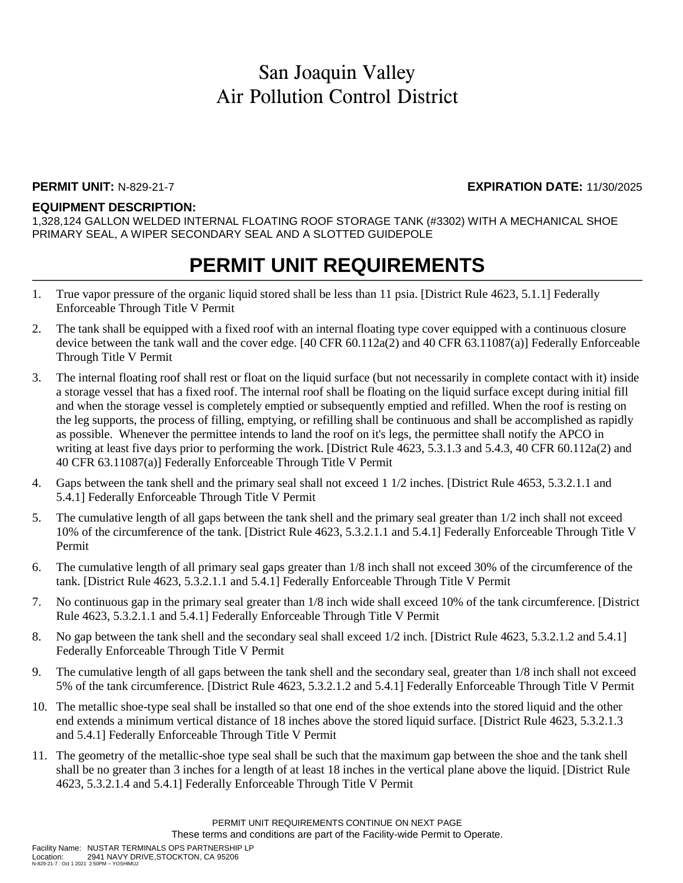### **PERMIT UNIT:** N-829-21-7 **EXPIRATION DATE:** 11/30/2025

### **EQUIPMENT DESCRIPTION:**

1,328,124 GALLON WELDED INTERNAL FLOATING ROOF STORAGE TANK (#3302) WITH A MECHANICAL SHOE PRIMARY SEAL, A WIPER SECONDARY SEAL AND A SLOTTED GUIDEPOLE

## **PERMIT UNIT REQUIREMENTS**

- 1. True vapor pressure of the organic liquid stored shall be less than 11 psia. [District Rule 4623, 5.1.1] Federally Enforceable Through Title V Permit
- 2. The tank shall be equipped with a fixed roof with an internal floating type cover equipped with a continuous closure device between the tank wall and the cover edge. [40 CFR 60.112a(2) and 40 CFR 63.11087(a)] Federally Enforceable Through Title V Permit
- 3. The internal floating roof shall rest or float on the liquid surface (but not necessarily in complete contact with it) inside a storage vessel that has a fixed roof. The internal roof shall be floating on the liquid surface except during initial fill and when the storage vessel is completely emptied or subsequently emptied and refilled. When the roof is resting on the leg supports, the process of filling, emptying, or refilling shall be continuous and shall be accomplished as rapidly as possible. Whenever the permittee intends to land the roof on it's legs, the permittee shall notify the APCO in writing at least five days prior to performing the work. [District Rule 4623, 5.3.1.3 and 5.4.3, 40 CFR 60.112a(2) and 40 CFR 63.11087(a)] Federally Enforceable Through Title V Permit
- 4. Gaps between the tank shell and the primary seal shall not exceed 1 1/2 inches. [District Rule 4653, 5.3.2.1.1 and 5.4.1] Federally Enforceable Through Title V Permit
- 5. The cumulative length of all gaps between the tank shell and the primary seal greater than 1/2 inch shall not exceed 10% of the circumference of the tank. [District Rule 4623, 5.3.2.1.1 and 5.4.1] Federally Enforceable Through Title V Permit
- 6. The cumulative length of all primary seal gaps greater than 1/8 inch shall not exceed 30% of the circumference of the tank. [District Rule 4623, 5.3.2.1.1 and 5.4.1] Federally Enforceable Through Title V Permit
- 7. No continuous gap in the primary seal greater than 1/8 inch wide shall exceed 10% of the tank circumference. [District Rule 4623, 5.3.2.1.1 and 5.4.1] Federally Enforceable Through Title V Permit
- 8. No gap between the tank shell and the secondary seal shall exceed 1/2 inch. [District Rule 4623, 5.3.2.1.2 and 5.4.1] Federally Enforceable Through Title V Permit
- 9. The cumulative length of all gaps between the tank shell and the secondary seal, greater than 1/8 inch shall not exceed 5% of the tank circumference. [District Rule 4623, 5.3.2.1.2 and 5.4.1] Federally Enforceable Through Title V Permit
- 10. The metallic shoe-type seal shall be installed so that one end of the shoe extends into the stored liquid and the other end extends a minimum vertical distance of 18 inches above the stored liquid surface. [District Rule 4623, 5.3.2.1.3 and 5.4.1] Federally Enforceable Through Title V Permit
- 11. The geometry of the metallic-shoe type seal shall be such that the maximum gap between the shoe and the tank shell shall be no greater than 3 inches for a length of at least 18 inches in the vertical plane above the liquid. [District Rule 4623, 5.3.2.1.4 and 5.4.1] Federally Enforceable Through Title V Permit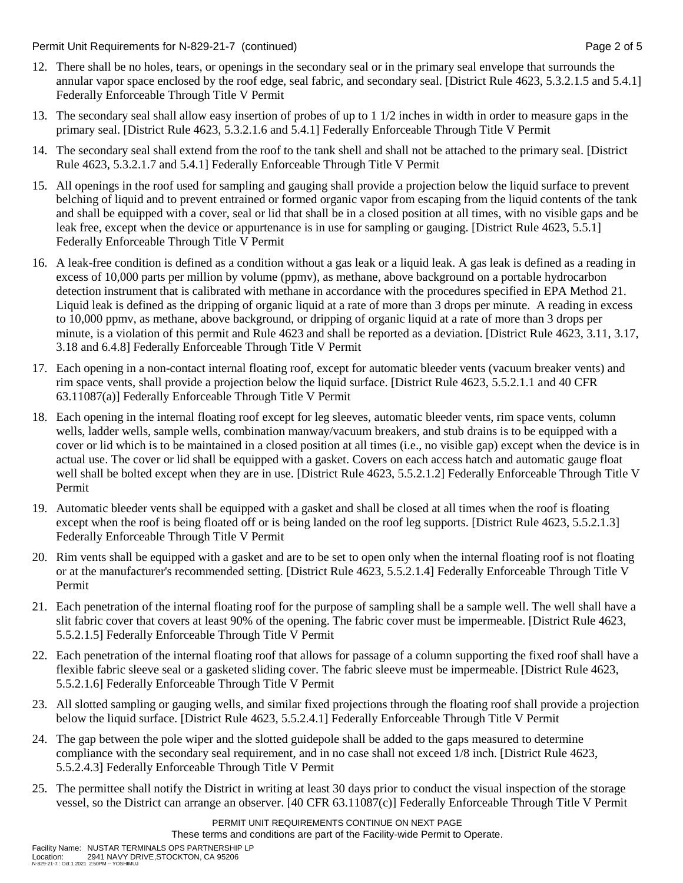Permit Unit Requirements for N-829-21-7 (continued) **Page 2** of 5

- 12. There shall be no holes, tears, or openings in the secondary seal or in the primary seal envelope that surrounds the annular vapor space enclosed by the roof edge, seal fabric, and secondary seal. [District Rule 4623, 5.3.2.1.5 and 5.4.1] Federally Enforceable Through Title V Permit
- 13. The secondary seal shall allow easy insertion of probes of up to 1 1/2 inches in width in order to measure gaps in the primary seal. [District Rule 4623, 5.3.2.1.6 and 5.4.1] Federally Enforceable Through Title V Permit
- 14. The secondary seal shall extend from the roof to the tank shell and shall not be attached to the primary seal. [District Rule 4623, 5.3.2.1.7 and 5.4.1] Federally Enforceable Through Title V Permit
- 15. All openings in the roof used for sampling and gauging shall provide a projection below the liquid surface to prevent belching of liquid and to prevent entrained or formed organic vapor from escaping from the liquid contents of the tank and shall be equipped with a cover, seal or lid that shall be in a closed position at all times, with no visible gaps and be leak free, except when the device or appurtenance is in use for sampling or gauging. [District Rule 4623, 5.5.1] Federally Enforceable Through Title V Permit
- 16. A leak-free condition is defined as a condition without a gas leak or a liquid leak. A gas leak is defined as a reading in excess of 10,000 parts per million by volume (ppmv), as methane, above background on a portable hydrocarbon detection instrument that is calibrated with methane in accordance with the procedures specified in EPA Method 21. Liquid leak is defined as the dripping of organic liquid at a rate of more than 3 drops per minute. A reading in excess to 10,000 ppmv, as methane, above background, or dripping of organic liquid at a rate of more than 3 drops per minute, is a violation of this permit and Rule 4623 and shall be reported as a deviation. [District Rule 4623, 3.11, 3.17, 3.18 and 6.4.8] Federally Enforceable Through Title V Permit
- 17. Each opening in a non-contact internal floating roof, except for automatic bleeder vents (vacuum breaker vents) and rim space vents, shall provide a projection below the liquid surface. [District Rule 4623, 5.5.2.1.1 and 40 CFR 63.11087(a)] Federally Enforceable Through Title V Permit
- 18. Each opening in the internal floating roof except for leg sleeves, automatic bleeder vents, rim space vents, column wells, ladder wells, sample wells, combination manway/vacuum breakers, and stub drains is to be equipped with a cover or lid which is to be maintained in a closed position at all times (i.e., no visible gap) except when the device is in actual use. The cover or lid shall be equipped with a gasket. Covers on each access hatch and automatic gauge float well shall be bolted except when they are in use. [District Rule 4623, 5.5.2.1.2] Federally Enforceable Through Title V Permit
- 19. Automatic bleeder vents shall be equipped with a gasket and shall be closed at all times when the roof is floating except when the roof is being floated off or is being landed on the roof leg supports. [District Rule 4623, 5.5.2.1.3] Federally Enforceable Through Title V Permit
- 20. Rim vents shall be equipped with a gasket and are to be set to open only when the internal floating roof is not floating or at the manufacturer's recommended setting. [District Rule 4623, 5.5.2.1.4] Federally Enforceable Through Title V Permit
- 21. Each penetration of the internal floating roof for the purpose of sampling shall be a sample well. The well shall have a slit fabric cover that covers at least 90% of the opening. The fabric cover must be impermeable. [District Rule 4623, 5.5.2.1.5] Federally Enforceable Through Title V Permit
- 22. Each penetration of the internal floating roof that allows for passage of a column supporting the fixed roof shall have a flexible fabric sleeve seal or a gasketed sliding cover. The fabric sleeve must be impermeable. [District Rule 4623, 5.5.2.1.6] Federally Enforceable Through Title V Permit
- 23. All slotted sampling or gauging wells, and similar fixed projections through the floating roof shall provide a projection below the liquid surface. [District Rule 4623, 5.5.2.4.1] Federally Enforceable Through Title V Permit
- 24. The gap between the pole wiper and the slotted guidepole shall be added to the gaps measured to determine compliance with the secondary seal requirement, and in no case shall not exceed 1/8 inch. [District Rule 4623, 5.5.2.4.3] Federally Enforceable Through Title V Permit
- 25. The permittee shall notify the District in writing at least 30 days prior to conduct the visual inspection of the storage vessel, so the District can arrange an observer. [40 CFR 63.11087(c)] Federally Enforceable Through Title V Permit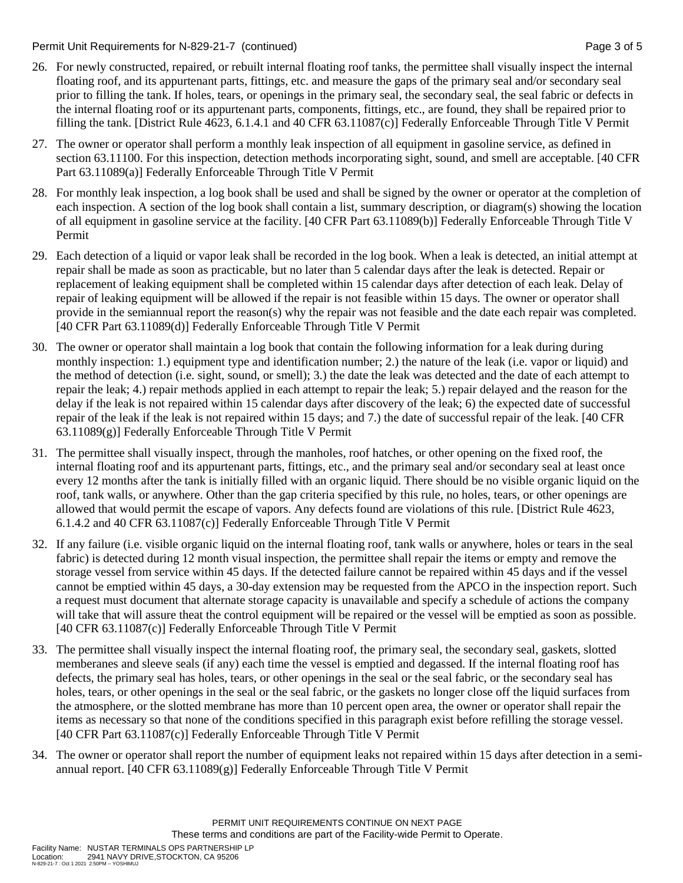Permit Unit Requirements for N-829-21-7 (continued) **Page 3** of 5

- 26. For newly constructed, repaired, or rebuilt internal floating roof tanks, the permittee shall visually inspect the internal floating roof, and its appurtenant parts, fittings, etc. and measure the gaps of the primary seal and/or secondary seal prior to filling the tank. If holes, tears, or openings in the primary seal, the secondary seal, the seal fabric or defects in the internal floating roof or its appurtenant parts, components, fittings, etc., are found, they shall be repaired prior to filling the tank. [District Rule 4623, 6.1.4.1 and 40 CFR 63.11087(c)] Federally Enforceable Through Title V Permit
- 27. The owner or operator shall perform a monthly leak inspection of all equipment in gasoline service, as defined in section 63.11100. For this inspection, detection methods incorporating sight, sound, and smell are acceptable. [40 CFR Part 63.11089(a)] Federally Enforceable Through Title V Permit
- 28. For monthly leak inspection, a log book shall be used and shall be signed by the owner or operator at the completion of each inspection. A section of the log book shall contain a list, summary description, or diagram(s) showing the location of all equipment in gasoline service at the facility. [40 CFR Part 63.11089(b)] Federally Enforceable Through Title V Permit
- 29. Each detection of a liquid or vapor leak shall be recorded in the log book. When a leak is detected, an initial attempt at repair shall be made as soon as practicable, but no later than 5 calendar days after the leak is detected. Repair or replacement of leaking equipment shall be completed within 15 calendar days after detection of each leak. Delay of repair of leaking equipment will be allowed if the repair is not feasible within 15 days. The owner or operator shall provide in the semiannual report the reason(s) why the repair was not feasible and the date each repair was completed. [40 CFR Part 63.11089(d)] Federally Enforceable Through Title V Permit
- 30. The owner or operator shall maintain a log book that contain the following information for a leak during during monthly inspection: 1.) equipment type and identification number; 2.) the nature of the leak (i.e. vapor or liquid) and the method of detection (i.e. sight, sound, or smell); 3.) the date the leak was detected and the date of each attempt to repair the leak; 4.) repair methods applied in each attempt to repair the leak; 5.) repair delayed and the reason for the delay if the leak is not repaired within 15 calendar days after discovery of the leak; 6) the expected date of successful repair of the leak if the leak is not repaired within 15 days; and 7.) the date of successful repair of the leak. [40 CFR 63.11089(g)] Federally Enforceable Through Title V Permit
- 31. The permittee shall visually inspect, through the manholes, roof hatches, or other opening on the fixed roof, the internal floating roof and its appurtenant parts, fittings, etc., and the primary seal and/or secondary seal at least once every 12 months after the tank is initially filled with an organic liquid. There should be no visible organic liquid on the roof, tank walls, or anywhere. Other than the gap criteria specified by this rule, no holes, tears, or other openings are allowed that would permit the escape of vapors. Any defects found are violations of this rule. [District Rule 4623, 6.1.4.2 and 40 CFR 63.11087(c)] Federally Enforceable Through Title V Permit
- 32. If any failure (i.e. visible organic liquid on the internal floating roof, tank walls or anywhere, holes or tears in the seal fabric) is detected during 12 month visual inspection, the permittee shall repair the items or empty and remove the storage vessel from service within 45 days. If the detected failure cannot be repaired within 45 days and if the vessel cannot be emptied within 45 days, a 30-day extension may be requested from the APCO in the inspection report. Such a request must document that alternate storage capacity is unavailable and specify a schedule of actions the company will take that will assure theat the control equipment will be repaired or the vessel will be emptied as soon as possible. [40 CFR 63.11087(c)] Federally Enforceable Through Title V Permit
- 33. The permittee shall visually inspect the internal floating roof, the primary seal, the secondary seal, gaskets, slotted memberanes and sleeve seals (if any) each time the vessel is emptied and degassed. If the internal floating roof has defects, the primary seal has holes, tears, or other openings in the seal or the seal fabric, or the secondary seal has holes, tears, or other openings in the seal or the seal fabric, or the gaskets no longer close off the liquid surfaces from the atmosphere, or the slotted membrane has more than 10 percent open area, the owner or operator shall repair the items as necessary so that none of the conditions specified in this paragraph exist before refilling the storage vessel. [40 CFR Part 63.11087(c)] Federally Enforceable Through Title V Permit
- 34. The owner or operator shall report the number of equipment leaks not repaired within 15 days after detection in a semiannual report. [40 CFR  $63.11089(g)$ ] Federally Enforceable Through Title V Permit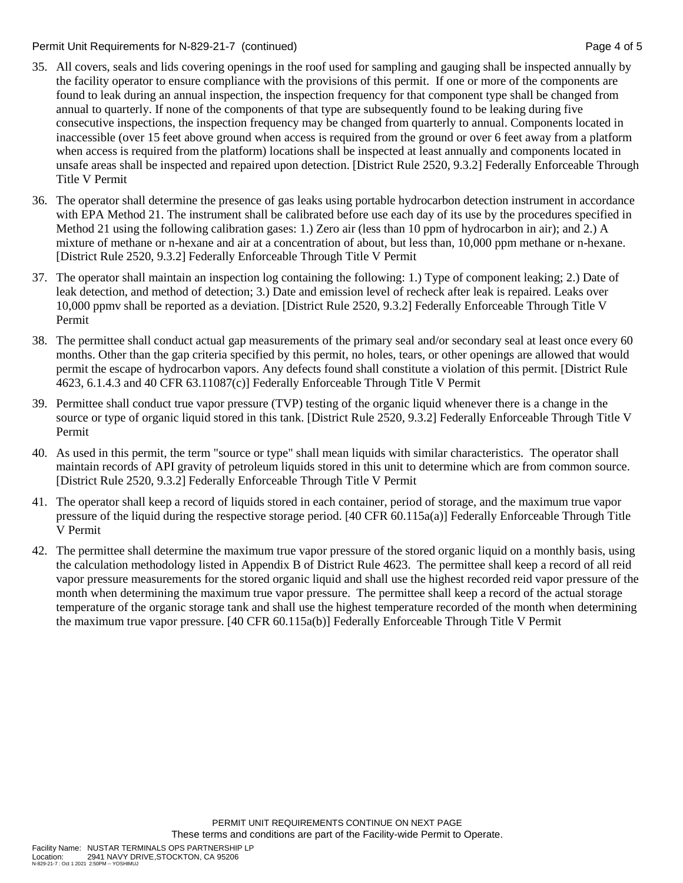#### Permit Unit Requirements for N-829-21-7 (continued) Page 4 of 5

- 35. All covers, seals and lids covering openings in the roof used for sampling and gauging shall be inspected annually by the facility operator to ensure compliance with the provisions of this permit. If one or more of the components are found to leak during an annual inspection, the inspection frequency for that component type shall be changed from annual to quarterly. If none of the components of that type are subsequently found to be leaking during five consecutive inspections, the inspection frequency may be changed from quarterly to annual. Components located in inaccessible (over 15 feet above ground when access is required from the ground or over 6 feet away from a platform when access is required from the platform) locations shall be inspected at least annually and components located in unsafe areas shall be inspected and repaired upon detection. [District Rule 2520, 9.3.2] Federally Enforceable Through Title V Permit
- 36. The operator shall determine the presence of gas leaks using portable hydrocarbon detection instrument in accordance with EPA Method 21. The instrument shall be calibrated before use each day of its use by the procedures specified in Method 21 using the following calibration gases: 1.) Zero air (less than 10 ppm of hydrocarbon in air); and 2.) A mixture of methane or n-hexane and air at a concentration of about, but less than, 10,000 ppm methane or n-hexane. [District Rule 2520, 9.3.2] Federally Enforceable Through Title V Permit
- 37. The operator shall maintain an inspection log containing the following: 1.) Type of component leaking; 2.) Date of leak detection, and method of detection; 3.) Date and emission level of recheck after leak is repaired. Leaks over 10,000 ppmv shall be reported as a deviation. [District Rule 2520, 9.3.2] Federally Enforceable Through Title V Permit
- 38. The permittee shall conduct actual gap measurements of the primary seal and/or secondary seal at least once every 60 months. Other than the gap criteria specified by this permit, no holes, tears, or other openings are allowed that would permit the escape of hydrocarbon vapors. Any defects found shall constitute a violation of this permit. [District Rule 4623, 6.1.4.3 and 40 CFR 63.11087(c)] Federally Enforceable Through Title V Permit
- 39. Permittee shall conduct true vapor pressure (TVP) testing of the organic liquid whenever there is a change in the source or type of organic liquid stored in this tank. [District Rule 2520, 9.3.2] Federally Enforceable Through Title V Permit
- 40. As used in this permit, the term "source or type" shall mean liquids with similar characteristics. The operator shall maintain records of API gravity of petroleum liquids stored in this unit to determine which are from common source. [District Rule 2520, 9.3.2] Federally Enforceable Through Title V Permit
- 41. The operator shall keep a record of liquids stored in each container, period of storage, and the maximum true vapor pressure of the liquid during the respective storage period. [40 CFR 60.115a(a)] Federally Enforceable Through Title V Permit
- 42. The permittee shall determine the maximum true vapor pressure of the stored organic liquid on a monthly basis, using the calculation methodology listed in Appendix B of District Rule 4623. The permittee shall keep a record of all reid vapor pressure measurements for the stored organic liquid and shall use the highest recorded reid vapor pressure of the month when determining the maximum true vapor pressure. The permittee shall keep a record of the actual storage temperature of the organic storage tank and shall use the highest temperature recorded of the month when determining the maximum true vapor pressure. [40 CFR 60.115a(b)] Federally Enforceable Through Title V Permit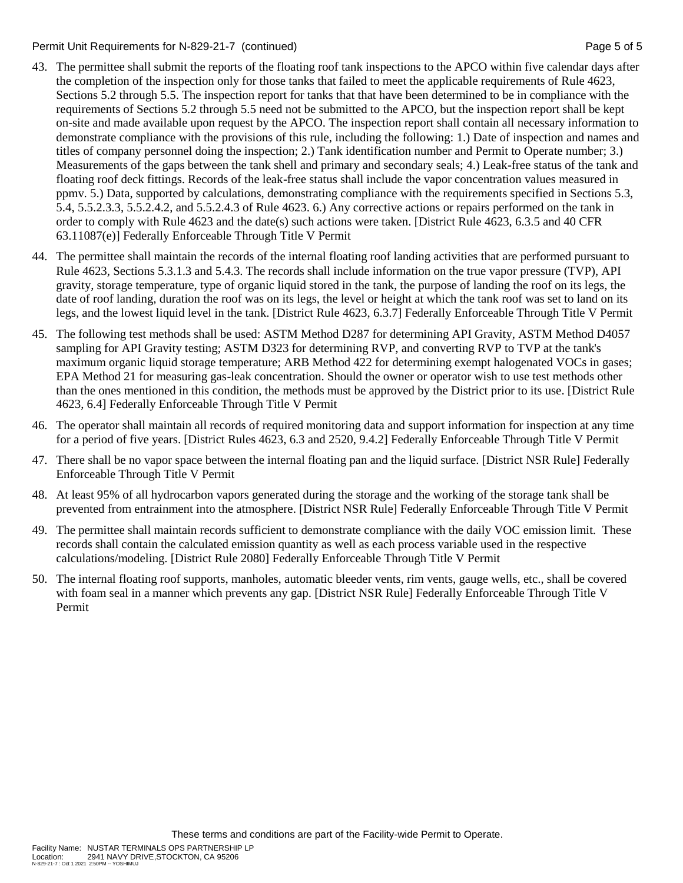Permit Unit Requirements for N-829-21-7 (continued) Page 5 of 5

- 43. The permittee shall submit the reports of the floating roof tank inspections to the APCO within five calendar days after the completion of the inspection only for those tanks that failed to meet the applicable requirements of Rule 4623, Sections 5.2 through 5.5. The inspection report for tanks that that have been determined to be in compliance with the requirements of Sections 5.2 through 5.5 need not be submitted to the APCO, but the inspection report shall be kept on-site and made available upon request by the APCO. The inspection report shall contain all necessary information to demonstrate compliance with the provisions of this rule, including the following: 1.) Date of inspection and names and titles of company personnel doing the inspection; 2.) Tank identification number and Permit to Operate number; 3.) Measurements of the gaps between the tank shell and primary and secondary seals; 4.) Leak-free status of the tank and floating roof deck fittings. Records of the leak-free status shall include the vapor concentration values measured in ppmv. 5.) Data, supported by calculations, demonstrating compliance with the requirements specified in Sections 5.3, 5.4, 5.5.2.3.3, 5.5.2.4.2, and 5.5.2.4.3 of Rule 4623. 6.) Any corrective actions or repairs performed on the tank in order to comply with Rule 4623 and the date(s) such actions were taken. [District Rule 4623, 6.3.5 and 40 CFR 63.11087(e)] Federally Enforceable Through Title V Permit
- 44. The permittee shall maintain the records of the internal floating roof landing activities that are performed pursuant to Rule 4623, Sections 5.3.1.3 and 5.4.3. The records shall include information on the true vapor pressure (TVP), API gravity, storage temperature, type of organic liquid stored in the tank, the purpose of landing the roof on its legs, the date of roof landing, duration the roof was on its legs, the level or height at which the tank roof was set to land on its legs, and the lowest liquid level in the tank. [District Rule 4623, 6.3.7] Federally Enforceable Through Title V Permit
- 45. The following test methods shall be used: ASTM Method D287 for determining API Gravity, ASTM Method D4057 sampling for API Gravity testing; ASTM D323 for determining RVP, and converting RVP to TVP at the tank's maximum organic liquid storage temperature; ARB Method 422 for determining exempt halogenated VOCs in gases; EPA Method 21 for measuring gas-leak concentration. Should the owner or operator wish to use test methods other than the ones mentioned in this condition, the methods must be approved by the District prior to its use. [District Rule 4623, 6.4] Federally Enforceable Through Title V Permit
- 46. The operator shall maintain all records of required monitoring data and support information for inspection at any time for a period of five years. [District Rules 4623, 6.3 and 2520, 9.4.2] Federally Enforceable Through Title V Permit
- 47. There shall be no vapor space between the internal floating pan and the liquid surface. [District NSR Rule] Federally Enforceable Through Title V Permit
- 48. At least 95% of all hydrocarbon vapors generated during the storage and the working of the storage tank shall be prevented from entrainment into the atmosphere. [District NSR Rule] Federally Enforceable Through Title V Permit
- 49. The permittee shall maintain records sufficient to demonstrate compliance with the daily VOC emission limit. These records shall contain the calculated emission quantity as well as each process variable used in the respective calculations/modeling. [District Rule 2080] Federally Enforceable Through Title V Permit
- 50. The internal floating roof supports, manholes, automatic bleeder vents, rim vents, gauge wells, etc., shall be covered with foam seal in a manner which prevents any gap. [District NSR Rule] Federally Enforceable Through Title V Permit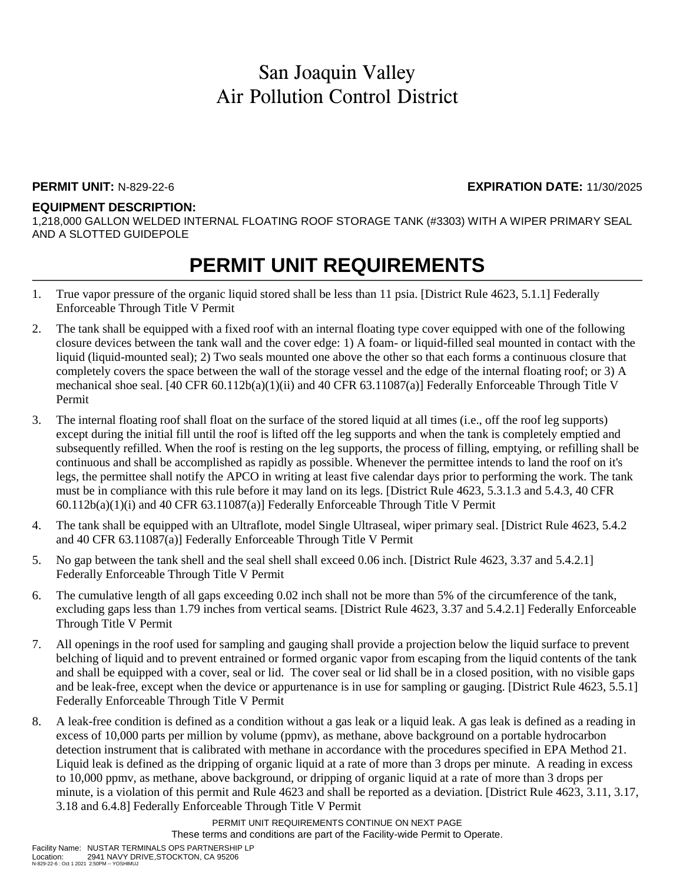#### **PERMIT UNIT:** N-829-22-6 **EXPIRATION DATE:** 11/30/2025

#### **EQUIPMENT DESCRIPTION:**

1,218,000 GALLON WELDED INTERNAL FLOATING ROOF STORAGE TANK (#3303) WITH A WIPER PRIMARY SEAL AND A SLOTTED GUIDEPOLE

## **PERMIT UNIT REQUIREMENTS**

- 1. True vapor pressure of the organic liquid stored shall be less than 11 psia. [District Rule 4623, 5.1.1] Federally Enforceable Through Title V Permit
- 2. The tank shall be equipped with a fixed roof with an internal floating type cover equipped with one of the following closure devices between the tank wall and the cover edge: 1) A foam- or liquid-filled seal mounted in contact with the liquid (liquid-mounted seal); 2) Two seals mounted one above the other so that each forms a continuous closure that completely covers the space between the wall of the storage vessel and the edge of the internal floating roof; or 3) A mechanical shoe seal. [40 CFR 60.112b(a)(1)(ii) and 40 CFR 63.11087(a)] Federally Enforceable Through Title V Permit
- 3. The internal floating roof shall float on the surface of the stored liquid at all times (i.e., off the roof leg supports) except during the initial fill until the roof is lifted off the leg supports and when the tank is completely emptied and subsequently refilled. When the roof is resting on the leg supports, the process of filling, emptying, or refilling shall be continuous and shall be accomplished as rapidly as possible. Whenever the permittee intends to land the roof on it's legs, the permittee shall notify the APCO in writing at least five calendar days prior to performing the work. The tank must be in compliance with this rule before it may land on its legs. [District Rule 4623, 5.3.1.3 and 5.4.3, 40 CFR  $60.112b(a)(1)(i)$  and  $40 \text{ CFR } 63.11087(a)$ ] Federally Enforceable Through Title V Permit
- 4. The tank shall be equipped with an Ultraflote, model Single Ultraseal, wiper primary seal. [District Rule 4623, 5.4.2 and 40 CFR 63.11087(a)] Federally Enforceable Through Title V Permit
- 5. No gap between the tank shell and the seal shell shall exceed 0.06 inch. [District Rule 4623, 3.37 and 5.4.2.1] Federally Enforceable Through Title V Permit
- 6. The cumulative length of all gaps exceeding 0.02 inch shall not be more than 5% of the circumference of the tank, excluding gaps less than 1.79 inches from vertical seams. [District Rule 4623, 3.37 and 5.4.2.1] Federally Enforceable Through Title V Permit
- 7. All openings in the roof used for sampling and gauging shall provide a projection below the liquid surface to prevent belching of liquid and to prevent entrained or formed organic vapor from escaping from the liquid contents of the tank and shall be equipped with a cover, seal or lid. The cover seal or lid shall be in a closed position, with no visible gaps and be leak-free, except when the device or appurtenance is in use for sampling or gauging. [District Rule 4623, 5.5.1] Federally Enforceable Through Title V Permit
- 8. A leak-free condition is defined as a condition without a gas leak or a liquid leak. A gas leak is defined as a reading in excess of 10,000 parts per million by volume (ppmv), as methane, above background on a portable hydrocarbon detection instrument that is calibrated with methane in accordance with the procedures specified in EPA Method 21. Liquid leak is defined as the dripping of organic liquid at a rate of more than 3 drops per minute. A reading in excess to 10,000 ppmv, as methane, above background, or dripping of organic liquid at a rate of more than 3 drops per minute, is a violation of this permit and Rule 4623 and shall be reported as a deviation. [District Rule 4623, 3.11, 3.17, 3.18 and 6.4.8] Federally Enforceable Through Title V Permit

PERMIT UNIT REQUIREMENTS CONTINUE ON NEXT PAGE These terms and conditions are part of the Facility-wide Permit to Operate.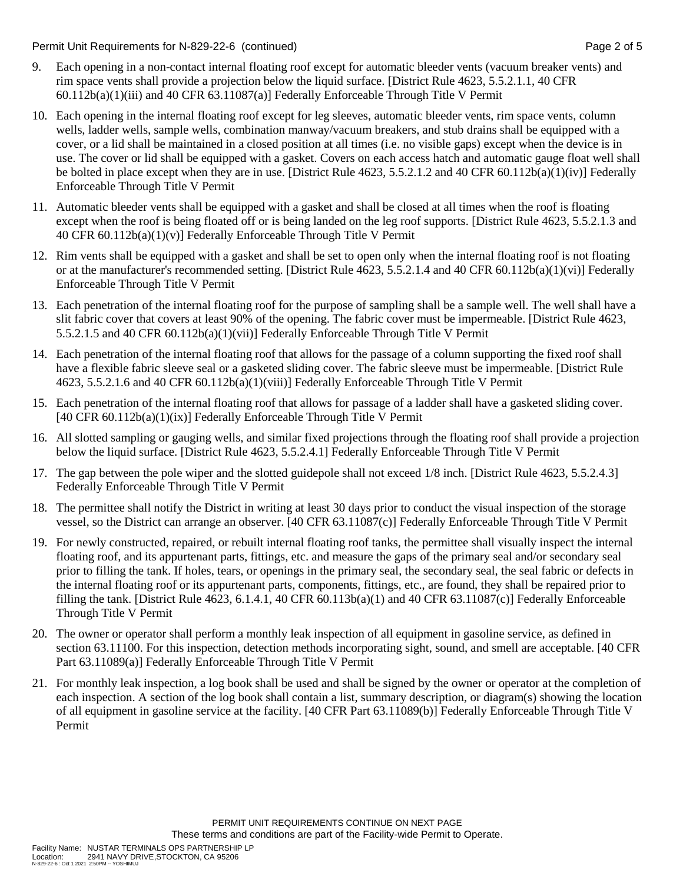Permit Unit Requirements for N-829-22-6 (continued) Page 2 of 5

- 9. Each opening in a non-contact internal floating roof except for automatic bleeder vents (vacuum breaker vents) and rim space vents shall provide a projection below the liquid surface. [District Rule 4623, 5.5.2.1.1, 40 CFR 60.112b(a)(1)(iii) and 40 CFR 63.11087(a)] Federally Enforceable Through Title V Permit
- 10. Each opening in the internal floating roof except for leg sleeves, automatic bleeder vents, rim space vents, column wells, ladder wells, sample wells, combination manway/vacuum breakers, and stub drains shall be equipped with a cover, or a lid shall be maintained in a closed position at all times (i.e. no visible gaps) except when the device is in use. The cover or lid shall be equipped with a gasket. Covers on each access hatch and automatic gauge float well shall be bolted in place except when they are in use. [District Rule 4623, 5.5.2.1.2 and 40 CFR 60.112b(a)(1)(iv)] Federally Enforceable Through Title V Permit
- 11. Automatic bleeder vents shall be equipped with a gasket and shall be closed at all times when the roof is floating except when the roof is being floated off or is being landed on the leg roof supports. [District Rule 4623, 5.5.2.1.3 and 40 CFR 60.112b(a)(1)(v)] Federally Enforceable Through Title V Permit
- 12. Rim vents shall be equipped with a gasket and shall be set to open only when the internal floating roof is not floating or at the manufacturer's recommended setting. [District Rule 4623, 5.5.2.1.4 and 40 CFR 60.112b(a)(1)(vi)] Federally Enforceable Through Title V Permit
- 13. Each penetration of the internal floating roof for the purpose of sampling shall be a sample well. The well shall have a slit fabric cover that covers at least 90% of the opening. The fabric cover must be impermeable. [District Rule 4623, 5.5.2.1.5 and 40 CFR 60.112b(a)(1)(vii)] Federally Enforceable Through Title V Permit
- 14. Each penetration of the internal floating roof that allows for the passage of a column supporting the fixed roof shall have a flexible fabric sleeve seal or a gasketed sliding cover. The fabric sleeve must be impermeable. [District Rule 4623, 5.5.2.1.6 and 40 CFR 60.112b(a)(1)(viii)] Federally Enforceable Through Title V Permit
- 15. Each penetration of the internal floating roof that allows for passage of a ladder shall have a gasketed sliding cover. [40 CFR 60.112b(a)(1)(ix)] Federally Enforceable Through Title V Permit
- 16. All slotted sampling or gauging wells, and similar fixed projections through the floating roof shall provide a projection below the liquid surface. [District Rule 4623, 5.5.2.4.1] Federally Enforceable Through Title V Permit
- 17. The gap between the pole wiper and the slotted guidepole shall not exceed 1/8 inch. [District Rule 4623, 5.5.2.4.3] Federally Enforceable Through Title V Permit
- 18. The permittee shall notify the District in writing at least 30 days prior to conduct the visual inspection of the storage vessel, so the District can arrange an observer. [40 CFR 63.11087(c)] Federally Enforceable Through Title V Permit
- 19. For newly constructed, repaired, or rebuilt internal floating roof tanks, the permittee shall visually inspect the internal floating roof, and its appurtenant parts, fittings, etc. and measure the gaps of the primary seal and/or secondary seal prior to filling the tank. If holes, tears, or openings in the primary seal, the secondary seal, the seal fabric or defects in the internal floating roof or its appurtenant parts, components, fittings, etc., are found, they shall be repaired prior to filling the tank. [District Rule 4623, 6.1.4.1, 40 CFR 60.113b(a)(1) and 40 CFR 63.11087(c)] Federally Enforceable Through Title V Permit
- 20. The owner or operator shall perform a monthly leak inspection of all equipment in gasoline service, as defined in section 63.11100. For this inspection, detection methods incorporating sight, sound, and smell are acceptable. [40 CFR Part 63.11089(a)] Federally Enforceable Through Title V Permit
- 21. For monthly leak inspection, a log book shall be used and shall be signed by the owner or operator at the completion of each inspection. A section of the log book shall contain a list, summary description, or diagram(s) showing the location of all equipment in gasoline service at the facility. [40 CFR Part 63.11089(b)] Federally Enforceable Through Title V Permit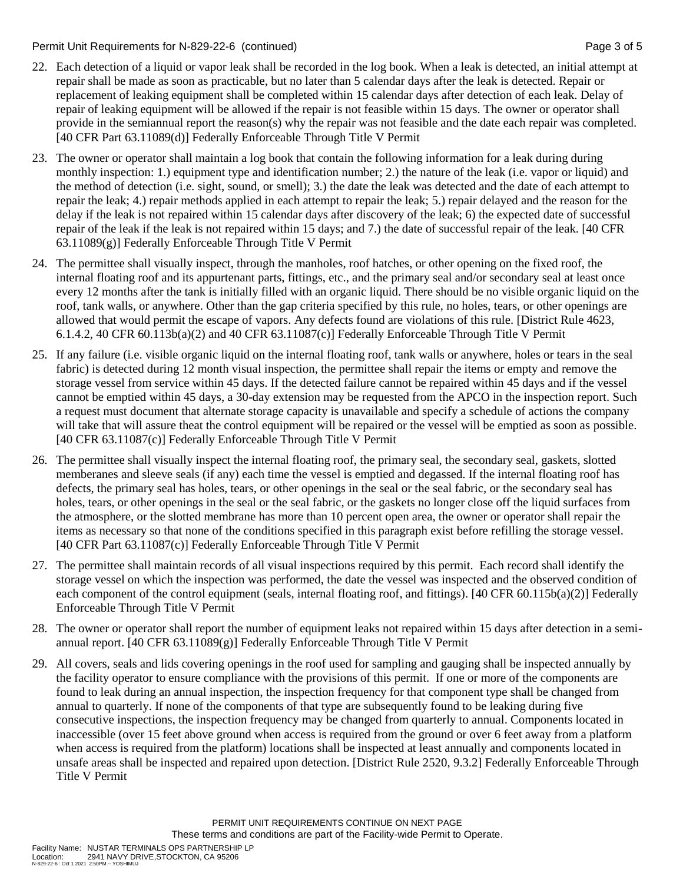Permit Unit Requirements for N-829-22-6 (continued) Page 3 of 5

- 22. Each detection of a liquid or vapor leak shall be recorded in the log book. When a leak is detected, an initial attempt at repair shall be made as soon as practicable, but no later than 5 calendar days after the leak is detected. Repair or replacement of leaking equipment shall be completed within 15 calendar days after detection of each leak. Delay of repair of leaking equipment will be allowed if the repair is not feasible within 15 days. The owner or operator shall provide in the semiannual report the reason(s) why the repair was not feasible and the date each repair was completed. [40 CFR Part 63.11089(d)] Federally Enforceable Through Title V Permit
- 23. The owner or operator shall maintain a log book that contain the following information for a leak during during monthly inspection: 1.) equipment type and identification number; 2.) the nature of the leak (i.e. vapor or liquid) and the method of detection (i.e. sight, sound, or smell); 3.) the date the leak was detected and the date of each attempt to repair the leak; 4.) repair methods applied in each attempt to repair the leak; 5.) repair delayed and the reason for the delay if the leak is not repaired within 15 calendar days after discovery of the leak; 6) the expected date of successful repair of the leak if the leak is not repaired within 15 days; and 7.) the date of successful repair of the leak. [40 CFR 63.11089(g)] Federally Enforceable Through Title V Permit
- 24. The permittee shall visually inspect, through the manholes, roof hatches, or other opening on the fixed roof, the internal floating roof and its appurtenant parts, fittings, etc., and the primary seal and/or secondary seal at least once every 12 months after the tank is initially filled with an organic liquid. There should be no visible organic liquid on the roof, tank walls, or anywhere. Other than the gap criteria specified by this rule, no holes, tears, or other openings are allowed that would permit the escape of vapors. Any defects found are violations of this rule. [District Rule 4623, 6.1.4.2, 40 CFR 60.113b(a)(2) and 40 CFR 63.11087(c)] Federally Enforceable Through Title V Permit
- 25. If any failure (i.e. visible organic liquid on the internal floating roof, tank walls or anywhere, holes or tears in the seal fabric) is detected during 12 month visual inspection, the permittee shall repair the items or empty and remove the storage vessel from service within 45 days. If the detected failure cannot be repaired within 45 days and if the vessel cannot be emptied within 45 days, a 30-day extension may be requested from the APCO in the inspection report. Such a request must document that alternate storage capacity is unavailable and specify a schedule of actions the company will take that will assure theat the control equipment will be repaired or the vessel will be emptied as soon as possible. [40 CFR 63.11087(c)] Federally Enforceable Through Title V Permit
- 26. The permittee shall visually inspect the internal floating roof, the primary seal, the secondary seal, gaskets, slotted memberanes and sleeve seals (if any) each time the vessel is emptied and degassed. If the internal floating roof has defects, the primary seal has holes, tears, or other openings in the seal or the seal fabric, or the secondary seal has holes, tears, or other openings in the seal or the seal fabric, or the gaskets no longer close off the liquid surfaces from the atmosphere, or the slotted membrane has more than 10 percent open area, the owner or operator shall repair the items as necessary so that none of the conditions specified in this paragraph exist before refilling the storage vessel. [40 CFR Part 63.11087(c)] Federally Enforceable Through Title V Permit
- 27. The permittee shall maintain records of all visual inspections required by this permit. Each record shall identify the storage vessel on which the inspection was performed, the date the vessel was inspected and the observed condition of each component of the control equipment (seals, internal floating roof, and fittings). [40 CFR 60.115b(a)(2)] Federally Enforceable Through Title V Permit
- 28. The owner or operator shall report the number of equipment leaks not repaired within 15 days after detection in a semiannual report. [40 CFR 63.11089(g)] Federally Enforceable Through Title V Permit
- 29. All covers, seals and lids covering openings in the roof used for sampling and gauging shall be inspected annually by the facility operator to ensure compliance with the provisions of this permit. If one or more of the components are found to leak during an annual inspection, the inspection frequency for that component type shall be changed from annual to quarterly. If none of the components of that type are subsequently found to be leaking during five consecutive inspections, the inspection frequency may be changed from quarterly to annual. Components located in inaccessible (over 15 feet above ground when access is required from the ground or over 6 feet away from a platform when access is required from the platform) locations shall be inspected at least annually and components located in unsafe areas shall be inspected and repaired upon detection. [District Rule 2520, 9.3.2] Federally Enforceable Through Title V Permit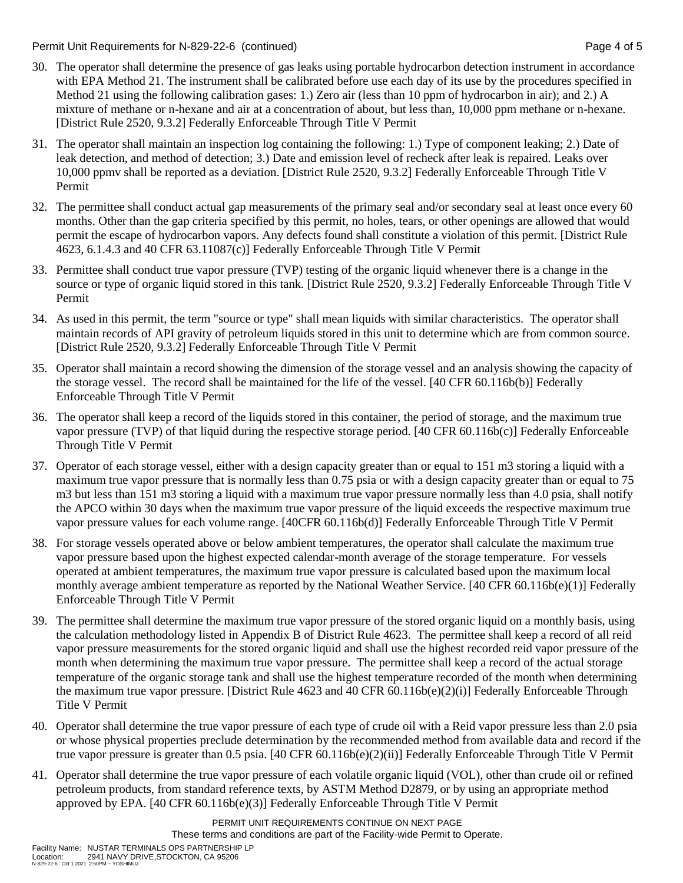Permit Unit Requirements for N-829-22-6 (continued) Page 4 of 5

- 30. The operator shall determine the presence of gas leaks using portable hydrocarbon detection instrument in accordance with EPA Method 21. The instrument shall be calibrated before use each day of its use by the procedures specified in Method 21 using the following calibration gases: 1.) Zero air (less than 10 ppm of hydrocarbon in air); and 2.) A mixture of methane or n-hexane and air at a concentration of about, but less than, 10,000 ppm methane or n-hexane. [District Rule 2520, 9.3.2] Federally Enforceable Through Title V Permit
- 31. The operator shall maintain an inspection log containing the following: 1.) Type of component leaking; 2.) Date of leak detection, and method of detection; 3.) Date and emission level of recheck after leak is repaired. Leaks over 10,000 ppmv shall be reported as a deviation. [District Rule 2520, 9.3.2] Federally Enforceable Through Title V Permit
- 32. The permittee shall conduct actual gap measurements of the primary seal and/or secondary seal at least once every 60 months. Other than the gap criteria specified by this permit, no holes, tears, or other openings are allowed that would permit the escape of hydrocarbon vapors. Any defects found shall constitute a violation of this permit. [District Rule 4623, 6.1.4.3 and 40 CFR 63.11087(c)] Federally Enforceable Through Title V Permit
- 33. Permittee shall conduct true vapor pressure (TVP) testing of the organic liquid whenever there is a change in the source or type of organic liquid stored in this tank. [District Rule 2520, 9.3.2] Federally Enforceable Through Title V Permit
- 34. As used in this permit, the term "source or type" shall mean liquids with similar characteristics. The operator shall maintain records of API gravity of petroleum liquids stored in this unit to determine which are from common source. [District Rule 2520, 9.3.2] Federally Enforceable Through Title V Permit
- 35. Operator shall maintain a record showing the dimension of the storage vessel and an analysis showing the capacity of the storage vessel. The record shall be maintained for the life of the vessel. [40 CFR 60.116b(b)] Federally Enforceable Through Title V Permit
- 36. The operator shall keep a record of the liquids stored in this container, the period of storage, and the maximum true vapor pressure (TVP) of that liquid during the respective storage period. [40 CFR 60.116b(c)] Federally Enforceable Through Title V Permit
- 37. Operator of each storage vessel, either with a design capacity greater than or equal to 151 m3 storing a liquid with a maximum true vapor pressure that is normally less than 0.75 psia or with a design capacity greater than or equal to 75 m3 but less than 151 m3 storing a liquid with a maximum true vapor pressure normally less than 4.0 psia, shall notify the APCO within 30 days when the maximum true vapor pressure of the liquid exceeds the respective maximum true vapor pressure values for each volume range. [40CFR 60.116b(d)] Federally Enforceable Through Title V Permit
- 38. For storage vessels operated above or below ambient temperatures, the operator shall calculate the maximum true vapor pressure based upon the highest expected calendar-month average of the storage temperature. For vessels operated at ambient temperatures, the maximum true vapor pressure is calculated based upon the maximum local monthly average ambient temperature as reported by the National Weather Service. [40 CFR 60.116b(e)(1)] Federally Enforceable Through Title V Permit
- 39. The permittee shall determine the maximum true vapor pressure of the stored organic liquid on a monthly basis, using the calculation methodology listed in Appendix B of District Rule 4623. The permittee shall keep a record of all reid vapor pressure measurements for the stored organic liquid and shall use the highest recorded reid vapor pressure of the month when determining the maximum true vapor pressure. The permittee shall keep a record of the actual storage temperature of the organic storage tank and shall use the highest temperature recorded of the month when determining the maximum true vapor pressure. [District Rule 4623 and 40 CFR 60.116b(e)(2)(i)] Federally Enforceable Through Title V Permit
- 40. Operator shall determine the true vapor pressure of each type of crude oil with a Reid vapor pressure less than 2.0 psia or whose physical properties preclude determination by the recommended method from available data and record if the true vapor pressure is greater than 0.5 psia. [40 CFR 60.116b(e)(2)(ii)] Federally Enforceable Through Title V Permit
- 41. Operator shall determine the true vapor pressure of each volatile organic liquid (VOL), other than crude oil or refined petroleum products, from standard reference texts, by ASTM Method D2879, or by using an appropriate method approved by EPA. [40 CFR 60.116b(e)(3)] Federally Enforceable Through Title V Permit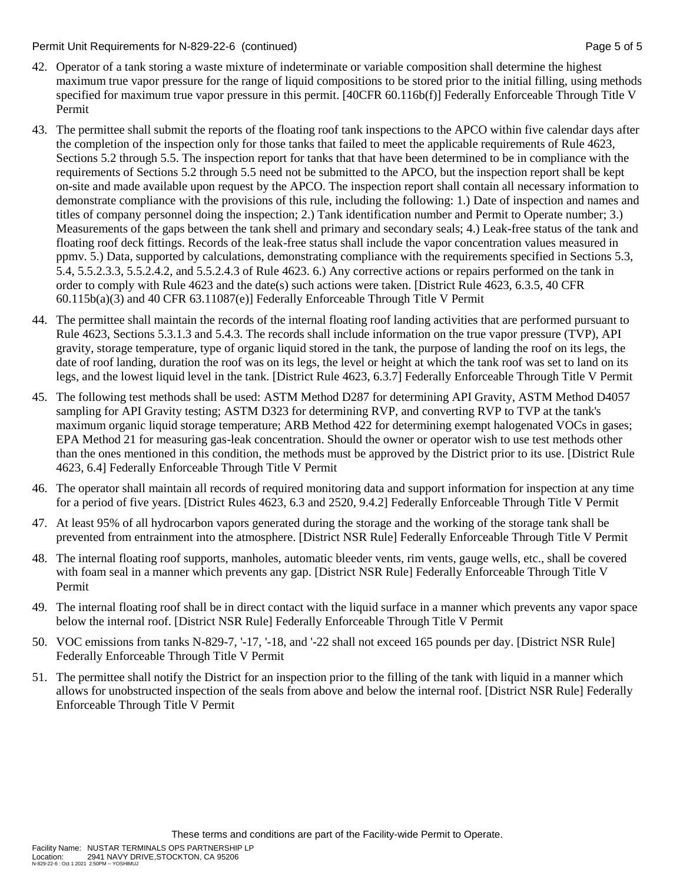#### Permit Unit Requirements for N-829-22-6 (continued) Page 5 of 5

- 42. Operator of a tank storing a waste mixture of indeterminate or variable composition shall determine the highest maximum true vapor pressure for the range of liquid compositions to be stored prior to the initial filling, using methods specified for maximum true vapor pressure in this permit. [40CFR 60.116b(f)] Federally Enforceable Through Title V Permit
- 43. The permittee shall submit the reports of the floating roof tank inspections to the APCO within five calendar days after the completion of the inspection only for those tanks that failed to meet the applicable requirements of Rule 4623, Sections 5.2 through 5.5. The inspection report for tanks that that have been determined to be in compliance with the requirements of Sections 5.2 through 5.5 need not be submitted to the APCO, but the inspection report shall be kept on-site and made available upon request by the APCO. The inspection report shall contain all necessary information to demonstrate compliance with the provisions of this rule, including the following: 1.) Date of inspection and names and titles of company personnel doing the inspection; 2.) Tank identification number and Permit to Operate number; 3.) Measurements of the gaps between the tank shell and primary and secondary seals; 4.) Leak-free status of the tank and floating roof deck fittings. Records of the leak-free status shall include the vapor concentration values measured in ppmv. 5.) Data, supported by calculations, demonstrating compliance with the requirements specified in Sections 5.3, 5.4, 5.5.2.3.3, 5.5.2.4.2, and 5.5.2.4.3 of Rule 4623. 6.) Any corrective actions or repairs performed on the tank in order to comply with Rule 4623 and the date(s) such actions were taken. [District Rule 4623, 6.3.5, 40 CFR 60.115b(a)(3) and 40 CFR 63.11087(e)] Federally Enforceable Through Title V Permit
- 44. The permittee shall maintain the records of the internal floating roof landing activities that are performed pursuant to Rule 4623, Sections 5.3.1.3 and 5.4.3. The records shall include information on the true vapor pressure (TVP), API gravity, storage temperature, type of organic liquid stored in the tank, the purpose of landing the roof on its legs, the date of roof landing, duration the roof was on its legs, the level or height at which the tank roof was set to land on its legs, and the lowest liquid level in the tank. [District Rule 4623, 6.3.7] Federally Enforceable Through Title V Permit
- 45. The following test methods shall be used: ASTM Method D287 for determining API Gravity, ASTM Method D4057 sampling for API Gravity testing; ASTM D323 for determining RVP, and converting RVP to TVP at the tank's maximum organic liquid storage temperature; ARB Method 422 for determining exempt halogenated VOCs in gases; EPA Method 21 for measuring gas-leak concentration. Should the owner or operator wish to use test methods other than the ones mentioned in this condition, the methods must be approved by the District prior to its use. [District Rule 4623, 6.4] Federally Enforceable Through Title V Permit
- 46. The operator shall maintain all records of required monitoring data and support information for inspection at any time for a period of five years. [District Rules 4623, 6.3 and 2520, 9.4.2] Federally Enforceable Through Title V Permit
- 47. At least 95% of all hydrocarbon vapors generated during the storage and the working of the storage tank shall be prevented from entrainment into the atmosphere. [District NSR Rule] Federally Enforceable Through Title V Permit
- 48. The internal floating roof supports, manholes, automatic bleeder vents, rim vents, gauge wells, etc., shall be covered with foam seal in a manner which prevents any gap. [District NSR Rule] Federally Enforceable Through Title V Permit
- 49. The internal floating roof shall be in direct contact with the liquid surface in a manner which prevents any vapor space below the internal roof. [District NSR Rule] Federally Enforceable Through Title V Permit
- 50. VOC emissions from tanks N-829-7, '-17, '-18, and '-22 shall not exceed 165 pounds per day. [District NSR Rule] Federally Enforceable Through Title V Permit
- 51. The permittee shall notify the District for an inspection prior to the filling of the tank with liquid in a manner which allows for unobstructed inspection of the seals from above and below the internal roof. [District NSR Rule] Federally Enforceable Through Title V Permit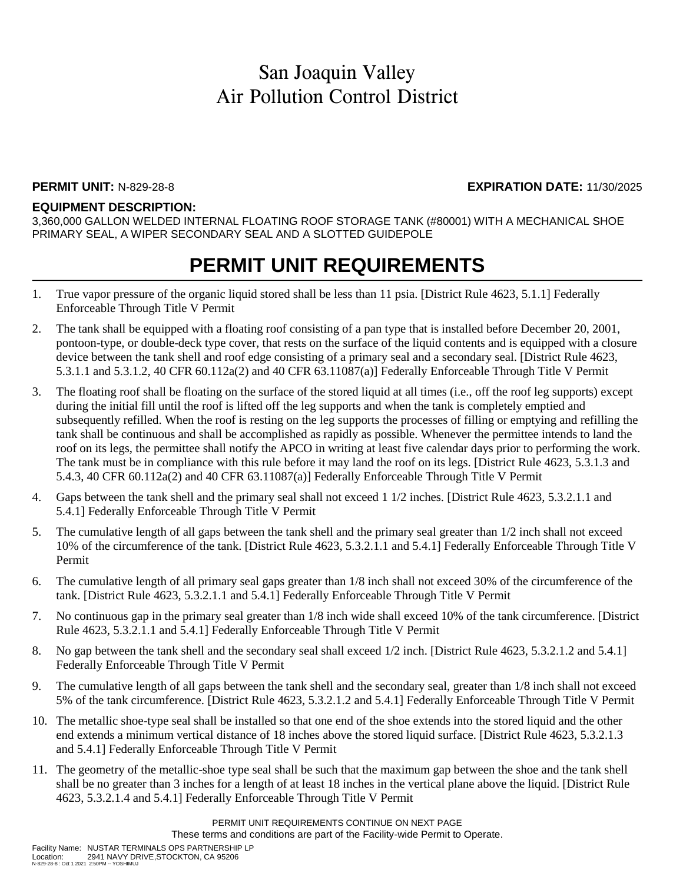### **PERMIT UNIT:** N-829-28-8 **EXPIRATION DATE:** 11/30/2025

#### **EQUIPMENT DESCRIPTION:**

3,360,000 GALLON WELDED INTERNAL FLOATING ROOF STORAGE TANK (#80001) WITH A MECHANICAL SHOE PRIMARY SEAL, A WIPER SECONDARY SEAL AND A SLOTTED GUIDEPOLE

## **PERMIT UNIT REQUIREMENTS**

- 1. True vapor pressure of the organic liquid stored shall be less than 11 psia. [District Rule 4623, 5.1.1] Federally Enforceable Through Title V Permit
- 2. The tank shall be equipped with a floating roof consisting of a pan type that is installed before December 20, 2001, pontoon-type, or double-deck type cover, that rests on the surface of the liquid contents and is equipped with a closure device between the tank shell and roof edge consisting of a primary seal and a secondary seal. [District Rule 4623, 5.3.1.1 and 5.3.1.2, 40 CFR 60.112a(2) and 40 CFR 63.11087(a)] Federally Enforceable Through Title V Permit
- 3. The floating roof shall be floating on the surface of the stored liquid at all times (i.e., off the roof leg supports) except during the initial fill until the roof is lifted off the leg supports and when the tank is completely emptied and subsequently refilled. When the roof is resting on the leg supports the processes of filling or emptying and refilling the tank shall be continuous and shall be accomplished as rapidly as possible. Whenever the permittee intends to land the roof on its legs, the permittee shall notify the APCO in writing at least five calendar days prior to performing the work. The tank must be in compliance with this rule before it may land the roof on its legs. [District Rule 4623, 5.3.1.3 and 5.4.3, 40 CFR 60.112a(2) and 40 CFR 63.11087(a)] Federally Enforceable Through Title V Permit
- 4. Gaps between the tank shell and the primary seal shall not exceed 1 1/2 inches. [District Rule 4623, 5.3.2.1.1 and 5.4.1] Federally Enforceable Through Title V Permit
- 5. The cumulative length of all gaps between the tank shell and the primary seal greater than 1/2 inch shall not exceed 10% of the circumference of the tank. [District Rule 4623, 5.3.2.1.1 and 5.4.1] Federally Enforceable Through Title V Permit
- 6. The cumulative length of all primary seal gaps greater than 1/8 inch shall not exceed 30% of the circumference of the tank. [District Rule 4623, 5.3.2.1.1 and 5.4.1] Federally Enforceable Through Title V Permit
- 7. No continuous gap in the primary seal greater than 1/8 inch wide shall exceed 10% of the tank circumference. [District Rule 4623, 5.3.2.1.1 and 5.4.1] Federally Enforceable Through Title V Permit
- 8. No gap between the tank shell and the secondary seal shall exceed 1/2 inch. [District Rule 4623, 5.3.2.1.2 and 5.4.1] Federally Enforceable Through Title V Permit
- 9. The cumulative length of all gaps between the tank shell and the secondary seal, greater than 1/8 inch shall not exceed 5% of the tank circumference. [District Rule 4623, 5.3.2.1.2 and 5.4.1] Federally Enforceable Through Title V Permit
- 10. The metallic shoe-type seal shall be installed so that one end of the shoe extends into the stored liquid and the other end extends a minimum vertical distance of 18 inches above the stored liquid surface. [District Rule 4623, 5.3.2.1.3 and 5.4.1] Federally Enforceable Through Title V Permit
- 11. The geometry of the metallic-shoe type seal shall be such that the maximum gap between the shoe and the tank shell shall be no greater than 3 inches for a length of at least 18 inches in the vertical plane above the liquid. [District Rule 4623, 5.3.2.1.4 and 5.4.1] Federally Enforceable Through Title V Permit

PERMIT UNIT REQUIREMENTS CONTINUE ON NEXT PAGE These terms and conditions are part of the Facility-wide Permit to Operate.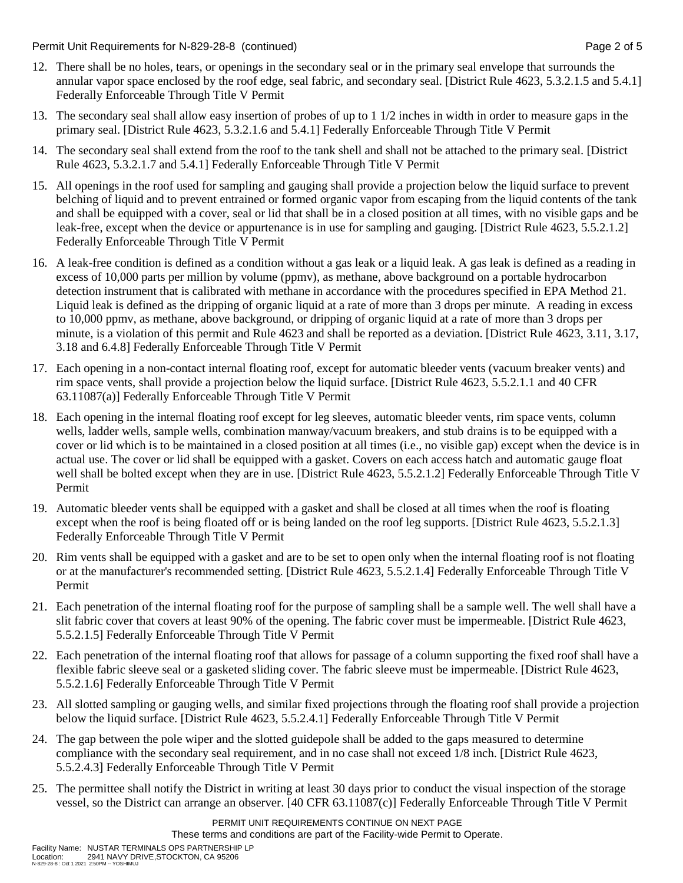Permit Unit Requirements for N-829-28-8 (continued) **Page 2** of 5

- 12. There shall be no holes, tears, or openings in the secondary seal or in the primary seal envelope that surrounds the annular vapor space enclosed by the roof edge, seal fabric, and secondary seal. [District Rule 4623, 5.3.2.1.5 and 5.4.1] Federally Enforceable Through Title V Permit
- 13. The secondary seal shall allow easy insertion of probes of up to 1 1/2 inches in width in order to measure gaps in the primary seal. [District Rule 4623, 5.3.2.1.6 and 5.4.1] Federally Enforceable Through Title V Permit
- 14. The secondary seal shall extend from the roof to the tank shell and shall not be attached to the primary seal. [District Rule 4623, 5.3.2.1.7 and 5.4.1] Federally Enforceable Through Title V Permit
- 15. All openings in the roof used for sampling and gauging shall provide a projection below the liquid surface to prevent belching of liquid and to prevent entrained or formed organic vapor from escaping from the liquid contents of the tank and shall be equipped with a cover, seal or lid that shall be in a closed position at all times, with no visible gaps and be leak-free, except when the device or appurtenance is in use for sampling and gauging. [District Rule 4623, 5.5.2.1.2] Federally Enforceable Through Title V Permit
- 16. A leak-free condition is defined as a condition without a gas leak or a liquid leak. A gas leak is defined as a reading in excess of 10,000 parts per million by volume (ppmv), as methane, above background on a portable hydrocarbon detection instrument that is calibrated with methane in accordance with the procedures specified in EPA Method 21. Liquid leak is defined as the dripping of organic liquid at a rate of more than 3 drops per minute. A reading in excess to 10,000 ppmv, as methane, above background, or dripping of organic liquid at a rate of more than 3 drops per minute, is a violation of this permit and Rule 4623 and shall be reported as a deviation. [District Rule 4623, 3.11, 3.17, 3.18 and 6.4.8] Federally Enforceable Through Title V Permit
- 17. Each opening in a non-contact internal floating roof, except for automatic bleeder vents (vacuum breaker vents) and rim space vents, shall provide a projection below the liquid surface. [District Rule 4623, 5.5.2.1.1 and 40 CFR 63.11087(a)] Federally Enforceable Through Title V Permit
- 18. Each opening in the internal floating roof except for leg sleeves, automatic bleeder vents, rim space vents, column wells, ladder wells, sample wells, combination manway/vacuum breakers, and stub drains is to be equipped with a cover or lid which is to be maintained in a closed position at all times (i.e., no visible gap) except when the device is in actual use. The cover or lid shall be equipped with a gasket. Covers on each access hatch and automatic gauge float well shall be bolted except when they are in use. [District Rule 4623, 5.5.2.1.2] Federally Enforceable Through Title V Permit
- 19. Automatic bleeder vents shall be equipped with a gasket and shall be closed at all times when the roof is floating except when the roof is being floated off or is being landed on the roof leg supports. [District Rule 4623, 5.5.2.1.3] Federally Enforceable Through Title V Permit
- 20. Rim vents shall be equipped with a gasket and are to be set to open only when the internal floating roof is not floating or at the manufacturer's recommended setting. [District Rule 4623, 5.5.2.1.4] Federally Enforceable Through Title V Permit
- 21. Each penetration of the internal floating roof for the purpose of sampling shall be a sample well. The well shall have a slit fabric cover that covers at least 90% of the opening. The fabric cover must be impermeable. [District Rule 4623, 5.5.2.1.5] Federally Enforceable Through Title V Permit
- 22. Each penetration of the internal floating roof that allows for passage of a column supporting the fixed roof shall have a flexible fabric sleeve seal or a gasketed sliding cover. The fabric sleeve must be impermeable. [District Rule 4623, 5.5.2.1.6] Federally Enforceable Through Title V Permit
- 23. All slotted sampling or gauging wells, and similar fixed projections through the floating roof shall provide a projection below the liquid surface. [District Rule 4623, 5.5.2.4.1] Federally Enforceable Through Title V Permit
- 24. The gap between the pole wiper and the slotted guidepole shall be added to the gaps measured to determine compliance with the secondary seal requirement, and in no case shall not exceed 1/8 inch. [District Rule 4623, 5.5.2.4.3] Federally Enforceable Through Title V Permit
- 25. The permittee shall notify the District in writing at least 30 days prior to conduct the visual inspection of the storage vessel, so the District can arrange an observer. [40 CFR 63.11087(c)] Federally Enforceable Through Title V Permit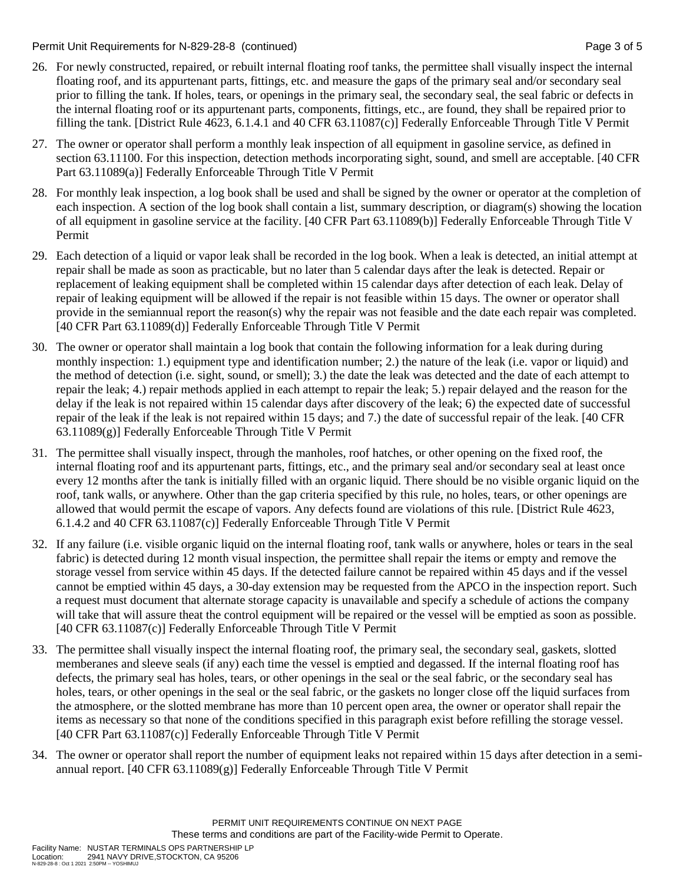Permit Unit Requirements for N-829-28-8 (continued) **Page 3 of 5** and 2 of 5

- 26. For newly constructed, repaired, or rebuilt internal floating roof tanks, the permittee shall visually inspect the internal floating roof, and its appurtenant parts, fittings, etc. and measure the gaps of the primary seal and/or secondary seal prior to filling the tank. If holes, tears, or openings in the primary seal, the secondary seal, the seal fabric or defects in the internal floating roof or its appurtenant parts, components, fittings, etc., are found, they shall be repaired prior to filling the tank. [District Rule 4623, 6.1.4.1 and 40 CFR 63.11087(c)] Federally Enforceable Through Title V Permit
- 27. The owner or operator shall perform a monthly leak inspection of all equipment in gasoline service, as defined in section 63.11100. For this inspection, detection methods incorporating sight, sound, and smell are acceptable. [40 CFR Part 63.11089(a)] Federally Enforceable Through Title V Permit
- 28. For monthly leak inspection, a log book shall be used and shall be signed by the owner or operator at the completion of each inspection. A section of the log book shall contain a list, summary description, or diagram(s) showing the location of all equipment in gasoline service at the facility. [40 CFR Part 63.11089(b)] Federally Enforceable Through Title V Permit
- 29. Each detection of a liquid or vapor leak shall be recorded in the log book. When a leak is detected, an initial attempt at repair shall be made as soon as practicable, but no later than 5 calendar days after the leak is detected. Repair or replacement of leaking equipment shall be completed within 15 calendar days after detection of each leak. Delay of repair of leaking equipment will be allowed if the repair is not feasible within 15 days. The owner or operator shall provide in the semiannual report the reason(s) why the repair was not feasible and the date each repair was completed. [40 CFR Part 63.11089(d)] Federally Enforceable Through Title V Permit
- 30. The owner or operator shall maintain a log book that contain the following information for a leak during during monthly inspection: 1.) equipment type and identification number; 2.) the nature of the leak (i.e. vapor or liquid) and the method of detection (i.e. sight, sound, or smell); 3.) the date the leak was detected and the date of each attempt to repair the leak; 4.) repair methods applied in each attempt to repair the leak; 5.) repair delayed and the reason for the delay if the leak is not repaired within 15 calendar days after discovery of the leak; 6) the expected date of successful repair of the leak if the leak is not repaired within 15 days; and 7.) the date of successful repair of the leak. [40 CFR 63.11089(g)] Federally Enforceable Through Title V Permit
- 31. The permittee shall visually inspect, through the manholes, roof hatches, or other opening on the fixed roof, the internal floating roof and its appurtenant parts, fittings, etc., and the primary seal and/or secondary seal at least once every 12 months after the tank is initially filled with an organic liquid. There should be no visible organic liquid on the roof, tank walls, or anywhere. Other than the gap criteria specified by this rule, no holes, tears, or other openings are allowed that would permit the escape of vapors. Any defects found are violations of this rule. [District Rule 4623, 6.1.4.2 and 40 CFR 63.11087(c)] Federally Enforceable Through Title V Permit
- 32. If any failure (i.e. visible organic liquid on the internal floating roof, tank walls or anywhere, holes or tears in the seal fabric) is detected during 12 month visual inspection, the permittee shall repair the items or empty and remove the storage vessel from service within 45 days. If the detected failure cannot be repaired within 45 days and if the vessel cannot be emptied within 45 days, a 30-day extension may be requested from the APCO in the inspection report. Such a request must document that alternate storage capacity is unavailable and specify a schedule of actions the company will take that will assure theat the control equipment will be repaired or the vessel will be emptied as soon as possible. [40 CFR 63.11087(c)] Federally Enforceable Through Title V Permit
- 33. The permittee shall visually inspect the internal floating roof, the primary seal, the secondary seal, gaskets, slotted memberanes and sleeve seals (if any) each time the vessel is emptied and degassed. If the internal floating roof has defects, the primary seal has holes, tears, or other openings in the seal or the seal fabric, or the secondary seal has holes, tears, or other openings in the seal or the seal fabric, or the gaskets no longer close off the liquid surfaces from the atmosphere, or the slotted membrane has more than 10 percent open area, the owner or operator shall repair the items as necessary so that none of the conditions specified in this paragraph exist before refilling the storage vessel. [40 CFR Part 63.11087(c)] Federally Enforceable Through Title V Permit
- 34. The owner or operator shall report the number of equipment leaks not repaired within 15 days after detection in a semiannual report. [40 CFR  $63.11089(g)$ ] Federally Enforceable Through Title V Permit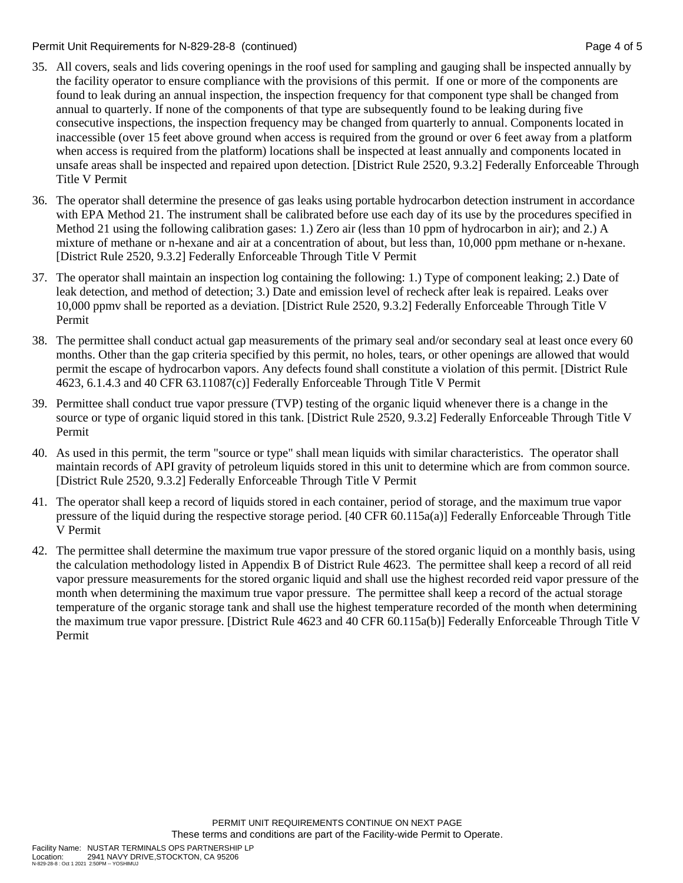#### Permit Unit Requirements for N-829-28-8 (continued) Page 4 of 5

- 35. All covers, seals and lids covering openings in the roof used for sampling and gauging shall be inspected annually by the facility operator to ensure compliance with the provisions of this permit. If one or more of the components are found to leak during an annual inspection, the inspection frequency for that component type shall be changed from annual to quarterly. If none of the components of that type are subsequently found to be leaking during five consecutive inspections, the inspection frequency may be changed from quarterly to annual. Components located in inaccessible (over 15 feet above ground when access is required from the ground or over 6 feet away from a platform when access is required from the platform) locations shall be inspected at least annually and components located in unsafe areas shall be inspected and repaired upon detection. [District Rule 2520, 9.3.2] Federally Enforceable Through Title V Permit
- 36. The operator shall determine the presence of gas leaks using portable hydrocarbon detection instrument in accordance with EPA Method 21. The instrument shall be calibrated before use each day of its use by the procedures specified in Method 21 using the following calibration gases: 1.) Zero air (less than 10 ppm of hydrocarbon in air); and 2.) A mixture of methane or n-hexane and air at a concentration of about, but less than, 10,000 ppm methane or n-hexane. [District Rule 2520, 9.3.2] Federally Enforceable Through Title V Permit
- 37. The operator shall maintain an inspection log containing the following: 1.) Type of component leaking; 2.) Date of leak detection, and method of detection; 3.) Date and emission level of recheck after leak is repaired. Leaks over 10,000 ppmv shall be reported as a deviation. [District Rule 2520, 9.3.2] Federally Enforceable Through Title V Permit
- 38. The permittee shall conduct actual gap measurements of the primary seal and/or secondary seal at least once every 60 months. Other than the gap criteria specified by this permit, no holes, tears, or other openings are allowed that would permit the escape of hydrocarbon vapors. Any defects found shall constitute a violation of this permit. [District Rule 4623, 6.1.4.3 and 40 CFR 63.11087(c)] Federally Enforceable Through Title V Permit
- 39. Permittee shall conduct true vapor pressure (TVP) testing of the organic liquid whenever there is a change in the source or type of organic liquid stored in this tank. [District Rule 2520, 9.3.2] Federally Enforceable Through Title V Permit
- 40. As used in this permit, the term "source or type" shall mean liquids with similar characteristics. The operator shall maintain records of API gravity of petroleum liquids stored in this unit to determine which are from common source. [District Rule 2520, 9.3.2] Federally Enforceable Through Title V Permit
- 41. The operator shall keep a record of liquids stored in each container, period of storage, and the maximum true vapor pressure of the liquid during the respective storage period. [40 CFR 60.115a(a)] Federally Enforceable Through Title V Permit
- 42. The permittee shall determine the maximum true vapor pressure of the stored organic liquid on a monthly basis, using the calculation methodology listed in Appendix B of District Rule 4623. The permittee shall keep a record of all reid vapor pressure measurements for the stored organic liquid and shall use the highest recorded reid vapor pressure of the month when determining the maximum true vapor pressure. The permittee shall keep a record of the actual storage temperature of the organic storage tank and shall use the highest temperature recorded of the month when determining the maximum true vapor pressure. [District Rule 4623 and 40 CFR 60.115a(b)] Federally Enforceable Through Title V Permit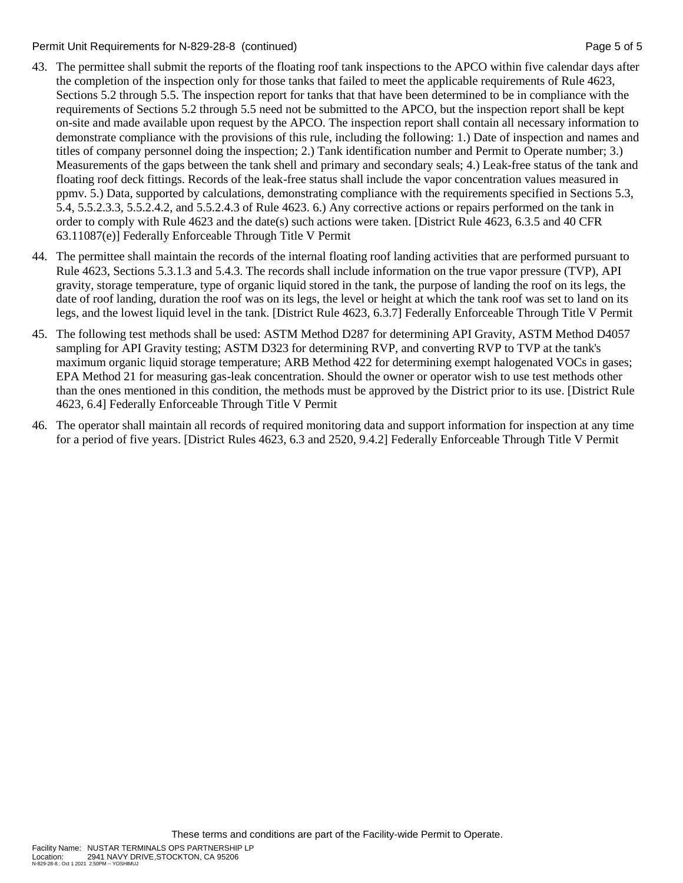Permit Unit Requirements for N-829-28-8 (continued) **Page 5 of 5** and 2011 12:30 Page 5 of 5

- 43. The permittee shall submit the reports of the floating roof tank inspections to the APCO within five calendar days after the completion of the inspection only for those tanks that failed to meet the applicable requirements of Rule 4623, Sections 5.2 through 5.5. The inspection report for tanks that that have been determined to be in compliance with the requirements of Sections 5.2 through 5.5 need not be submitted to the APCO, but the inspection report shall be kept on-site and made available upon request by the APCO. The inspection report shall contain all necessary information to demonstrate compliance with the provisions of this rule, including the following: 1.) Date of inspection and names and titles of company personnel doing the inspection; 2.) Tank identification number and Permit to Operate number; 3.) Measurements of the gaps between the tank shell and primary and secondary seals; 4.) Leak-free status of the tank and floating roof deck fittings. Records of the leak-free status shall include the vapor concentration values measured in ppmv. 5.) Data, supported by calculations, demonstrating compliance with the requirements specified in Sections 5.3, 5.4, 5.5.2.3.3, 5.5.2.4.2, and 5.5.2.4.3 of Rule 4623. 6.) Any corrective actions or repairs performed on the tank in order to comply with Rule 4623 and the date(s) such actions were taken. [District Rule 4623, 6.3.5 and 40 CFR 63.11087(e)] Federally Enforceable Through Title V Permit
- 44. The permittee shall maintain the records of the internal floating roof landing activities that are performed pursuant to Rule 4623, Sections 5.3.1.3 and 5.4.3. The records shall include information on the true vapor pressure (TVP), API gravity, storage temperature, type of organic liquid stored in the tank, the purpose of landing the roof on its legs, the date of roof landing, duration the roof was on its legs, the level or height at which the tank roof was set to land on its legs, and the lowest liquid level in the tank. [District Rule 4623, 6.3.7] Federally Enforceable Through Title V Permit
- 45. The following test methods shall be used: ASTM Method D287 for determining API Gravity, ASTM Method D4057 sampling for API Gravity testing; ASTM D323 for determining RVP, and converting RVP to TVP at the tank's maximum organic liquid storage temperature; ARB Method 422 for determining exempt halogenated VOCs in gases; EPA Method 21 for measuring gas-leak concentration. Should the owner or operator wish to use test methods other than the ones mentioned in this condition, the methods must be approved by the District prior to its use. [District Rule 4623, 6.4] Federally Enforceable Through Title V Permit
- 46. The operator shall maintain all records of required monitoring data and support information for inspection at any time for a period of five years. [District Rules 4623, 6.3 and 2520, 9.4.2] Federally Enforceable Through Title V Permit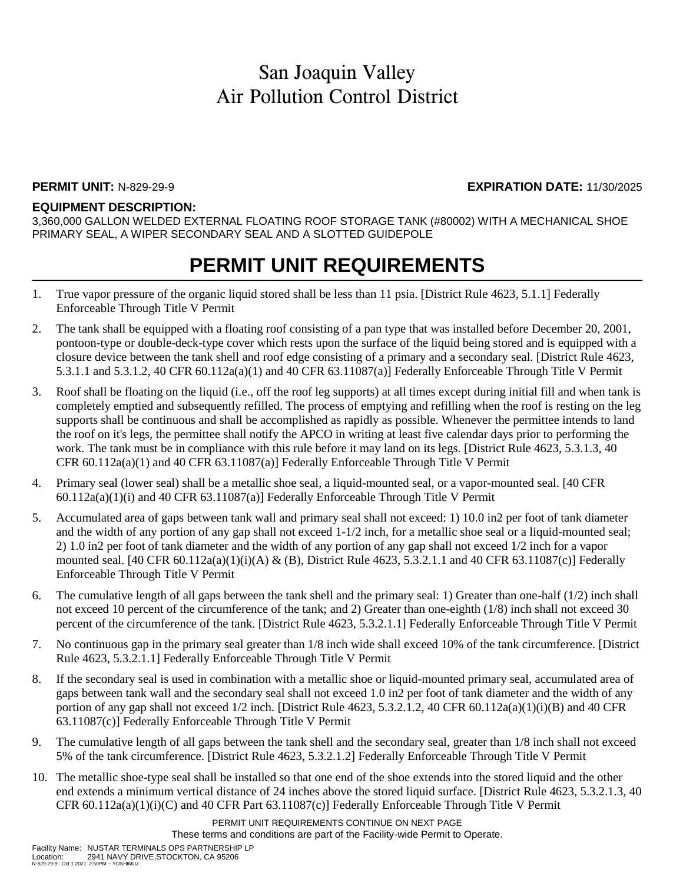#### **PERMIT UNIT:** N-829-29-9 **EXPIRATION DATE:** 11/30/2025

#### **EQUIPMENT DESCRIPTION:**

3,360,000 GALLON WELDED EXTERNAL FLOATING ROOF STORAGE TANK (#80002) WITH A MECHANICAL SHOE PRIMARY SEAL, A WIPER SECONDARY SEAL AND A SLOTTED GUIDEPOLE

## **PERMIT UNIT REQUIREMENTS**

- 1. True vapor pressure of the organic liquid stored shall be less than 11 psia. [District Rule 4623, 5.1.1] Federally Enforceable Through Title V Permit
- 2. The tank shall be equipped with a floating roof consisting of a pan type that was installed before December 20, 2001, pontoon-type or double-deck-type cover which rests upon the surface of the liquid being stored and is equipped with a closure device between the tank shell and roof edge consisting of a primary and a secondary seal. [District Rule 4623, 5.3.1.1 and 5.3.1.2, 40 CFR 60.112a(a)(1) and 40 CFR 63.11087(a)] Federally Enforceable Through Title V Permit
- 3. Roof shall be floating on the liquid (i.e., off the roof leg supports) at all times except during initial fill and when tank is completely emptied and subsequently refilled. The process of emptying and refilling when the roof is resting on the leg supports shall be continuous and shall be accomplished as rapidly as possible. Whenever the permittee intends to land the roof on it's legs, the permittee shall notify the APCO in writing at least five calendar days prior to performing the work. The tank must be in compliance with this rule before it may land on its legs. [District Rule 4623, 5.3.1.3, 40] CFR 60.112a(a)(1) and 40 CFR 63.11087(a)] Federally Enforceable Through Title V Permit
- 4. Primary seal (lower seal) shall be a metallic shoe seal, a liquid-mounted seal, or a vapor-mounted seal. [40 CFR  $60.112a(a)(1)(i)$  and  $40$  CFR  $63.11087(a)$ ] Federally Enforceable Through Title V Permit
- 5. Accumulated area of gaps between tank wall and primary seal shall not exceed: 1) 10.0 in2 per foot of tank diameter and the width of any portion of any gap shall not exceed 1-1/2 inch, for a metallic shoe seal or a liquid-mounted seal; 2) 1.0 in2 per foot of tank diameter and the width of any portion of any gap shall not exceed 1/2 inch for a vapor mounted seal.  $[40 \text{ CFR } 60.112a(a)(1)(i)(A) \& (B)$ , District Rule 4623, 5.3.2.1.1 and 40 CFR 63.11087(c)] Federally Enforceable Through Title V Permit
- 6. The cumulative length of all gaps between the tank shell and the primary seal: 1) Greater than one-half (1/2) inch shall not exceed 10 percent of the circumference of the tank; and 2) Greater than one-eighth (1/8) inch shall not exceed 30 percent of the circumference of the tank. [District Rule 4623, 5.3.2.1.1] Federally Enforceable Through Title V Permit
- 7. No continuous gap in the primary seal greater than 1/8 inch wide shall exceed 10% of the tank circumference. [District Rule 4623, 5.3.2.1.1] Federally Enforceable Through Title V Permit
- 8. If the secondary seal is used in combination with a metallic shoe or liquid-mounted primary seal, accumulated area of gaps between tank wall and the secondary seal shall not exceed 1.0 in2 per foot of tank diameter and the width of any portion of any gap shall not exceed  $1/2$  inch. [District Rule 4623, 5.3.2.1.2, 40 CFR 60.112a(a)(1)(i)(B) and 40 CFR 63.11087(c)] Federally Enforceable Through Title V Permit
- 9. The cumulative length of all gaps between the tank shell and the secondary seal, greater than 1/8 inch shall not exceed 5% of the tank circumference. [District Rule 4623, 5.3.2.1.2] Federally Enforceable Through Title V Permit
- 10. The metallic shoe-type seal shall be installed so that one end of the shoe extends into the stored liquid and the other end extends a minimum vertical distance of 24 inches above the stored liquid surface. [District Rule 4623, 5.3.2.1.3, 40 CFR 60.112a(a)(1)(i)(C) and 40 CFR Part 63.11087(c)] Federally Enforceable Through Title V Permit

PERMIT UNIT REQUIREMENTS CONTINUE ON NEXT PAGE These terms and conditions are part of the Facility-wide Permit to Operate.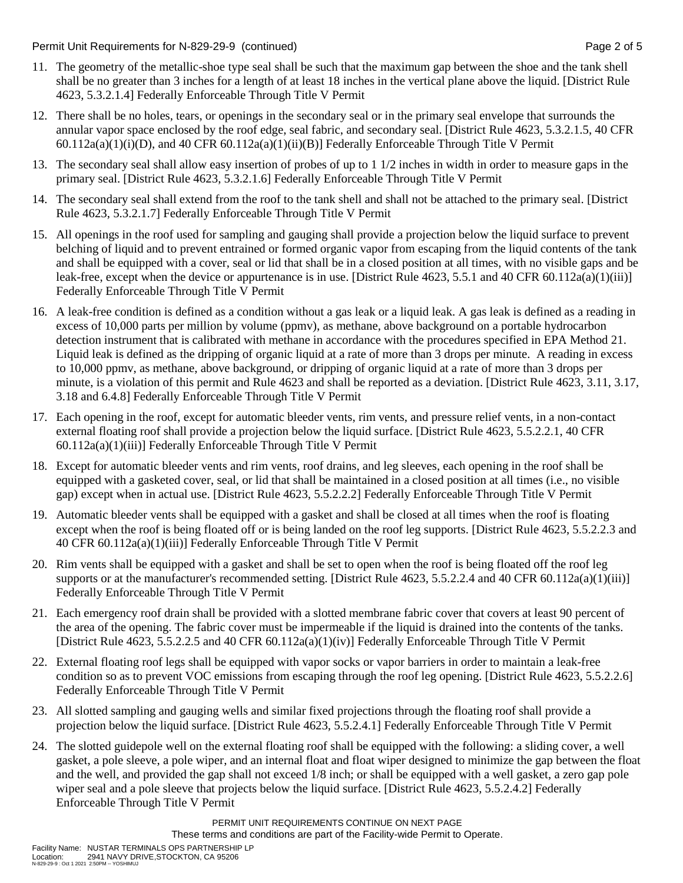Permit Unit Requirements for N-829-29-9 (continued) **Page 2** of 5

- 11. The geometry of the metallic-shoe type seal shall be such that the maximum gap between the shoe and the tank shell shall be no greater than 3 inches for a length of at least 18 inches in the vertical plane above the liquid. [District Rule 4623, 5.3.2.1.4] Federally Enforceable Through Title V Permit
- 12. There shall be no holes, tears, or openings in the secondary seal or in the primary seal envelope that surrounds the annular vapor space enclosed by the roof edge, seal fabric, and secondary seal. [District Rule 4623, 5.3.2.1.5, 40 CFR  $60.112a(a)(1)(i)(D)$ , and  $40$  CFR  $60.112a(a)(1)(ii)(B)$ ] Federally Enforceable Through Title V Permit
- 13. The secondary seal shall allow easy insertion of probes of up to 1 1/2 inches in width in order to measure gaps in the primary seal. [District Rule 4623, 5.3.2.1.6] Federally Enforceable Through Title V Permit
- 14. The secondary seal shall extend from the roof to the tank shell and shall not be attached to the primary seal. [District Rule 4623, 5.3.2.1.7] Federally Enforceable Through Title V Permit
- 15. All openings in the roof used for sampling and gauging shall provide a projection below the liquid surface to prevent belching of liquid and to prevent entrained or formed organic vapor from escaping from the liquid contents of the tank and shall be equipped with a cover, seal or lid that shall be in a closed position at all times, with no visible gaps and be leak-free, except when the device or appurtenance is in use. [District Rule 4623, 5.5.1 and 40 CFR 60.112a(a)(1)(iii)] Federally Enforceable Through Title V Permit
- 16. A leak-free condition is defined as a condition without a gas leak or a liquid leak. A gas leak is defined as a reading in excess of 10,000 parts per million by volume (ppmv), as methane, above background on a portable hydrocarbon detection instrument that is calibrated with methane in accordance with the procedures specified in EPA Method 21. Liquid leak is defined as the dripping of organic liquid at a rate of more than 3 drops per minute. A reading in excess to 10,000 ppmv, as methane, above background, or dripping of organic liquid at a rate of more than 3 drops per minute, is a violation of this permit and Rule 4623 and shall be reported as a deviation. [District Rule 4623, 3.11, 3.17, 3.18 and 6.4.8] Federally Enforceable Through Title V Permit
- 17. Each opening in the roof, except for automatic bleeder vents, rim vents, and pressure relief vents, in a non-contact external floating roof shall provide a projection below the liquid surface. [District Rule 4623, 5.5.2.2.1, 40 CFR 60.112a(a)(1)(iii)] Federally Enforceable Through Title V Permit
- 18. Except for automatic bleeder vents and rim vents, roof drains, and leg sleeves, each opening in the roof shall be equipped with a gasketed cover, seal, or lid that shall be maintained in a closed position at all times (i.e., no visible gap) except when in actual use. [District Rule 4623, 5.5.2.2.2] Federally Enforceable Through Title V Permit
- 19. Automatic bleeder vents shall be equipped with a gasket and shall be closed at all times when the roof is floating except when the roof is being floated off or is being landed on the roof leg supports. [District Rule 4623, 5.5.2.2.3 and 40 CFR 60.112a(a)(1)(iii)] Federally Enforceable Through Title V Permit
- 20. Rim vents shall be equipped with a gasket and shall be set to open when the roof is being floated off the roof leg supports or at the manufacturer's recommended setting. [District Rule  $4623, 5.5.2.2.4$  and  $40$  CFR  $60.112a(a)(1)(iii)$ ] Federally Enforceable Through Title V Permit
- 21. Each emergency roof drain shall be provided with a slotted membrane fabric cover that covers at least 90 percent of the area of the opening. The fabric cover must be impermeable if the liquid is drained into the contents of the tanks. [District Rule 4623, 5.5.2.2.5 and 40 CFR 60.112a(a)(1)(iv)] Federally Enforceable Through Title V Permit
- 22. External floating roof legs shall be equipped with vapor socks or vapor barriers in order to maintain a leak-free condition so as to prevent VOC emissions from escaping through the roof leg opening. [District Rule 4623, 5.5.2.2.6] Federally Enforceable Through Title V Permit
- 23. All slotted sampling and gauging wells and similar fixed projections through the floating roof shall provide a projection below the liquid surface. [District Rule 4623, 5.5.2.4.1] Federally Enforceable Through Title V Permit
- 24. The slotted guidepole well on the external floating roof shall be equipped with the following: a sliding cover, a well gasket, a pole sleeve, a pole wiper, and an internal float and float wiper designed to minimize the gap between the float and the well, and provided the gap shall not exceed 1/8 inch; or shall be equipped with a well gasket, a zero gap pole wiper seal and a pole sleeve that projects below the liquid surface. [District Rule 4623, 5.5.2.4.2] Federally Enforceable Through Title V Permit

PERMIT UNIT REQUIREMENTS CONTINUE ON NEXT PAGE These terms and conditions are part of the Facility-wide Permit to Operate.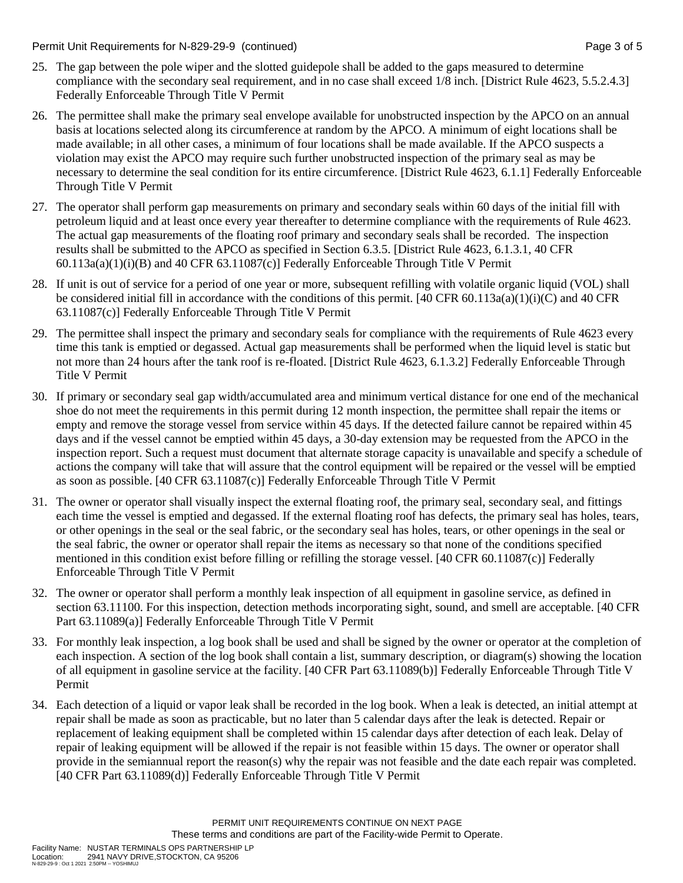Permit Unit Requirements for N-829-29-9 (continued) **Page 3 of 5** and 2 of 5

- 25. The gap between the pole wiper and the slotted guidepole shall be added to the gaps measured to determine compliance with the secondary seal requirement, and in no case shall exceed 1/8 inch. [District Rule 4623, 5.5.2.4.3] Federally Enforceable Through Title V Permit
- 26. The permittee shall make the primary seal envelope available for unobstructed inspection by the APCO on an annual basis at locations selected along its circumference at random by the APCO. A minimum of eight locations shall be made available; in all other cases, a minimum of four locations shall be made available. If the APCO suspects a violation may exist the APCO may require such further unobstructed inspection of the primary seal as may be necessary to determine the seal condition for its entire circumference. [District Rule 4623, 6.1.1] Federally Enforceable Through Title V Permit
- 27. The operator shall perform gap measurements on primary and secondary seals within 60 days of the initial fill with petroleum liquid and at least once every year thereafter to determine compliance with the requirements of Rule 4623. The actual gap measurements of the floating roof primary and secondary seals shall be recorded. The inspection results shall be submitted to the APCO as specified in Section 6.3.5. [District Rule 4623, 6.1.3.1, 40 CFR  $60.113a(a)(1)(i)(B)$  and  $40$  CFR  $63.11087(c)$ ] Federally Enforceable Through Title V Permit
- 28. If unit is out of service for a period of one year or more, subsequent refilling with volatile organic liquid (VOL) shall be considered initial fill in accordance with the conditions of this permit. [40 CFR 60.113a(a)(1)(i)(C) and 40 CFR 63.11087(c)] Federally Enforceable Through Title V Permit
- 29. The permittee shall inspect the primary and secondary seals for compliance with the requirements of Rule 4623 every time this tank is emptied or degassed. Actual gap measurements shall be performed when the liquid level is static but not more than 24 hours after the tank roof is re-floated. [District Rule 4623, 6.1.3.2] Federally Enforceable Through Title V Permit
- 30. If primary or secondary seal gap width/accumulated area and minimum vertical distance for one end of the mechanical shoe do not meet the requirements in this permit during 12 month inspection, the permittee shall repair the items or empty and remove the storage vessel from service within 45 days. If the detected failure cannot be repaired within 45 days and if the vessel cannot be emptied within 45 days, a 30-day extension may be requested from the APCO in the inspection report. Such a request must document that alternate storage capacity is unavailable and specify a schedule of actions the company will take that will assure that the control equipment will be repaired or the vessel will be emptied as soon as possible. [40 CFR 63.11087(c)] Federally Enforceable Through Title V Permit
- 31. The owner or operator shall visually inspect the external floating roof, the primary seal, secondary seal, and fittings each time the vessel is emptied and degassed. If the external floating roof has defects, the primary seal has holes, tears, or other openings in the seal or the seal fabric, or the secondary seal has holes, tears, or other openings in the seal or the seal fabric, the owner or operator shall repair the items as necessary so that none of the conditions specified mentioned in this condition exist before filling or refilling the storage vessel. [40 CFR 60.11087(c)] Federally Enforceable Through Title V Permit
- 32. The owner or operator shall perform a monthly leak inspection of all equipment in gasoline service, as defined in section 63.11100. For this inspection, detection methods incorporating sight, sound, and smell are acceptable. [40 CFR Part 63.11089(a)] Federally Enforceable Through Title V Permit
- 33. For monthly leak inspection, a log book shall be used and shall be signed by the owner or operator at the completion of each inspection. A section of the log book shall contain a list, summary description, or diagram(s) showing the location of all equipment in gasoline service at the facility. [40 CFR Part 63.11089(b)] Federally Enforceable Through Title V Permit
- 34. Each detection of a liquid or vapor leak shall be recorded in the log book. When a leak is detected, an initial attempt at repair shall be made as soon as practicable, but no later than 5 calendar days after the leak is detected. Repair or replacement of leaking equipment shall be completed within 15 calendar days after detection of each leak. Delay of repair of leaking equipment will be allowed if the repair is not feasible within 15 days. The owner or operator shall provide in the semiannual report the reason(s) why the repair was not feasible and the date each repair was completed. [40 CFR Part 63.11089(d)] Federally Enforceable Through Title V Permit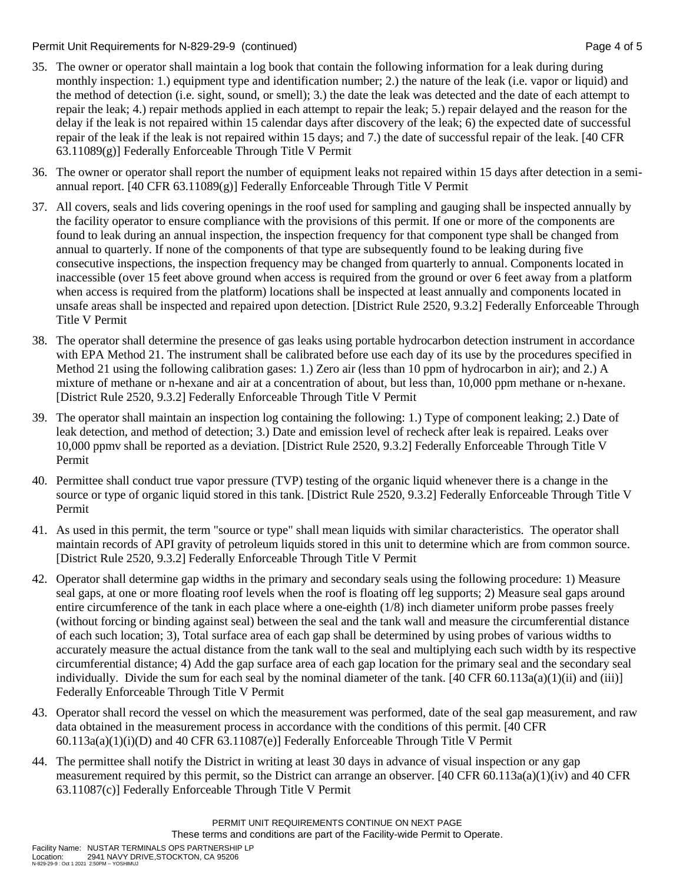Permit Unit Requirements for N-829-29-9 (continued) Page 4 of 5

- 35. The owner or operator shall maintain a log book that contain the following information for a leak during during monthly inspection: 1.) equipment type and identification number; 2.) the nature of the leak (i.e. vapor or liquid) and the method of detection (i.e. sight, sound, or smell); 3.) the date the leak was detected and the date of each attempt to repair the leak; 4.) repair methods applied in each attempt to repair the leak; 5.) repair delayed and the reason for the delay if the leak is not repaired within 15 calendar days after discovery of the leak; 6) the expected date of successful repair of the leak if the leak is not repaired within 15 days; and 7.) the date of successful repair of the leak. [40 CFR 63.11089(g)] Federally Enforceable Through Title V Permit
- 36. The owner or operator shall report the number of equipment leaks not repaired within 15 days after detection in a semiannual report. [40 CFR 63.11089(g)] Federally Enforceable Through Title V Permit
- 37. All covers, seals and lids covering openings in the roof used for sampling and gauging shall be inspected annually by the facility operator to ensure compliance with the provisions of this permit. If one or more of the components are found to leak during an annual inspection, the inspection frequency for that component type shall be changed from annual to quarterly. If none of the components of that type are subsequently found to be leaking during five consecutive inspections, the inspection frequency may be changed from quarterly to annual. Components located in inaccessible (over 15 feet above ground when access is required from the ground or over 6 feet away from a platform when access is required from the platform) locations shall be inspected at least annually and components located in unsafe areas shall be inspected and repaired upon detection. [District Rule 2520, 9.3.2] Federally Enforceable Through Title V Permit
- 38. The operator shall determine the presence of gas leaks using portable hydrocarbon detection instrument in accordance with EPA Method 21. The instrument shall be calibrated before use each day of its use by the procedures specified in Method 21 using the following calibration gases: 1.) Zero air (less than 10 ppm of hydrocarbon in air); and 2.) A mixture of methane or n-hexane and air at a concentration of about, but less than, 10,000 ppm methane or n-hexane. [District Rule 2520, 9.3.2] Federally Enforceable Through Title V Permit
- 39. The operator shall maintain an inspection log containing the following: 1.) Type of component leaking; 2.) Date of leak detection, and method of detection; 3.) Date and emission level of recheck after leak is repaired. Leaks over 10,000 ppmv shall be reported as a deviation. [District Rule 2520, 9.3.2] Federally Enforceable Through Title V Permit
- 40. Permittee shall conduct true vapor pressure (TVP) testing of the organic liquid whenever there is a change in the source or type of organic liquid stored in this tank. [District Rule 2520, 9.3.2] Federally Enforceable Through Title V Permit
- 41. As used in this permit, the term "source or type" shall mean liquids with similar characteristics. The operator shall maintain records of API gravity of petroleum liquids stored in this unit to determine which are from common source. [District Rule 2520, 9.3.2] Federally Enforceable Through Title V Permit
- 42. Operator shall determine gap widths in the primary and secondary seals using the following procedure: 1) Measure seal gaps, at one or more floating roof levels when the roof is floating off leg supports; 2) Measure seal gaps around entire circumference of the tank in each place where a one-eighth (1/8) inch diameter uniform probe passes freely (without forcing or binding against seal) between the seal and the tank wall and measure the circumferential distance of each such location; 3), Total surface area of each gap shall be determined by using probes of various widths to accurately measure the actual distance from the tank wall to the seal and multiplying each such width by its respective circumferential distance; 4) Add the gap surface area of each gap location for the primary seal and the secondary seal individually. Divide the sum for each seal by the nominal diameter of the tank.  $[40 \text{ CFR } 60.113a(a)(1)(ii)$  and (iii)] Federally Enforceable Through Title V Permit
- 43. Operator shall record the vessel on which the measurement was performed, date of the seal gap measurement, and raw data obtained in the measurement process in accordance with the conditions of this permit. [40 CFR  $60.113a(a)(1)(i)(D)$  and  $40$  CFR  $63.11087(e)$ ] Federally Enforceable Through Title V Permit
- 44. The permittee shall notify the District in writing at least 30 days in advance of visual inspection or any gap measurement required by this permit, so the District can arrange an observer. [40 CFR 60.113a(a)(1)(iv) and 40 CFR 63.11087(c)] Federally Enforceable Through Title V Permit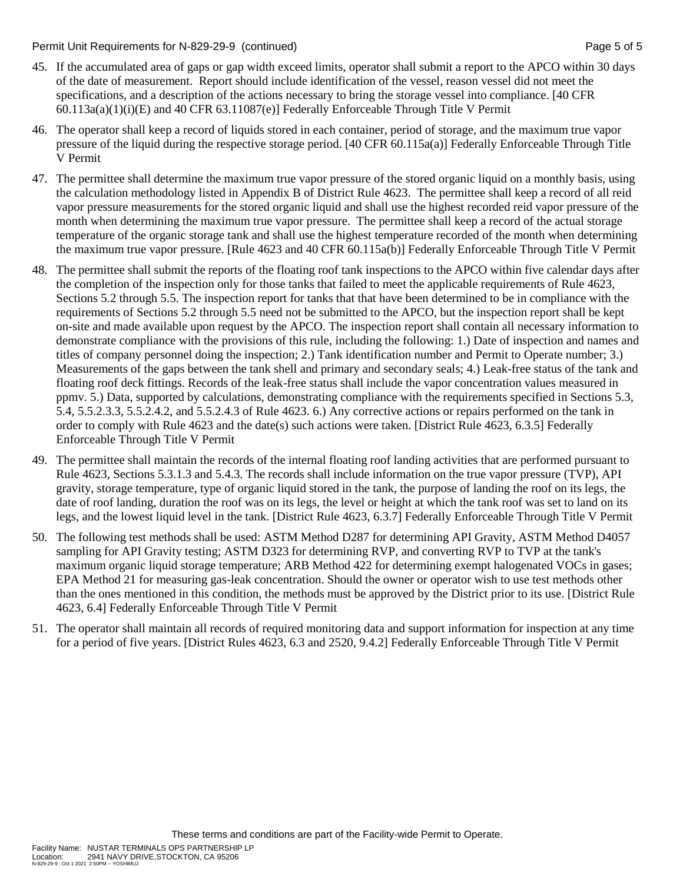Permit Unit Requirements for N-829-29-9 (continued) **Page 5 of 5** and 5 of 5 of 5

- 45. If the accumulated area of gaps or gap width exceed limits, operator shall submit a report to the APCO within 30 days of the date of measurement. Report should include identification of the vessel, reason vessel did not meet the specifications, and a description of the actions necessary to bring the storage vessel into compliance. [40 CFR  $60.113a(a)(1)(i)(E)$  and  $40 \text{ CFR } 63.11087(e)$ ] Federally Enforceable Through Title V Permit
- 46. The operator shall keep a record of liquids stored in each container, period of storage, and the maximum true vapor pressure of the liquid during the respective storage period. [40 CFR 60.115a(a)] Federally Enforceable Through Title V Permit
- 47. The permittee shall determine the maximum true vapor pressure of the stored organic liquid on a monthly basis, using the calculation methodology listed in Appendix B of District Rule 4623. The permittee shall keep a record of all reid vapor pressure measurements for the stored organic liquid and shall use the highest recorded reid vapor pressure of the month when determining the maximum true vapor pressure. The permittee shall keep a record of the actual storage temperature of the organic storage tank and shall use the highest temperature recorded of the month when determining the maximum true vapor pressure. [Rule 4623 and 40 CFR 60.115a(b)] Federally Enforceable Through Title V Permit
- 48. The permittee shall submit the reports of the floating roof tank inspections to the APCO within five calendar days after the completion of the inspection only for those tanks that failed to meet the applicable requirements of Rule 4623, Sections 5.2 through 5.5. The inspection report for tanks that that have been determined to be in compliance with the requirements of Sections 5.2 through 5.5 need not be submitted to the APCO, but the inspection report shall be kept on-site and made available upon request by the APCO. The inspection report shall contain all necessary information to demonstrate compliance with the provisions of this rule, including the following: 1.) Date of inspection and names and titles of company personnel doing the inspection; 2.) Tank identification number and Permit to Operate number; 3.) Measurements of the gaps between the tank shell and primary and secondary seals; 4.) Leak-free status of the tank and floating roof deck fittings. Records of the leak-free status shall include the vapor concentration values measured in ppmv. 5.) Data, supported by calculations, demonstrating compliance with the requirements specified in Sections 5.3, 5.4, 5.5.2.3.3, 5.5.2.4.2, and 5.5.2.4.3 of Rule 4623. 6.) Any corrective actions or repairs performed on the tank in order to comply with Rule 4623 and the date(s) such actions were taken. [District Rule 4623, 6.3.5] Federally Enforceable Through Title V Permit
- 49. The permittee shall maintain the records of the internal floating roof landing activities that are performed pursuant to Rule 4623, Sections 5.3.1.3 and 5.4.3. The records shall include information on the true vapor pressure (TVP), API gravity, storage temperature, type of organic liquid stored in the tank, the purpose of landing the roof on its legs, the date of roof landing, duration the roof was on its legs, the level or height at which the tank roof was set to land on its legs, and the lowest liquid level in the tank. [District Rule 4623, 6.3.7] Federally Enforceable Through Title V Permit
- 50. The following test methods shall be used: ASTM Method D287 for determining API Gravity, ASTM Method D4057 sampling for API Gravity testing; ASTM D323 for determining RVP, and converting RVP to TVP at the tank's maximum organic liquid storage temperature; ARB Method 422 for determining exempt halogenated VOCs in gases; EPA Method 21 for measuring gas-leak concentration. Should the owner or operator wish to use test methods other than the ones mentioned in this condition, the methods must be approved by the District prior to its use. [District Rule 4623, 6.4] Federally Enforceable Through Title V Permit
- 51. The operator shall maintain all records of required monitoring data and support information for inspection at any time for a period of five years. [District Rules 4623, 6.3 and 2520, 9.4.2] Federally Enforceable Through Title V Permit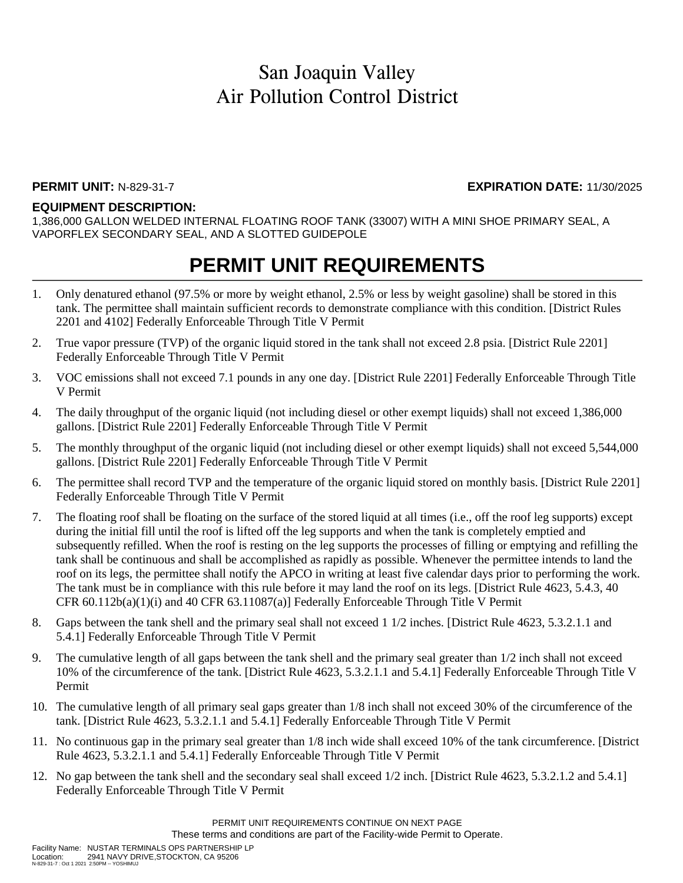### **PERMIT UNIT:** N-829-31-7 **EXPIRATION DATE:** 11/30/2025

### **EQUIPMENT DESCRIPTION:**

1,386,000 GALLON WELDED INTERNAL FLOATING ROOF TANK (33007) WITH A MINI SHOE PRIMARY SEAL, A VAPORFLEX SECONDARY SEAL, AND A SLOTTED GUIDEPOLE

## **PERMIT UNIT REQUIREMENTS**

- 1. Only denatured ethanol (97.5% or more by weight ethanol, 2.5% or less by weight gasoline) shall be stored in this tank. The permittee shall maintain sufficient records to demonstrate compliance with this condition. [District Rules 2201 and 4102] Federally Enforceable Through Title V Permit
- 2. True vapor pressure (TVP) of the organic liquid stored in the tank shall not exceed 2.8 psia. [District Rule 2201] Federally Enforceable Through Title V Permit
- 3. VOC emissions shall not exceed 7.1 pounds in any one day. [District Rule 2201] Federally Enforceable Through Title V Permit
- 4. The daily throughput of the organic liquid (not including diesel or other exempt liquids) shall not exceed 1,386,000 gallons. [District Rule 2201] Federally Enforceable Through Title V Permit
- 5. The monthly throughput of the organic liquid (not including diesel or other exempt liquids) shall not exceed 5,544,000 gallons. [District Rule 2201] Federally Enforceable Through Title V Permit
- 6. The permittee shall record TVP and the temperature of the organic liquid stored on monthly basis. [District Rule 2201] Federally Enforceable Through Title V Permit
- 7. The floating roof shall be floating on the surface of the stored liquid at all times (i.e., off the roof leg supports) except during the initial fill until the roof is lifted off the leg supports and when the tank is completely emptied and subsequently refilled. When the roof is resting on the leg supports the processes of filling or emptying and refilling the tank shall be continuous and shall be accomplished as rapidly as possible. Whenever the permittee intends to land the roof on its legs, the permittee shall notify the APCO in writing at least five calendar days prior to performing the work. The tank must be in compliance with this rule before it may land the roof on its legs. [District Rule 4623, 5.4.3, 40 CFR  $60.112b(a)(1)(i)$  and  $40$  CFR  $63.11087(a)$ ] Federally Enforceable Through Title V Permit
- 8. Gaps between the tank shell and the primary seal shall not exceed 1 1/2 inches. [District Rule 4623, 5.3.2.1.1 and 5.4.1] Federally Enforceable Through Title V Permit
- 9. The cumulative length of all gaps between the tank shell and the primary seal greater than 1/2 inch shall not exceed 10% of the circumference of the tank. [District Rule 4623, 5.3.2.1.1 and 5.4.1] Federally Enforceable Through Title V Permit
- 10. The cumulative length of all primary seal gaps greater than 1/8 inch shall not exceed 30% of the circumference of the tank. [District Rule 4623, 5.3.2.1.1 and 5.4.1] Federally Enforceable Through Title V Permit
- 11. No continuous gap in the primary seal greater than 1/8 inch wide shall exceed 10% of the tank circumference. [District Rule 4623, 5.3.2.1.1 and 5.4.1] Federally Enforceable Through Title V Permit
- 12. No gap between the tank shell and the secondary seal shall exceed 1/2 inch. [District Rule 4623, 5.3.2.1.2 and 5.4.1] Federally Enforceable Through Title V Permit

These terms and conditions are part of the Facility-wide Permit to Operate.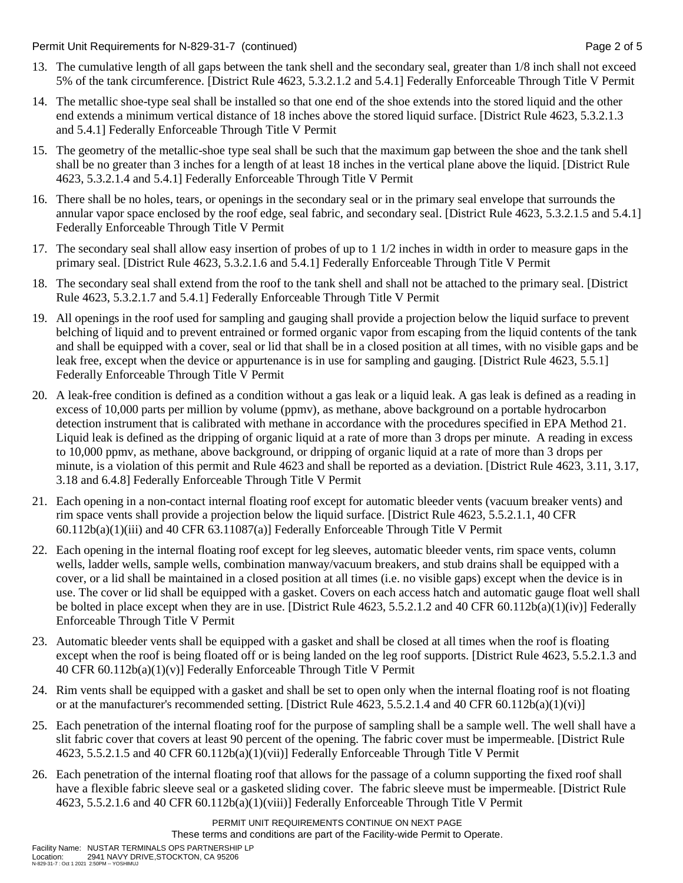Permit Unit Requirements for N-829-31-7 (continued) Page 2 of 5

- 13. The cumulative length of all gaps between the tank shell and the secondary seal, greater than 1/8 inch shall not exceed 5% of the tank circumference. [District Rule 4623, 5.3.2.1.2 and 5.4.1] Federally Enforceable Through Title V Permit
- 14. The metallic shoe-type seal shall be installed so that one end of the shoe extends into the stored liquid and the other end extends a minimum vertical distance of 18 inches above the stored liquid surface. [District Rule 4623, 5.3.2.1.3 and 5.4.1] Federally Enforceable Through Title V Permit
- 15. The geometry of the metallic-shoe type seal shall be such that the maximum gap between the shoe and the tank shell shall be no greater than 3 inches for a length of at least 18 inches in the vertical plane above the liquid. [District Rule 4623, 5.3.2.1.4 and 5.4.1] Federally Enforceable Through Title V Permit
- 16. There shall be no holes, tears, or openings in the secondary seal or in the primary seal envelope that surrounds the annular vapor space enclosed by the roof edge, seal fabric, and secondary seal. [District Rule 4623, 5.3.2.1.5 and 5.4.1] Federally Enforceable Through Title V Permit
- 17. The secondary seal shall allow easy insertion of probes of up to 1 1/2 inches in width in order to measure gaps in the primary seal. [District Rule 4623, 5.3.2.1.6 and 5.4.1] Federally Enforceable Through Title V Permit
- 18. The secondary seal shall extend from the roof to the tank shell and shall not be attached to the primary seal. [District Rule 4623, 5.3.2.1.7 and 5.4.1] Federally Enforceable Through Title V Permit
- 19. All openings in the roof used for sampling and gauging shall provide a projection below the liquid surface to prevent belching of liquid and to prevent entrained or formed organic vapor from escaping from the liquid contents of the tank and shall be equipped with a cover, seal or lid that shall be in a closed position at all times, with no visible gaps and be leak free, except when the device or appurtenance is in use for sampling and gauging. [District Rule 4623, 5.5.1] Federally Enforceable Through Title V Permit
- 20. A leak-free condition is defined as a condition without a gas leak or a liquid leak. A gas leak is defined as a reading in excess of 10,000 parts per million by volume (ppmv), as methane, above background on a portable hydrocarbon detection instrument that is calibrated with methane in accordance with the procedures specified in EPA Method 21. Liquid leak is defined as the dripping of organic liquid at a rate of more than 3 drops per minute. A reading in excess to 10,000 ppmv, as methane, above background, or dripping of organic liquid at a rate of more than 3 drops per minute, is a violation of this permit and Rule 4623 and shall be reported as a deviation. [District Rule 4623, 3.11, 3.17, 3.18 and 6.4.8] Federally Enforceable Through Title V Permit
- 21. Each opening in a non-contact internal floating roof except for automatic bleeder vents (vacuum breaker vents) and rim space vents shall provide a projection below the liquid surface. [District Rule 4623, 5.5.2.1.1, 40 CFR 60.112b(a)(1)(iii) and 40 CFR 63.11087(a)] Federally Enforceable Through Title V Permit
- 22. Each opening in the internal floating roof except for leg sleeves, automatic bleeder vents, rim space vents, column wells, ladder wells, sample wells, combination manway/vacuum breakers, and stub drains shall be equipped with a cover, or a lid shall be maintained in a closed position at all times (i.e. no visible gaps) except when the device is in use. The cover or lid shall be equipped with a gasket. Covers on each access hatch and automatic gauge float well shall be bolted in place except when they are in use. [District Rule 4623, 5.5.2.1.2 and 40 CFR 60.112b(a)(1)(iv)] Federally Enforceable Through Title V Permit
- 23. Automatic bleeder vents shall be equipped with a gasket and shall be closed at all times when the roof is floating except when the roof is being floated off or is being landed on the leg roof supports. [District Rule 4623, 5.5.2.1.3 and 40 CFR 60.112b(a)(1)(v)] Federally Enforceable Through Title V Permit
- 24. Rim vents shall be equipped with a gasket and shall be set to open only when the internal floating roof is not floating or at the manufacturer's recommended setting. [District Rule  $4623, 5.5.2.1.4$  and  $40 \text{ CFR } 60.112b(a)(1)(vi)$ ]
- 25. Each penetration of the internal floating roof for the purpose of sampling shall be a sample well. The well shall have a slit fabric cover that covers at least 90 percent of the opening. The fabric cover must be impermeable. [District Rule 4623, 5.5.2.1.5 and 40 CFR 60.112b(a)(1)(vii)] Federally Enforceable Through Title V Permit
- 26. Each penetration of the internal floating roof that allows for the passage of a column supporting the fixed roof shall have a flexible fabric sleeve seal or a gasketed sliding cover. The fabric sleeve must be impermeable. [District Rule 4623, 5.5.2.1.6 and 40 CFR 60.112b(a)(1)(viii)] Federally Enforceable Through Title V Permit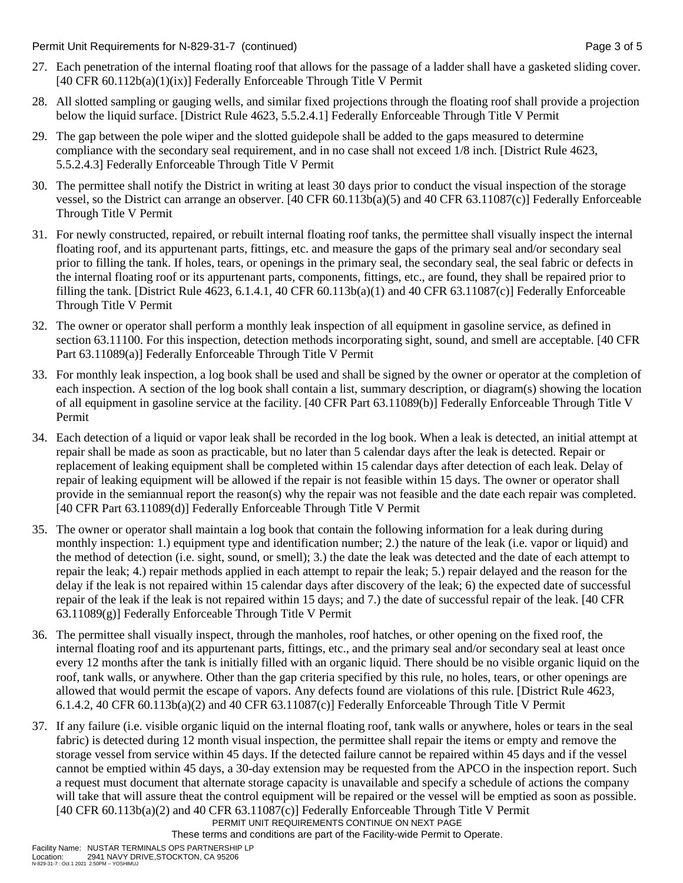Permit Unit Requirements for N-829-31-7 (continued) **Page 3** of 5

- 27. Each penetration of the internal floating roof that allows for the passage of a ladder shall have a gasketed sliding cover. [40 CFR 60.112b(a)(1)(ix)] Federally Enforceable Through Title V Permit
- 28. All slotted sampling or gauging wells, and similar fixed projections through the floating roof shall provide a projection below the liquid surface. [District Rule 4623, 5.5.2.4.1] Federally Enforceable Through Title V Permit
- 29. The gap between the pole wiper and the slotted guidepole shall be added to the gaps measured to determine compliance with the secondary seal requirement, and in no case shall not exceed 1/8 inch. [District Rule 4623, 5.5.2.4.3] Federally Enforceable Through Title V Permit
- 30. The permittee shall notify the District in writing at least 30 days prior to conduct the visual inspection of the storage vessel, so the District can arrange an observer. [40 CFR 60.113b(a)(5) and 40 CFR 63.11087(c)] Federally Enforceable Through Title V Permit
- 31. For newly constructed, repaired, or rebuilt internal floating roof tanks, the permittee shall visually inspect the internal floating roof, and its appurtenant parts, fittings, etc. and measure the gaps of the primary seal and/or secondary seal prior to filling the tank. If holes, tears, or openings in the primary seal, the secondary seal, the seal fabric or defects in the internal floating roof or its appurtenant parts, components, fittings, etc., are found, they shall be repaired prior to filling the tank. [District Rule 4623, 6.1.4.1, 40 CFR 60.113b(a)(1) and 40 CFR 63.11087(c)] Federally Enforceable Through Title V Permit
- 32. The owner or operator shall perform a monthly leak inspection of all equipment in gasoline service, as defined in section 63.11100. For this inspection, detection methods incorporating sight, sound, and smell are acceptable. [40 CFR Part 63.11089(a)] Federally Enforceable Through Title V Permit
- 33. For monthly leak inspection, a log book shall be used and shall be signed by the owner or operator at the completion of each inspection. A section of the log book shall contain a list, summary description, or diagram(s) showing the location of all equipment in gasoline service at the facility. [40 CFR Part 63.11089(b)] Federally Enforceable Through Title V Permit
- 34. Each detection of a liquid or vapor leak shall be recorded in the log book. When a leak is detected, an initial attempt at repair shall be made as soon as practicable, but no later than 5 calendar days after the leak is detected. Repair or replacement of leaking equipment shall be completed within 15 calendar days after detection of each leak. Delay of repair of leaking equipment will be allowed if the repair is not feasible within 15 days. The owner or operator shall provide in the semiannual report the reason(s) why the repair was not feasible and the date each repair was completed. [40 CFR Part 63.11089(d)] Federally Enforceable Through Title V Permit
- 35. The owner or operator shall maintain a log book that contain the following information for a leak during during monthly inspection: 1.) equipment type and identification number; 2.) the nature of the leak (i.e. vapor or liquid) and the method of detection (i.e. sight, sound, or smell); 3.) the date the leak was detected and the date of each attempt to repair the leak; 4.) repair methods applied in each attempt to repair the leak; 5.) repair delayed and the reason for the delay if the leak is not repaired within 15 calendar days after discovery of the leak; 6) the expected date of successful repair of the leak if the leak is not repaired within 15 days; and 7.) the date of successful repair of the leak. [40 CFR 63.11089(g)] Federally Enforceable Through Title V Permit
- 36. The permittee shall visually inspect, through the manholes, roof hatches, or other opening on the fixed roof, the internal floating roof and its appurtenant parts, fittings, etc., and the primary seal and/or secondary seal at least once every 12 months after the tank is initially filled with an organic liquid. There should be no visible organic liquid on the roof, tank walls, or anywhere. Other than the gap criteria specified by this rule, no holes, tears, or other openings are allowed that would permit the escape of vapors. Any defects found are violations of this rule. [District Rule 4623, 6.1.4.2, 40 CFR 60.113b(a)(2) and 40 CFR 63.11087(c)] Federally Enforceable Through Title V Permit
- PERMIT UNIT REQUIREMENTS CONTINUE ON NEXT PAGE 37. If any failure (i.e. visible organic liquid on the internal floating roof, tank walls or anywhere, holes or tears in the seal fabric) is detected during 12 month visual inspection, the permittee shall repair the items or empty and remove the storage vessel from service within 45 days. If the detected failure cannot be repaired within 45 days and if the vessel cannot be emptied within 45 days, a 30-day extension may be requested from the APCO in the inspection report. Such a request must document that alternate storage capacity is unavailable and specify a schedule of actions the company will take that will assure theat the control equipment will be repaired or the vessel will be emptied as soon as possible. [40 CFR 60.113b(a)(2) and 40 CFR 63.11087(c)] Federally Enforceable Through Title V Permit

These terms and conditions are part of the Facility-wide Permit to Operate.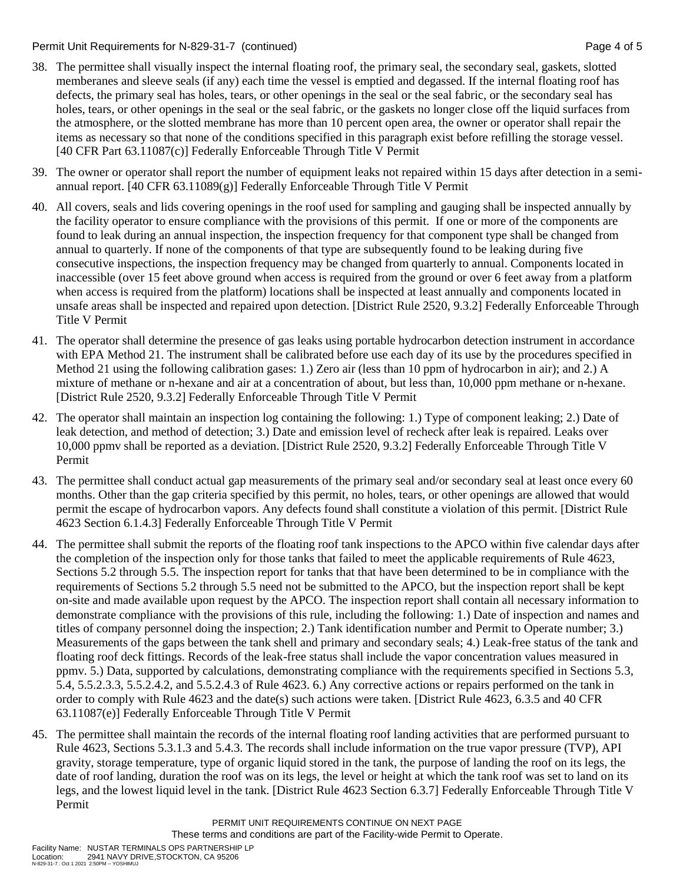### Permit Unit Requirements for N-829-31-7 (continued) Page 4 of 5

- 38. The permittee shall visually inspect the internal floating roof, the primary seal, the secondary seal, gaskets, slotted memberanes and sleeve seals (if any) each time the vessel is emptied and degassed. If the internal floating roof has defects, the primary seal has holes, tears, or other openings in the seal or the seal fabric, or the secondary seal has holes, tears, or other openings in the seal or the seal fabric, or the gaskets no longer close off the liquid surfaces from the atmosphere, or the slotted membrane has more than 10 percent open area, the owner or operator shall repair the items as necessary so that none of the conditions specified in this paragraph exist before refilling the storage vessel. [40 CFR Part 63.11087(c)] Federally Enforceable Through Title V Permit
- 39. The owner or operator shall report the number of equipment leaks not repaired within 15 days after detection in a semiannual report. [40 CFR 63.11089(g)] Federally Enforceable Through Title V Permit
- 40. All covers, seals and lids covering openings in the roof used for sampling and gauging shall be inspected annually by the facility operator to ensure compliance with the provisions of this permit. If one or more of the components are found to leak during an annual inspection, the inspection frequency for that component type shall be changed from annual to quarterly. If none of the components of that type are subsequently found to be leaking during five consecutive inspections, the inspection frequency may be changed from quarterly to annual. Components located in inaccessible (over 15 feet above ground when access is required from the ground or over 6 feet away from a platform when access is required from the platform) locations shall be inspected at least annually and components located in unsafe areas shall be inspected and repaired upon detection. [District Rule 2520, 9.3.2] Federally Enforceable Through Title V Permit
- 41. The operator shall determine the presence of gas leaks using portable hydrocarbon detection instrument in accordance with EPA Method 21. The instrument shall be calibrated before use each day of its use by the procedures specified in Method 21 using the following calibration gases: 1.) Zero air (less than 10 ppm of hydrocarbon in air); and 2.) A mixture of methane or n-hexane and air at a concentration of about, but less than, 10,000 ppm methane or n-hexane. [District Rule 2520, 9.3.2] Federally Enforceable Through Title V Permit
- 42. The operator shall maintain an inspection log containing the following: 1.) Type of component leaking; 2.) Date of leak detection, and method of detection; 3.) Date and emission level of recheck after leak is repaired. Leaks over 10,000 ppmv shall be reported as a deviation. [District Rule 2520, 9.3.2] Federally Enforceable Through Title V Permit
- 43. The permittee shall conduct actual gap measurements of the primary seal and/or secondary seal at least once every 60 months. Other than the gap criteria specified by this permit, no holes, tears, or other openings are allowed that would permit the escape of hydrocarbon vapors. Any defects found shall constitute a violation of this permit. [District Rule 4623 Section 6.1.4.3] Federally Enforceable Through Title V Permit
- 44. The permittee shall submit the reports of the floating roof tank inspections to the APCO within five calendar days after the completion of the inspection only for those tanks that failed to meet the applicable requirements of Rule 4623, Sections 5.2 through 5.5. The inspection report for tanks that that have been determined to be in compliance with the requirements of Sections 5.2 through 5.5 need not be submitted to the APCO, but the inspection report shall be kept on-site and made available upon request by the APCO. The inspection report shall contain all necessary information to demonstrate compliance with the provisions of this rule, including the following: 1.) Date of inspection and names and titles of company personnel doing the inspection; 2.) Tank identification number and Permit to Operate number; 3.) Measurements of the gaps between the tank shell and primary and secondary seals; 4.) Leak-free status of the tank and floating roof deck fittings. Records of the leak-free status shall include the vapor concentration values measured in ppmv. 5.) Data, supported by calculations, demonstrating compliance with the requirements specified in Sections 5.3, 5.4, 5.5.2.3.3, 5.5.2.4.2, and 5.5.2.4.3 of Rule 4623. 6.) Any corrective actions or repairs performed on the tank in order to comply with Rule 4623 and the date(s) such actions were taken. [District Rule 4623, 6.3.5 and 40 CFR 63.11087(e)] Federally Enforceable Through Title V Permit
- 45. The permittee shall maintain the records of the internal floating roof landing activities that are performed pursuant to Rule 4623, Sections 5.3.1.3 and 5.4.3. The records shall include information on the true vapor pressure (TVP), API gravity, storage temperature, type of organic liquid stored in the tank, the purpose of landing the roof on its legs, the date of roof landing, duration the roof was on its legs, the level or height at which the tank roof was set to land on its legs, and the lowest liquid level in the tank. [District Rule 4623 Section 6.3.7] Federally Enforceable Through Title V Permit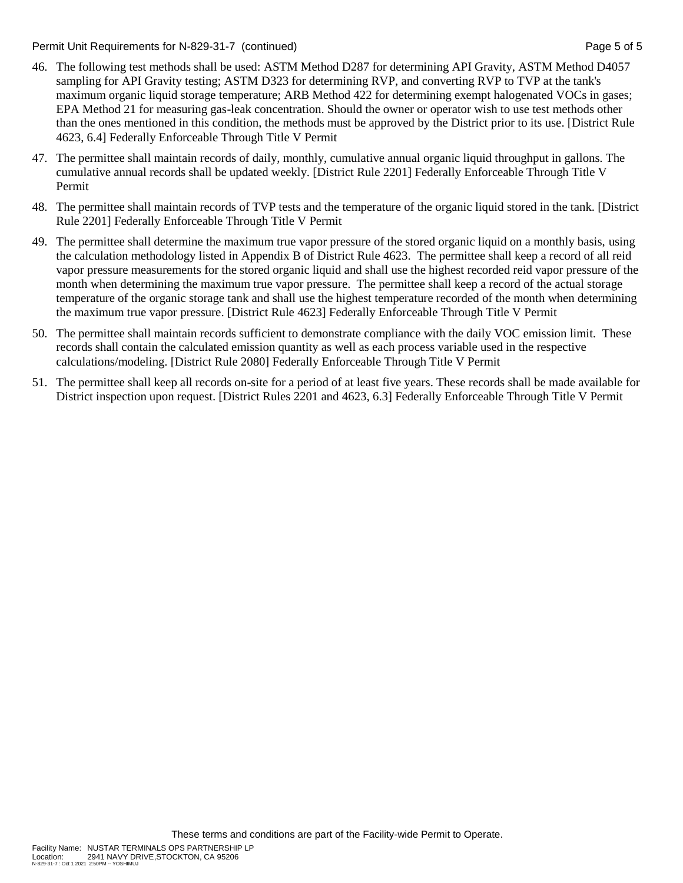Permit Unit Requirements for N-829-31-7 (continued) **Page 5 of 5** and 2011 12:30 Page 5 of 5

- 46. The following test methods shall be used: ASTM Method D287 for determining API Gravity, ASTM Method D4057 sampling for API Gravity testing; ASTM D323 for determining RVP, and converting RVP to TVP at the tank's maximum organic liquid storage temperature; ARB Method 422 for determining exempt halogenated VOCs in gases; EPA Method 21 for measuring gas-leak concentration. Should the owner or operator wish to use test methods other than the ones mentioned in this condition, the methods must be approved by the District prior to its use. [District Rule 4623, 6.4] Federally Enforceable Through Title V Permit
- 47. The permittee shall maintain records of daily, monthly, cumulative annual organic liquid throughput in gallons. The cumulative annual records shall be updated weekly. [District Rule 2201] Federally Enforceable Through Title V Permit
- 48. The permittee shall maintain records of TVP tests and the temperature of the organic liquid stored in the tank. [District Rule 2201] Federally Enforceable Through Title V Permit
- 49. The permittee shall determine the maximum true vapor pressure of the stored organic liquid on a monthly basis, using the calculation methodology listed in Appendix B of District Rule 4623. The permittee shall keep a record of all reid vapor pressure measurements for the stored organic liquid and shall use the highest recorded reid vapor pressure of the month when determining the maximum true vapor pressure. The permittee shall keep a record of the actual storage temperature of the organic storage tank and shall use the highest temperature recorded of the month when determining the maximum true vapor pressure. [District Rule 4623] Federally Enforceable Through Title V Permit
- 50. The permittee shall maintain records sufficient to demonstrate compliance with the daily VOC emission limit. These records shall contain the calculated emission quantity as well as each process variable used in the respective calculations/modeling. [District Rule 2080] Federally Enforceable Through Title V Permit
- 51. The permittee shall keep all records on-site for a period of at least five years. These records shall be made available for District inspection upon request. [District Rules 2201 and 4623, 6.3] Federally Enforceable Through Title V Permit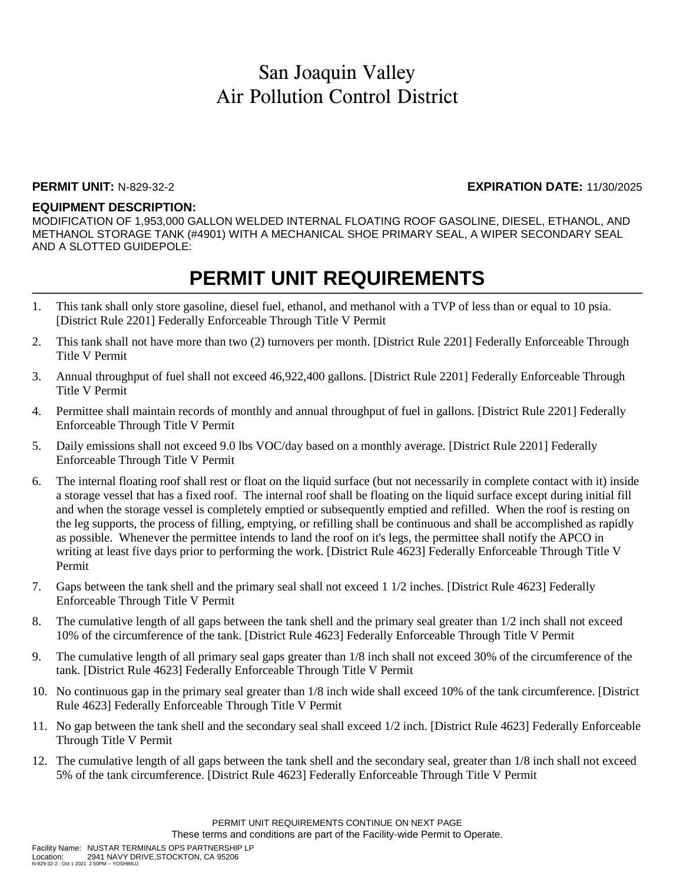### **PERMIT UNIT:** N-829-32-2 **EXPIRATION DATE:** 11/30/2025

### **EQUIPMENT DESCRIPTION:**

MODIFICATION OF 1,953,000 GALLON WELDED INTERNAL FLOATING ROOF GASOLINE, DIESEL, ETHANOL, AND METHANOL STORAGE TANK (#4901) WITH A MECHANICAL SHOE PRIMARY SEAL, A WIPER SECONDARY SEAL AND A SLOTTED GUIDEPOLE:

## **PERMIT UNIT REQUIREMENTS**

- 1. This tank shall only store gasoline, diesel fuel, ethanol, and methanol with a TVP of less than or equal to 10 psia. [District Rule 2201] Federally Enforceable Through Title V Permit
- 2. This tank shall not have more than two (2) turnovers per month. [District Rule 2201] Federally Enforceable Through Title V Permit
- 3. Annual throughput of fuel shall not exceed 46,922,400 gallons. [District Rule 2201] Federally Enforceable Through Title V Permit
- 4. Permittee shall maintain records of monthly and annual throughput of fuel in gallons. [District Rule 2201] Federally Enforceable Through Title V Permit
- 5. Daily emissions shall not exceed 9.0 lbs VOC/day based on a monthly average. [District Rule 2201] Federally Enforceable Through Title V Permit
- 6. The internal floating roof shall rest or float on the liquid surface (but not necessarily in complete contact with it) inside a storage vessel that has a fixed roof. The internal roof shall be floating on the liquid surface except during initial fill and when the storage vessel is completely emptied or subsequently emptied and refilled. When the roof is resting on the leg supports, the process of filling, emptying, or refilling shall be continuous and shall be accomplished as rapidly as possible. Whenever the permittee intends to land the roof on it's legs, the permittee shall notify the APCO in writing at least five days prior to performing the work. [District Rule 4623] Federally Enforceable Through Title V Permit
- 7. Gaps between the tank shell and the primary seal shall not exceed 1 1/2 inches. [District Rule 4623] Federally Enforceable Through Title V Permit
- 8. The cumulative length of all gaps between the tank shell and the primary seal greater than 1/2 inch shall not exceed 10% of the circumference of the tank. [District Rule 4623] Federally Enforceable Through Title V Permit
- 9. The cumulative length of all primary seal gaps greater than 1/8 inch shall not exceed 30% of the circumference of the tank. [District Rule 4623] Federally Enforceable Through Title V Permit
- 10. No continuous gap in the primary seal greater than 1/8 inch wide shall exceed 10% of the tank circumference. [District Rule 4623] Federally Enforceable Through Title V Permit
- 11. No gap between the tank shell and the secondary seal shall exceed 1/2 inch. [District Rule 4623] Federally Enforceable Through Title V Permit
- 12. The cumulative length of all gaps between the tank shell and the secondary seal, greater than 1/8 inch shall not exceed 5% of the tank circumference. [District Rule 4623] Federally Enforceable Through Title V Permit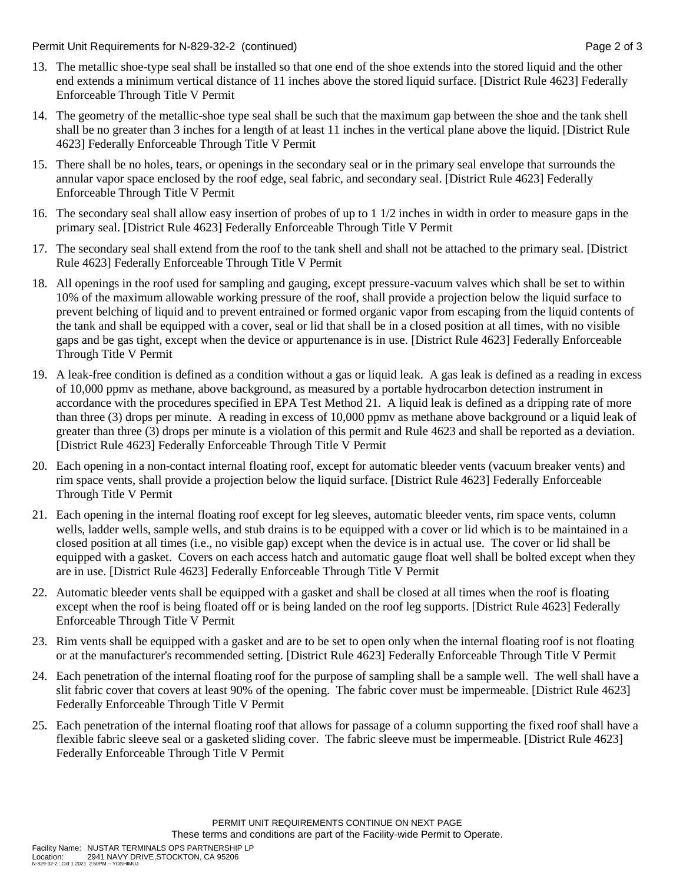Permit Unit Requirements for N-829-32-2 (continued) Page 2 of 3

- 13. The metallic shoe-type seal shall be installed so that one end of the shoe extends into the stored liquid and the other end extends a minimum vertical distance of 11 inches above the stored liquid surface. [District Rule 4623] Federally Enforceable Through Title V Permit
- 14. The geometry of the metallic-shoe type seal shall be such that the maximum gap between the shoe and the tank shell shall be no greater than 3 inches for a length of at least 11 inches in the vertical plane above the liquid. [District Rule 4623] Federally Enforceable Through Title V Permit
- 15. There shall be no holes, tears, or openings in the secondary seal or in the primary seal envelope that surrounds the annular vapor space enclosed by the roof edge, seal fabric, and secondary seal. [District Rule 4623] Federally Enforceable Through Title V Permit
- 16. The secondary seal shall allow easy insertion of probes of up to 1 1/2 inches in width in order to measure gaps in the primary seal. [District Rule 4623] Federally Enforceable Through Title V Permit
- 17. The secondary seal shall extend from the roof to the tank shell and shall not be attached to the primary seal. [District Rule 4623] Federally Enforceable Through Title V Permit
- 18. All openings in the roof used for sampling and gauging, except pressure-vacuum valves which shall be set to within 10% of the maximum allowable working pressure of the roof, shall provide a projection below the liquid surface to prevent belching of liquid and to prevent entrained or formed organic vapor from escaping from the liquid contents of the tank and shall be equipped with a cover, seal or lid that shall be in a closed position at all times, with no visible gaps and be gas tight, except when the device or appurtenance is in use. [District Rule 4623] Federally Enforceable Through Title V Permit
- 19. A leak-free condition is defined as a condition without a gas or liquid leak. A gas leak is defined as a reading in excess of 10,000 ppmv as methane, above background, as measured by a portable hydrocarbon detection instrument in accordance with the procedures specified in EPA Test Method 21. A liquid leak is defined as a dripping rate of more than three (3) drops per minute. A reading in excess of 10,000 ppmv as methane above background or a liquid leak of greater than three (3) drops per minute is a violation of this permit and Rule 4623 and shall be reported as a deviation. [District Rule 4623] Federally Enforceable Through Title V Permit
- 20. Each opening in a non-contact internal floating roof, except for automatic bleeder vents (vacuum breaker vents) and rim space vents, shall provide a projection below the liquid surface. [District Rule 4623] Federally Enforceable Through Title V Permit
- 21. Each opening in the internal floating roof except for leg sleeves, automatic bleeder vents, rim space vents, column wells, ladder wells, sample wells, and stub drains is to be equipped with a cover or lid which is to be maintained in a closed position at all times (i.e., no visible gap) except when the device is in actual use. The cover or lid shall be equipped with a gasket. Covers on each access hatch and automatic gauge float well shall be bolted except when they are in use. [District Rule 4623] Federally Enforceable Through Title V Permit
- 22. Automatic bleeder vents shall be equipped with a gasket and shall be closed at all times when the roof is floating except when the roof is being floated off or is being landed on the roof leg supports. [District Rule 4623] Federally Enforceable Through Title V Permit
- 23. Rim vents shall be equipped with a gasket and are to be set to open only when the internal floating roof is not floating or at the manufacturer's recommended setting. [District Rule 4623] Federally Enforceable Through Title V Permit
- 24. Each penetration of the internal floating roof for the purpose of sampling shall be a sample well. The well shall have a slit fabric cover that covers at least 90% of the opening. The fabric cover must be impermeable. [District Rule 4623] Federally Enforceable Through Title V Permit
- 25. Each penetration of the internal floating roof that allows for passage of a column supporting the fixed roof shall have a flexible fabric sleeve seal or a gasketed sliding cover. The fabric sleeve must be impermeable. [District Rule 4623] Federally Enforceable Through Title V Permit

2941 NAVY DRIVE, STOCKTON, CA 95206

N-829-32-2 : Oct 1 2021 2:50PM -- YOSHIMUJ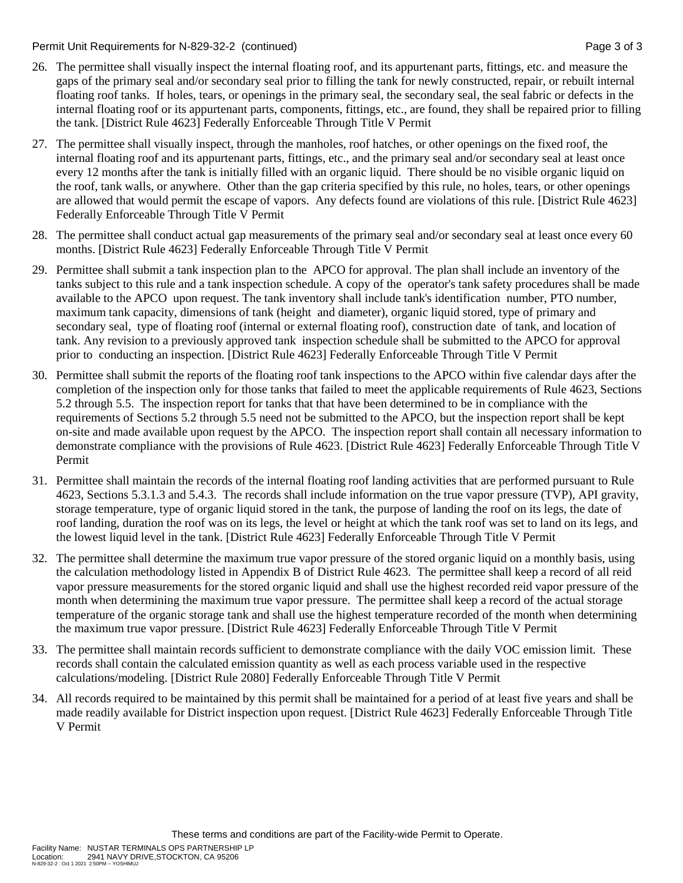Permit Unit Requirements for N-829-32-2 (continued) Page 3 of 3

- 26. The permittee shall visually inspect the internal floating roof, and its appurtenant parts, fittings, etc. and measure the gaps of the primary seal and/or secondary seal prior to filling the tank for newly constructed, repair, or rebuilt internal floating roof tanks. If holes, tears, or openings in the primary seal, the secondary seal, the seal fabric or defects in the internal floating roof or its appurtenant parts, components, fittings, etc., are found, they shall be repaired prior to filling the tank. [District Rule 4623] Federally Enforceable Through Title V Permit
- 27. The permittee shall visually inspect, through the manholes, roof hatches, or other openings on the fixed roof, the internal floating roof and its appurtenant parts, fittings, etc., and the primary seal and/or secondary seal at least once every 12 months after the tank is initially filled with an organic liquid. There should be no visible organic liquid on the roof, tank walls, or anywhere. Other than the gap criteria specified by this rule, no holes, tears, or other openings are allowed that would permit the escape of vapors. Any defects found are violations of this rule. [District Rule 4623] Federally Enforceable Through Title V Permit
- 28. The permittee shall conduct actual gap measurements of the primary seal and/or secondary seal at least once every 60 months. [District Rule 4623] Federally Enforceable Through Title V Permit
- 29. Permittee shall submit a tank inspection plan to the APCO for approval. The plan shall include an inventory of the tanks subject to this rule and a tank inspection schedule. A copy of the operator's tank safety procedures shall be made available to the APCO upon request. The tank inventory shall include tank's identification number, PTO number, maximum tank capacity, dimensions of tank (height and diameter), organic liquid stored, type of primary and secondary seal, type of floating roof (internal or external floating roof), construction date of tank, and location of tank. Any revision to a previously approved tank inspection schedule shall be submitted to the APCO for approval prior to conducting an inspection. [District Rule 4623] Federally Enforceable Through Title V Permit
- 30. Permittee shall submit the reports of the floating roof tank inspections to the APCO within five calendar days after the completion of the inspection only for those tanks that failed to meet the applicable requirements of Rule 4623, Sections 5.2 through 5.5. The inspection report for tanks that that have been determined to be in compliance with the requirements of Sections 5.2 through 5.5 need not be submitted to the APCO, but the inspection report shall be kept on-site and made available upon request by the APCO. The inspection report shall contain all necessary information to demonstrate compliance with the provisions of Rule 4623. [District Rule 4623] Federally Enforceable Through Title V Permit
- 31. Permittee shall maintain the records of the internal floating roof landing activities that are performed pursuant to Rule 4623, Sections 5.3.1.3 and 5.4.3. The records shall include information on the true vapor pressure (TVP), API gravity, storage temperature, type of organic liquid stored in the tank, the purpose of landing the roof on its legs, the date of roof landing, duration the roof was on its legs, the level or height at which the tank roof was set to land on its legs, and the lowest liquid level in the tank. [District Rule 4623] Federally Enforceable Through Title V Permit
- 32. The permittee shall determine the maximum true vapor pressure of the stored organic liquid on a monthly basis, using the calculation methodology listed in Appendix B of District Rule 4623. The permittee shall keep a record of all reid vapor pressure measurements for the stored organic liquid and shall use the highest recorded reid vapor pressure of the month when determining the maximum true vapor pressure. The permittee shall keep a record of the actual storage temperature of the organic storage tank and shall use the highest temperature recorded of the month when determining the maximum true vapor pressure. [District Rule 4623] Federally Enforceable Through Title V Permit
- 33. The permittee shall maintain records sufficient to demonstrate compliance with the daily VOC emission limit. These records shall contain the calculated emission quantity as well as each process variable used in the respective calculations/modeling. [District Rule 2080] Federally Enforceable Through Title V Permit
- 34. All records required to be maintained by this permit shall be maintained for a period of at least five years and shall be made readily available for District inspection upon request. [District Rule 4623] Federally Enforceable Through Title V Permit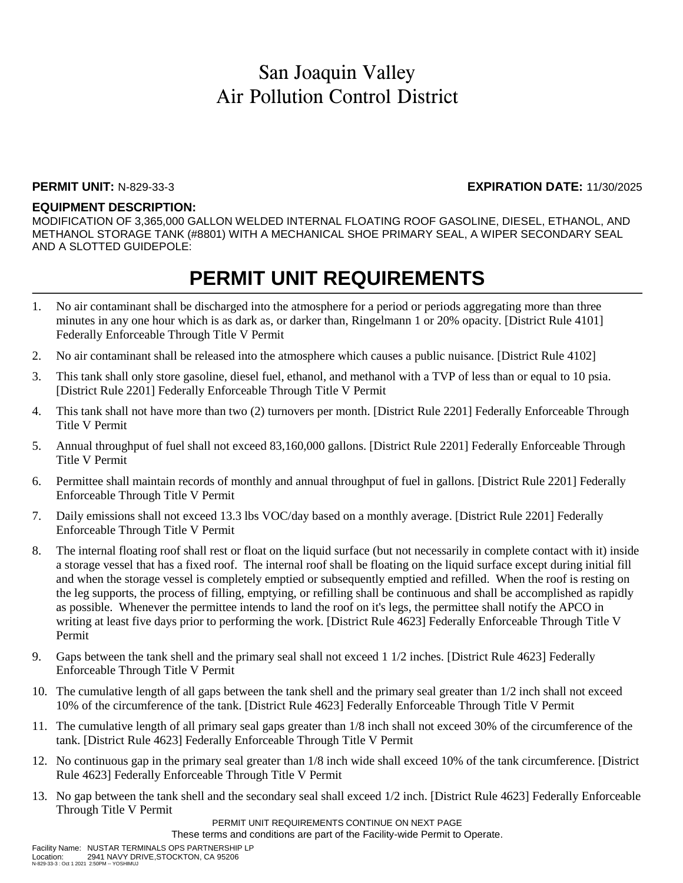### **PERMIT UNIT:** N-829-33-3 **EXPIRATION DATE:** 11/30/2025

### **EQUIPMENT DESCRIPTION:**

MODIFICATION OF 3,365,000 GALLON WELDED INTERNAL FLOATING ROOF GASOLINE, DIESEL, ETHANOL, AND METHANOL STORAGE TANK (#8801) WITH A MECHANICAL SHOE PRIMARY SEAL, A WIPER SECONDARY SEAL AND A SLOTTED GUIDEPOLE:

## **PERMIT UNIT REQUIREMENTS**

- 1. No air contaminant shall be discharged into the atmosphere for a period or periods aggregating more than three minutes in any one hour which is as dark as, or darker than, Ringelmann 1 or 20% opacity. [District Rule 4101] Federally Enforceable Through Title V Permit
- 2. No air contaminant shall be released into the atmosphere which causes a public nuisance. [District Rule 4102]
- 3. This tank shall only store gasoline, diesel fuel, ethanol, and methanol with a TVP of less than or equal to 10 psia. [District Rule 2201] Federally Enforceable Through Title V Permit
- 4. This tank shall not have more than two (2) turnovers per month. [District Rule 2201] Federally Enforceable Through Title V Permit
- 5. Annual throughput of fuel shall not exceed 83,160,000 gallons. [District Rule 2201] Federally Enforceable Through Title V Permit
- 6. Permittee shall maintain records of monthly and annual throughput of fuel in gallons. [District Rule 2201] Federally Enforceable Through Title V Permit
- 7. Daily emissions shall not exceed 13.3 lbs VOC/day based on a monthly average. [District Rule 2201] Federally Enforceable Through Title V Permit
- 8. The internal floating roof shall rest or float on the liquid surface (but not necessarily in complete contact with it) inside a storage vessel that has a fixed roof. The internal roof shall be floating on the liquid surface except during initial fill and when the storage vessel is completely emptied or subsequently emptied and refilled. When the roof is resting on the leg supports, the process of filling, emptying, or refilling shall be continuous and shall be accomplished as rapidly as possible. Whenever the permittee intends to land the roof on it's legs, the permittee shall notify the APCO in writing at least five days prior to performing the work. [District Rule 4623] Federally Enforceable Through Title V Permit
- 9. Gaps between the tank shell and the primary seal shall not exceed 1 1/2 inches. [District Rule 4623] Federally Enforceable Through Title V Permit
- 10. The cumulative length of all gaps between the tank shell and the primary seal greater than 1/2 inch shall not exceed 10% of the circumference of the tank. [District Rule 4623] Federally Enforceable Through Title V Permit
- 11. The cumulative length of all primary seal gaps greater than 1/8 inch shall not exceed 30% of the circumference of the tank. [District Rule 4623] Federally Enforceable Through Title V Permit
- 12. No continuous gap in the primary seal greater than 1/8 inch wide shall exceed 10% of the tank circumference. [District Rule 4623] Federally Enforceable Through Title V Permit
- 13. No gap between the tank shell and the secondary seal shall exceed 1/2 inch. [District Rule 4623] Federally Enforceable Through Title V Permit

PERMIT UNIT REQUIREMENTS CONTINUE ON NEXT PAGE

These terms and conditions are part of the Facility-wide Permit to Operate.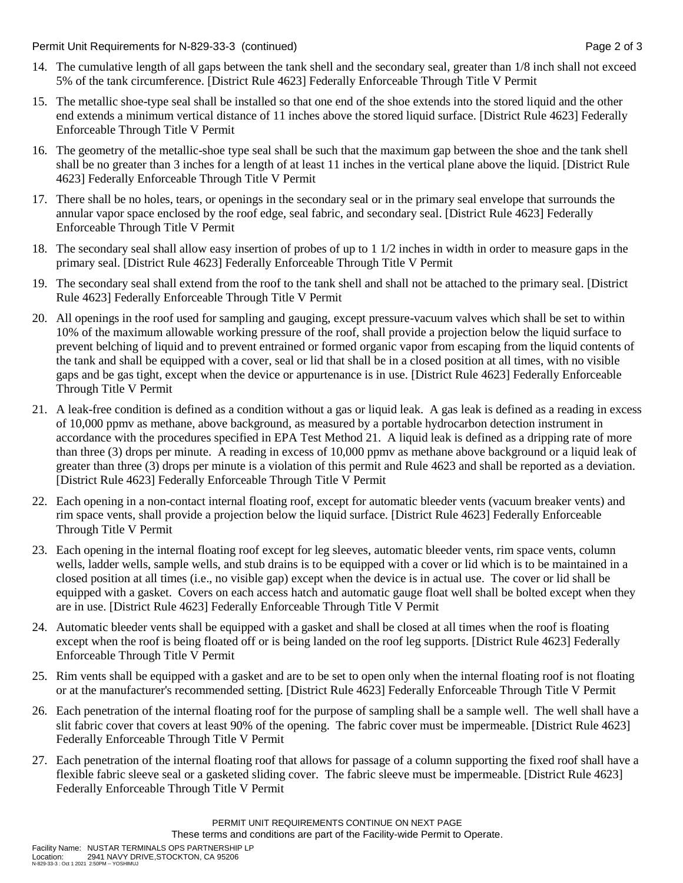Permit Unit Requirements for N-829-33-3 (continued) Page 2 of 3

- 14. The cumulative length of all gaps between the tank shell and the secondary seal, greater than 1/8 inch shall not exceed 5% of the tank circumference. [District Rule 4623] Federally Enforceable Through Title V Permit
- 15. The metallic shoe-type seal shall be installed so that one end of the shoe extends into the stored liquid and the other end extends a minimum vertical distance of 11 inches above the stored liquid surface. [District Rule 4623] Federally Enforceable Through Title V Permit
- 16. The geometry of the metallic-shoe type seal shall be such that the maximum gap between the shoe and the tank shell shall be no greater than 3 inches for a length of at least 11 inches in the vertical plane above the liquid. [District Rule 4623] Federally Enforceable Through Title V Permit
- 17. There shall be no holes, tears, or openings in the secondary seal or in the primary seal envelope that surrounds the annular vapor space enclosed by the roof edge, seal fabric, and secondary seal. [District Rule 4623] Federally Enforceable Through Title V Permit
- 18. The secondary seal shall allow easy insertion of probes of up to 1 1/2 inches in width in order to measure gaps in the primary seal. [District Rule 4623] Federally Enforceable Through Title V Permit
- 19. The secondary seal shall extend from the roof to the tank shell and shall not be attached to the primary seal. [District Rule 4623] Federally Enforceable Through Title V Permit
- 20. All openings in the roof used for sampling and gauging, except pressure-vacuum valves which shall be set to within 10% of the maximum allowable working pressure of the roof, shall provide a projection below the liquid surface to prevent belching of liquid and to prevent entrained or formed organic vapor from escaping from the liquid contents of the tank and shall be equipped with a cover, seal or lid that shall be in a closed position at all times, with no visible gaps and be gas tight, except when the device or appurtenance is in use. [District Rule 4623] Federally Enforceable Through Title V Permit
- 21. A leak-free condition is defined as a condition without a gas or liquid leak. A gas leak is defined as a reading in excess of 10,000 ppmv as methane, above background, as measured by a portable hydrocarbon detection instrument in accordance with the procedures specified in EPA Test Method 21. A liquid leak is defined as a dripping rate of more than three (3) drops per minute. A reading in excess of 10,000 ppmv as methane above background or a liquid leak of greater than three (3) drops per minute is a violation of this permit and Rule 4623 and shall be reported as a deviation. [District Rule 4623] Federally Enforceable Through Title V Permit
- 22. Each opening in a non-contact internal floating roof, except for automatic bleeder vents (vacuum breaker vents) and rim space vents, shall provide a projection below the liquid surface. [District Rule 4623] Federally Enforceable Through Title V Permit
- 23. Each opening in the internal floating roof except for leg sleeves, automatic bleeder vents, rim space vents, column wells, ladder wells, sample wells, and stub drains is to be equipped with a cover or lid which is to be maintained in a closed position at all times (i.e., no visible gap) except when the device is in actual use. The cover or lid shall be equipped with a gasket. Covers on each access hatch and automatic gauge float well shall be bolted except when they are in use. [District Rule 4623] Federally Enforceable Through Title V Permit
- 24. Automatic bleeder vents shall be equipped with a gasket and shall be closed at all times when the roof is floating except when the roof is being floated off or is being landed on the roof leg supports. [District Rule 4623] Federally Enforceable Through Title V Permit
- 25. Rim vents shall be equipped with a gasket and are to be set to open only when the internal floating roof is not floating or at the manufacturer's recommended setting. [District Rule 4623] Federally Enforceable Through Title V Permit
- 26. Each penetration of the internal floating roof for the purpose of sampling shall be a sample well. The well shall have a slit fabric cover that covers at least 90% of the opening. The fabric cover must be impermeable. [District Rule 4623] Federally Enforceable Through Title V Permit
- 27. Each penetration of the internal floating roof that allows for passage of a column supporting the fixed roof shall have a flexible fabric sleeve seal or a gasketed sliding cover. The fabric sleeve must be impermeable. [District Rule 4623] Federally Enforceable Through Title V Permit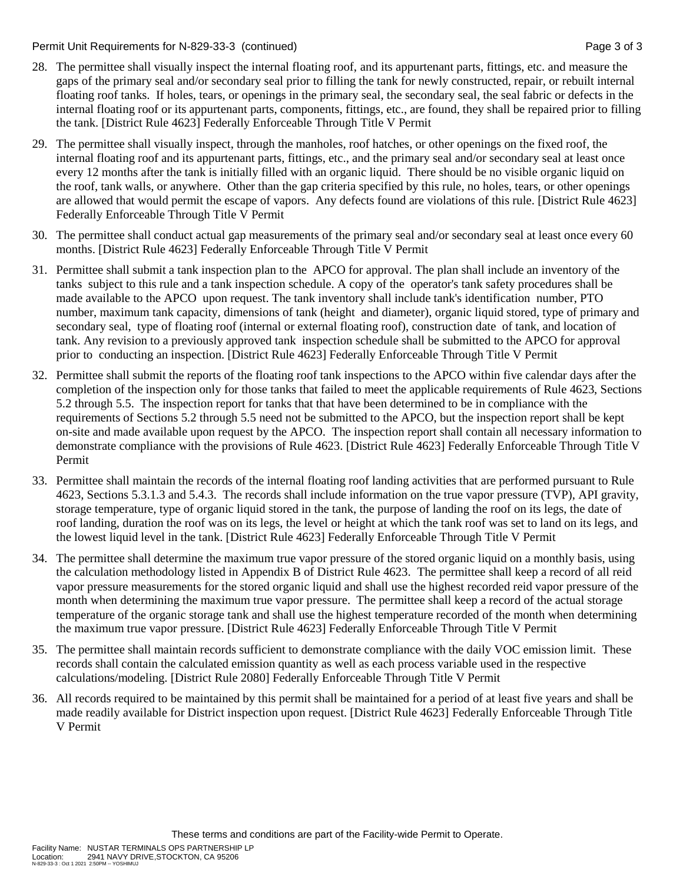Permit Unit Requirements for N-829-33-3 (continued) **Page 3** of 3

- 28. The permittee shall visually inspect the internal floating roof, and its appurtenant parts, fittings, etc. and measure the gaps of the primary seal and/or secondary seal prior to filling the tank for newly constructed, repair, or rebuilt internal floating roof tanks. If holes, tears, or openings in the primary seal, the secondary seal, the seal fabric or defects in the internal floating roof or its appurtenant parts, components, fittings, etc., are found, they shall be repaired prior to filling the tank. [District Rule 4623] Federally Enforceable Through Title V Permit
- 29. The permittee shall visually inspect, through the manholes, roof hatches, or other openings on the fixed roof, the internal floating roof and its appurtenant parts, fittings, etc., and the primary seal and/or secondary seal at least once every 12 months after the tank is initially filled with an organic liquid. There should be no visible organic liquid on the roof, tank walls, or anywhere. Other than the gap criteria specified by this rule, no holes, tears, or other openings are allowed that would permit the escape of vapors. Any defects found are violations of this rule. [District Rule 4623] Federally Enforceable Through Title V Permit
- 30. The permittee shall conduct actual gap measurements of the primary seal and/or secondary seal at least once every 60 months. [District Rule 4623] Federally Enforceable Through Title V Permit
- 31. Permittee shall submit a tank inspection plan to the APCO for approval. The plan shall include an inventory of the tanks subject to this rule and a tank inspection schedule. A copy of the operator's tank safety procedures shall be made available to the APCO upon request. The tank inventory shall include tank's identification number, PTO number, maximum tank capacity, dimensions of tank (height and diameter), organic liquid stored, type of primary and secondary seal, type of floating roof (internal or external floating roof), construction date of tank, and location of tank. Any revision to a previously approved tank inspection schedule shall be submitted to the APCO for approval prior to conducting an inspection. [District Rule 4623] Federally Enforceable Through Title V Permit
- 32. Permittee shall submit the reports of the floating roof tank inspections to the APCO within five calendar days after the completion of the inspection only for those tanks that failed to meet the applicable requirements of Rule 4623, Sections 5.2 through 5.5. The inspection report for tanks that that have been determined to be in compliance with the requirements of Sections 5.2 through 5.5 need not be submitted to the APCO, but the inspection report shall be kept on-site and made available upon request by the APCO. The inspection report shall contain all necessary information to demonstrate compliance with the provisions of Rule 4623. [District Rule 4623] Federally Enforceable Through Title V Permit
- 33. Permittee shall maintain the records of the internal floating roof landing activities that are performed pursuant to Rule 4623, Sections 5.3.1.3 and 5.4.3. The records shall include information on the true vapor pressure (TVP), API gravity, storage temperature, type of organic liquid stored in the tank, the purpose of landing the roof on its legs, the date of roof landing, duration the roof was on its legs, the level or height at which the tank roof was set to land on its legs, and the lowest liquid level in the tank. [District Rule 4623] Federally Enforceable Through Title V Permit
- 34. The permittee shall determine the maximum true vapor pressure of the stored organic liquid on a monthly basis, using the calculation methodology listed in Appendix B of District Rule 4623. The permittee shall keep a record of all reid vapor pressure measurements for the stored organic liquid and shall use the highest recorded reid vapor pressure of the month when determining the maximum true vapor pressure. The permittee shall keep a record of the actual storage temperature of the organic storage tank and shall use the highest temperature recorded of the month when determining the maximum true vapor pressure. [District Rule 4623] Federally Enforceable Through Title V Permit
- 35. The permittee shall maintain records sufficient to demonstrate compliance with the daily VOC emission limit. These records shall contain the calculated emission quantity as well as each process variable used in the respective calculations/modeling. [District Rule 2080] Federally Enforceable Through Title V Permit
- 36. All records required to be maintained by this permit shall be maintained for a period of at least five years and shall be made readily available for District inspection upon request. [District Rule 4623] Federally Enforceable Through Title V Permit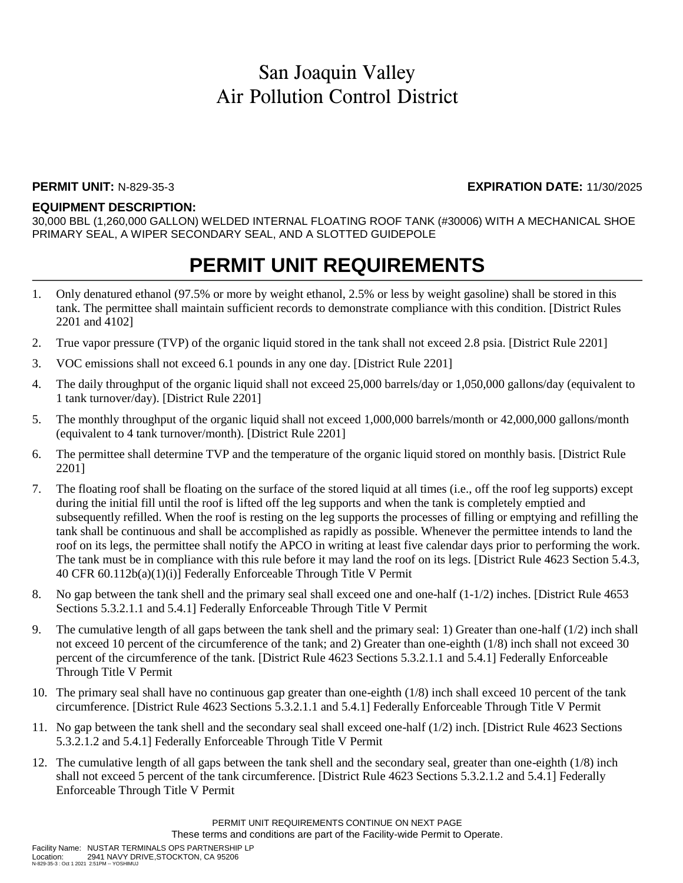### **PERMIT UNIT:** N-829-35-3 **EXPIRATION DATE:** 11/30/2025

#### **EQUIPMENT DESCRIPTION:**

30,000 BBL (1,260,000 GALLON) WELDED INTERNAL FLOATING ROOF TANK (#30006) WITH A MECHANICAL SHOE PRIMARY SEAL, A WIPER SECONDARY SEAL, AND A SLOTTED GUIDEPOLE

## **PERMIT UNIT REQUIREMENTS**

- 1. Only denatured ethanol (97.5% or more by weight ethanol, 2.5% or less by weight gasoline) shall be stored in this tank. The permittee shall maintain sufficient records to demonstrate compliance with this condition. [District Rules 2201 and 4102]
- 2. True vapor pressure (TVP) of the organic liquid stored in the tank shall not exceed 2.8 psia. [District Rule 2201]
- 3. VOC emissions shall not exceed 6.1 pounds in any one day. [District Rule 2201]
- 4. The daily throughput of the organic liquid shall not exceed 25,000 barrels/day or 1,050,000 gallons/day (equivalent to 1 tank turnover/day). [District Rule 2201]
- 5. The monthly throughput of the organic liquid shall not exceed 1,000,000 barrels/month or 42,000,000 gallons/month (equivalent to 4 tank turnover/month). [District Rule 2201]
- 6. The permittee shall determine TVP and the temperature of the organic liquid stored on monthly basis. [District Rule 2201]
- 7. The floating roof shall be floating on the surface of the stored liquid at all times (i.e., off the roof leg supports) except during the initial fill until the roof is lifted off the leg supports and when the tank is completely emptied and subsequently refilled. When the roof is resting on the leg supports the processes of filling or emptying and refilling the tank shall be continuous and shall be accomplished as rapidly as possible. Whenever the permittee intends to land the roof on its legs, the permittee shall notify the APCO in writing at least five calendar days prior to performing the work. The tank must be in compliance with this rule before it may land the roof on its legs. [District Rule 4623 Section 5.4.3, 40 CFR 60.112b(a)(1)(i)] Federally Enforceable Through Title V Permit
- 8. No gap between the tank shell and the primary seal shall exceed one and one-half (1-1/2) inches. [District Rule 4653 Sections 5.3.2.1.1 and 5.4.1] Federally Enforceable Through Title V Permit
- 9. The cumulative length of all gaps between the tank shell and the primary seal: 1) Greater than one-half (1/2) inch shall not exceed 10 percent of the circumference of the tank; and 2) Greater than one-eighth (1/8) inch shall not exceed 30 percent of the circumference of the tank. [District Rule 4623 Sections 5.3.2.1.1 and 5.4.1] Federally Enforceable Through Title V Permit
- 10. The primary seal shall have no continuous gap greater than one-eighth (1/8) inch shall exceed 10 percent of the tank circumference. [District Rule 4623 Sections 5.3.2.1.1 and 5.4.1] Federally Enforceable Through Title V Permit
- 11. No gap between the tank shell and the secondary seal shall exceed one-half (1/2) inch. [District Rule 4623 Sections 5.3.2.1.2 and 5.4.1] Federally Enforceable Through Title V Permit
- 12. The cumulative length of all gaps between the tank shell and the secondary seal, greater than one-eighth (1/8) inch shall not exceed 5 percent of the tank circumference. [District Rule 4623 Sections 5.3.2.1.2 and 5.4.1] Federally Enforceable Through Title V Permit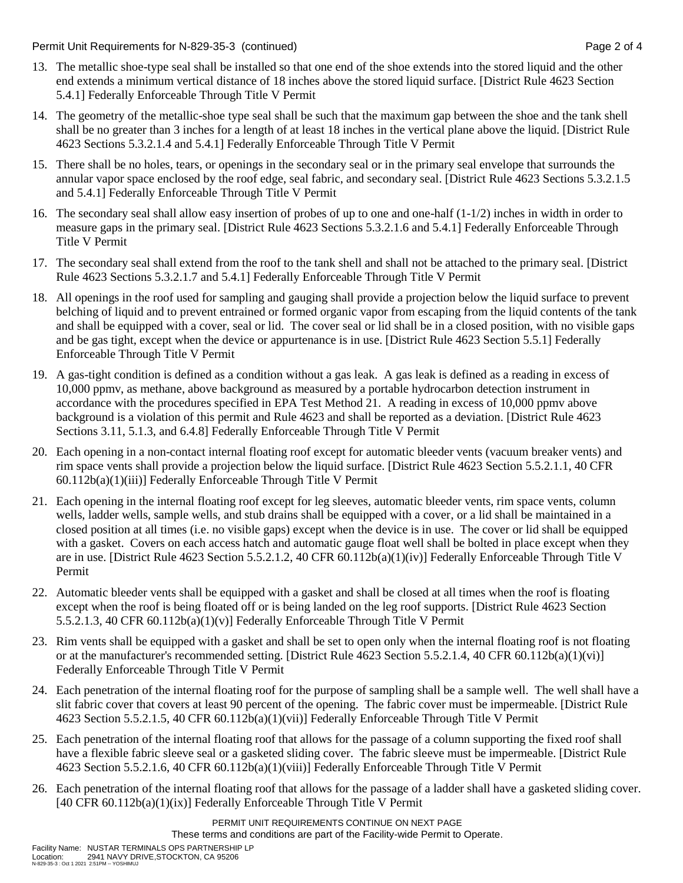Permit Unit Requirements for N-829-35-3 (continued) Page 2 of 4

- 13. The metallic shoe-type seal shall be installed so that one end of the shoe extends into the stored liquid and the other end extends a minimum vertical distance of 18 inches above the stored liquid surface. [District Rule 4623 Section 5.4.1] Federally Enforceable Through Title V Permit
- 14. The geometry of the metallic-shoe type seal shall be such that the maximum gap between the shoe and the tank shell shall be no greater than 3 inches for a length of at least 18 inches in the vertical plane above the liquid. [District Rule 4623 Sections 5.3.2.1.4 and 5.4.1] Federally Enforceable Through Title V Permit
- 15. There shall be no holes, tears, or openings in the secondary seal or in the primary seal envelope that surrounds the annular vapor space enclosed by the roof edge, seal fabric, and secondary seal. [District Rule 4623 Sections 5.3.2.1.5 and 5.4.1] Federally Enforceable Through Title V Permit
- 16. The secondary seal shall allow easy insertion of probes of up to one and one-half (1-1/2) inches in width in order to measure gaps in the primary seal. [District Rule 4623 Sections 5.3.2.1.6 and 5.4.1] Federally Enforceable Through Title V Permit
- 17. The secondary seal shall extend from the roof to the tank shell and shall not be attached to the primary seal. [District Rule 4623 Sections 5.3.2.1.7 and 5.4.1] Federally Enforceable Through Title V Permit
- 18. All openings in the roof used for sampling and gauging shall provide a projection below the liquid surface to prevent belching of liquid and to prevent entrained or formed organic vapor from escaping from the liquid contents of the tank and shall be equipped with a cover, seal or lid. The cover seal or lid shall be in a closed position, with no visible gaps and be gas tight, except when the device or appurtenance is in use. [District Rule 4623 Section 5.5.1] Federally Enforceable Through Title V Permit
- 19. A gas-tight condition is defined as a condition without a gas leak. A gas leak is defined as a reading in excess of 10,000 ppmv, as methane, above background as measured by a portable hydrocarbon detection instrument in accordance with the procedures specified in EPA Test Method 21. A reading in excess of 10,000 ppmv above background is a violation of this permit and Rule 4623 and shall be reported as a deviation. [District Rule 4623 Sections 3.11, 5.1.3, and 6.4.8] Federally Enforceable Through Title V Permit
- 20. Each opening in a non-contact internal floating roof except for automatic bleeder vents (vacuum breaker vents) and rim space vents shall provide a projection below the liquid surface. [District Rule 4623 Section 5.5.2.1.1, 40 CFR 60.112b(a)(1)(iii)] Federally Enforceable Through Title V Permit
- 21. Each opening in the internal floating roof except for leg sleeves, automatic bleeder vents, rim space vents, column wells, ladder wells, sample wells, and stub drains shall be equipped with a cover, or a lid shall be maintained in a closed position at all times (i.e. no visible gaps) except when the device is in use. The cover or lid shall be equipped with a gasket. Covers on each access hatch and automatic gauge float well shall be bolted in place except when they are in use. [District Rule 4623 Section 5.5.2.1.2, 40 CFR 60.112b(a)(1)(iv)] Federally Enforceable Through Title V Permit
- 22. Automatic bleeder vents shall be equipped with a gasket and shall be closed at all times when the roof is floating except when the roof is being floated off or is being landed on the leg roof supports. [District Rule 4623 Section 5.5.2.1.3, 40 CFR 60.112b(a)(1)(v)] Federally Enforceable Through Title V Permit
- 23. Rim vents shall be equipped with a gasket and shall be set to open only when the internal floating roof is not floating or at the manufacturer's recommended setting. [District Rule 4623 Section 5.5.2.1.4, 40 CFR 60.112b(a)(1)(vi)] Federally Enforceable Through Title V Permit
- 24. Each penetration of the internal floating roof for the purpose of sampling shall be a sample well. The well shall have a slit fabric cover that covers at least 90 percent of the opening. The fabric cover must be impermeable. [District Rule 4623 Section 5.5.2.1.5, 40 CFR 60.112b(a)(1)(vii)] Federally Enforceable Through Title V Permit
- 25. Each penetration of the internal floating roof that allows for the passage of a column supporting the fixed roof shall have a flexible fabric sleeve seal or a gasketed sliding cover. The fabric sleeve must be impermeable. [District Rule 4623 Section 5.5.2.1.6, 40 CFR 60.112b(a)(1)(viii)] Federally Enforceable Through Title V Permit
- 26. Each penetration of the internal floating roof that allows for the passage of a ladder shall have a gasketed sliding cover. [40 CFR 60.112b(a)(1)(ix)] Federally Enforceable Through Title V Permit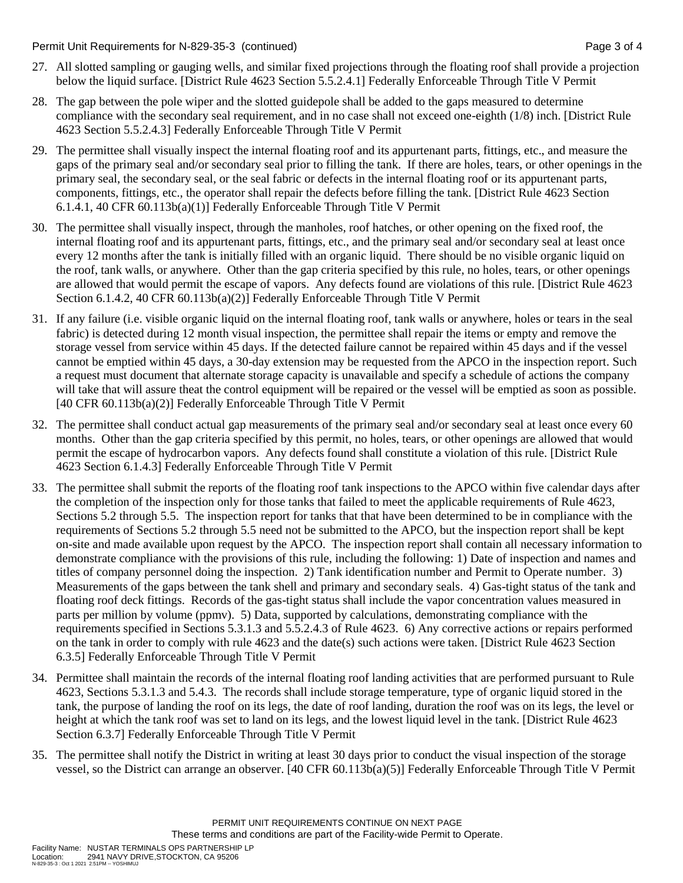Permit Unit Requirements for N-829-35-3 (continued) Page 3 of 4

- 27. All slotted sampling or gauging wells, and similar fixed projections through the floating roof shall provide a projection below the liquid surface. [District Rule 4623 Section 5.5.2.4.1] Federally Enforceable Through Title V Permit
- 28. The gap between the pole wiper and the slotted guidepole shall be added to the gaps measured to determine compliance with the secondary seal requirement, and in no case shall not exceed one-eighth (1/8) inch. [District Rule 4623 Section 5.5.2.4.3] Federally Enforceable Through Title V Permit
- 29. The permittee shall visually inspect the internal floating roof and its appurtenant parts, fittings, etc., and measure the gaps of the primary seal and/or secondary seal prior to filling the tank. If there are holes, tears, or other openings in the primary seal, the secondary seal, or the seal fabric or defects in the internal floating roof or its appurtenant parts, components, fittings, etc., the operator shall repair the defects before filling the tank. [District Rule 4623 Section 6.1.4.1, 40 CFR 60.113b(a)(1)] Federally Enforceable Through Title V Permit
- 30. The permittee shall visually inspect, through the manholes, roof hatches, or other opening on the fixed roof, the internal floating roof and its appurtenant parts, fittings, etc., and the primary seal and/or secondary seal at least once every 12 months after the tank is initially filled with an organic liquid. There should be no visible organic liquid on the roof, tank walls, or anywhere. Other than the gap criteria specified by this rule, no holes, tears, or other openings are allowed that would permit the escape of vapors. Any defects found are violations of this rule. [District Rule 4623 Section 6.1.4.2, 40 CFR 60.113b(a)(2)] Federally Enforceable Through Title V Permit
- 31. If any failure (i.e. visible organic liquid on the internal floating roof, tank walls or anywhere, holes or tears in the seal fabric) is detected during 12 month visual inspection, the permittee shall repair the items or empty and remove the storage vessel from service within 45 days. If the detected failure cannot be repaired within 45 days and if the vessel cannot be emptied within 45 days, a 30-day extension may be requested from the APCO in the inspection report. Such a request must document that alternate storage capacity is unavailable and specify a schedule of actions the company will take that will assure theat the control equipment will be repaired or the vessel will be emptied as soon as possible. [40 CFR 60.113b(a)(2)] Federally Enforceable Through Title V Permit
- 32. The permittee shall conduct actual gap measurements of the primary seal and/or secondary seal at least once every 60 months. Other than the gap criteria specified by this permit, no holes, tears, or other openings are allowed that would permit the escape of hydrocarbon vapors. Any defects found shall constitute a violation of this rule. [District Rule 4623 Section 6.1.4.3] Federally Enforceable Through Title V Permit
- 33. The permittee shall submit the reports of the floating roof tank inspections to the APCO within five calendar days after the completion of the inspection only for those tanks that failed to meet the applicable requirements of Rule 4623, Sections 5.2 through 5.5. The inspection report for tanks that that have been determined to be in compliance with the requirements of Sections 5.2 through 5.5 need not be submitted to the APCO, but the inspection report shall be kept on-site and made available upon request by the APCO. The inspection report shall contain all necessary information to demonstrate compliance with the provisions of this rule, including the following: 1) Date of inspection and names and titles of company personnel doing the inspection. 2) Tank identification number and Permit to Operate number. 3) Measurements of the gaps between the tank shell and primary and secondary seals. 4) Gas-tight status of the tank and floating roof deck fittings. Records of the gas-tight status shall include the vapor concentration values measured in parts per million by volume (ppmv). 5) Data, supported by calculations, demonstrating compliance with the requirements specified in Sections 5.3.1.3 and 5.5.2.4.3 of Rule 4623. 6) Any corrective actions or repairs performed on the tank in order to comply with rule 4623 and the date(s) such actions were taken. [District Rule 4623 Section 6.3.5] Federally Enforceable Through Title V Permit
- 34. Permittee shall maintain the records of the internal floating roof landing activities that are performed pursuant to Rule 4623, Sections 5.3.1.3 and 5.4.3. The records shall include storage temperature, type of organic liquid stored in the tank, the purpose of landing the roof on its legs, the date of roof landing, duration the roof was on its legs, the level or height at which the tank roof was set to land on its legs, and the lowest liquid level in the tank. [District Rule 4623 Section 6.3.7] Federally Enforceable Through Title V Permit
- 35. The permittee shall notify the District in writing at least 30 days prior to conduct the visual inspection of the storage vessel, so the District can arrange an observer. [40 CFR 60.113b(a)(5)] Federally Enforceable Through Title V Permit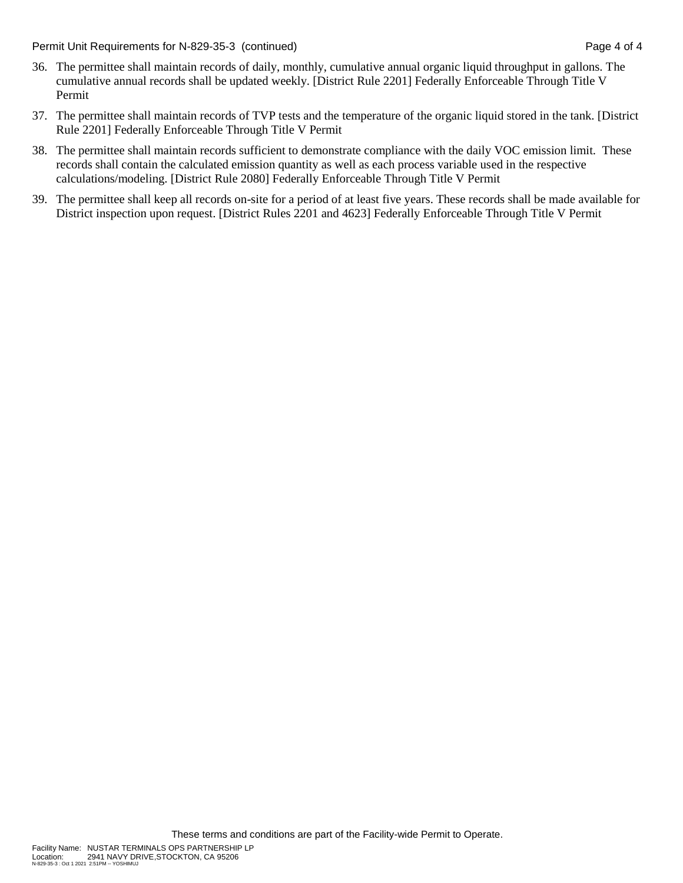Permit Unit Requirements for N-829-35-3 (continued) Page 4 of 4

- 36. The permittee shall maintain records of daily, monthly, cumulative annual organic liquid throughput in gallons. The cumulative annual records shall be updated weekly. [District Rule 2201] Federally Enforceable Through Title V Permit
- 37. The permittee shall maintain records of TVP tests and the temperature of the organic liquid stored in the tank. [District Rule 2201] Federally Enforceable Through Title V Permit
- 38. The permittee shall maintain records sufficient to demonstrate compliance with the daily VOC emission limit. These records shall contain the calculated emission quantity as well as each process variable used in the respective calculations/modeling. [District Rule 2080] Federally Enforceable Through Title V Permit
- 39. The permittee shall keep all records on-site for a period of at least five years. These records shall be made available for District inspection upon request. [District Rules 2201 and 4623] Federally Enforceable Through Title V Permit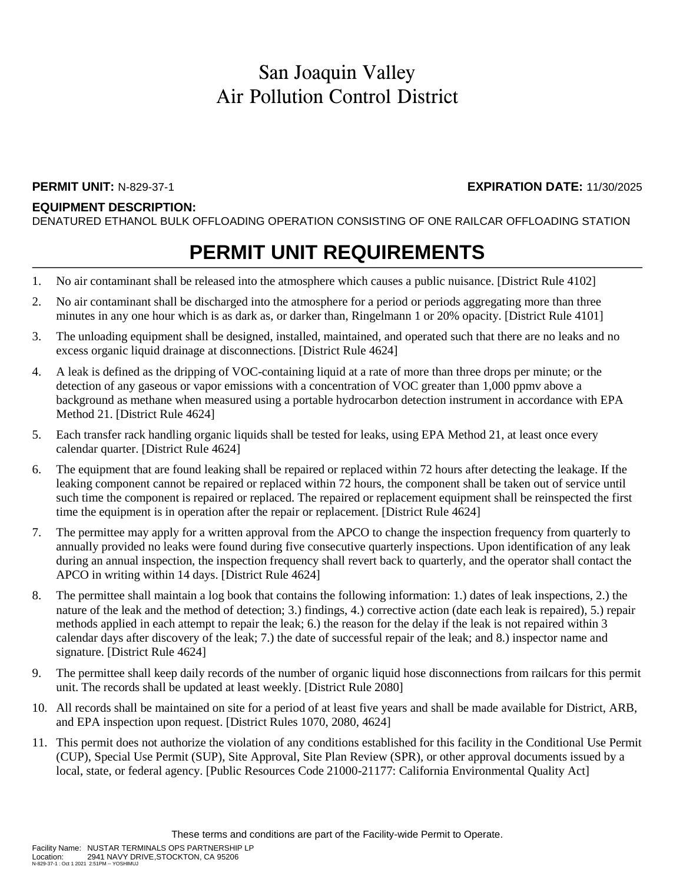### San Joaquin Valley Air Pollution Control District

#### **EQUIPMENT DESCRIPTION:**

DENATURED ETHANOL BULK OFFLOADING OPERATION CONSISTING OF ONE RAILCAR OFFLOADING STATION

# **PERMIT UNIT REQUIREMENTS**

- 1. No air contaminant shall be released into the atmosphere which causes a public nuisance. [District Rule 4102]
- 2. No air contaminant shall be discharged into the atmosphere for a period or periods aggregating more than three minutes in any one hour which is as dark as, or darker than, Ringelmann 1 or 20% opacity. [District Rule 4101]
- 3. The unloading equipment shall be designed, installed, maintained, and operated such that there are no leaks and no excess organic liquid drainage at disconnections. [District Rule 4624]
- 4. A leak is defined as the dripping of VOC-containing liquid at a rate of more than three drops per minute; or the detection of any gaseous or vapor emissions with a concentration of VOC greater than 1,000 ppmv above a background as methane when measured using a portable hydrocarbon detection instrument in accordance with EPA Method 21. [District Rule 4624]
- 5. Each transfer rack handling organic liquids shall be tested for leaks, using EPA Method 21, at least once every calendar quarter. [District Rule 4624]
- 6. The equipment that are found leaking shall be repaired or replaced within 72 hours after detecting the leakage. If the leaking component cannot be repaired or replaced within 72 hours, the component shall be taken out of service until such time the component is repaired or replaced. The repaired or replacement equipment shall be reinspected the first time the equipment is in operation after the repair or replacement. [District Rule 4624]
- 7. The permittee may apply for a written approval from the APCO to change the inspection frequency from quarterly to annually provided no leaks were found during five consecutive quarterly inspections. Upon identification of any leak during an annual inspection, the inspection frequency shall revert back to quarterly, and the operator shall contact the APCO in writing within 14 days. [District Rule 4624]
- 8. The permittee shall maintain a log book that contains the following information: 1.) dates of leak inspections, 2.) the nature of the leak and the method of detection; 3.) findings, 4.) corrective action (date each leak is repaired), 5.) repair methods applied in each attempt to repair the leak; 6.) the reason for the delay if the leak is not repaired within 3 calendar days after discovery of the leak; 7.) the date of successful repair of the leak; and 8.) inspector name and signature. [District Rule 4624]
- 9. The permittee shall keep daily records of the number of organic liquid hose disconnections from railcars for this permit unit. The records shall be updated at least weekly. [District Rule 2080]
- 10. All records shall be maintained on site for a period of at least five years and shall be made available for District, ARB, and EPA inspection upon request. [District Rules 1070, 2080, 4624]
- 11. This permit does not authorize the violation of any conditions established for this facility in the Conditional Use Permit (CUP), Special Use Permit (SUP), Site Approval, Site Plan Review (SPR), or other approval documents issued by a local, state, or federal agency. [Public Resources Code 21000-21177: California Environmental Quality Act]

**PERMIT UNIT:** N-829-37-1 **EXPIRATION DATE:** 11/30/2025